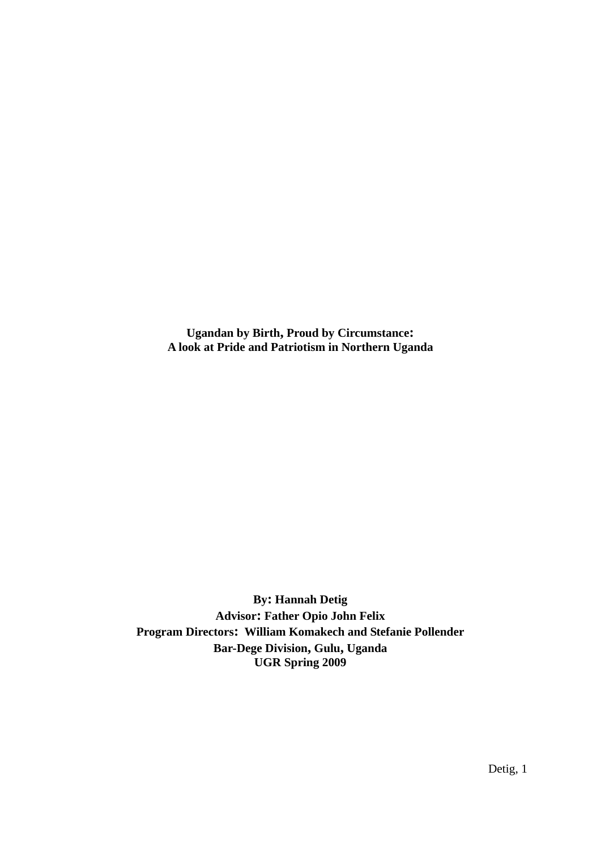**Ugandan by Birth, Proud by Circumstance: A look at Pride and Patriotism in Northern Uganda** 

**By: Hannah Detig Advisor: Father Opio John Felix Program Directors: William Komakech and Stefanie Pollender Bar-Dege Division, Gulu, Uganda UGR Spring 2009**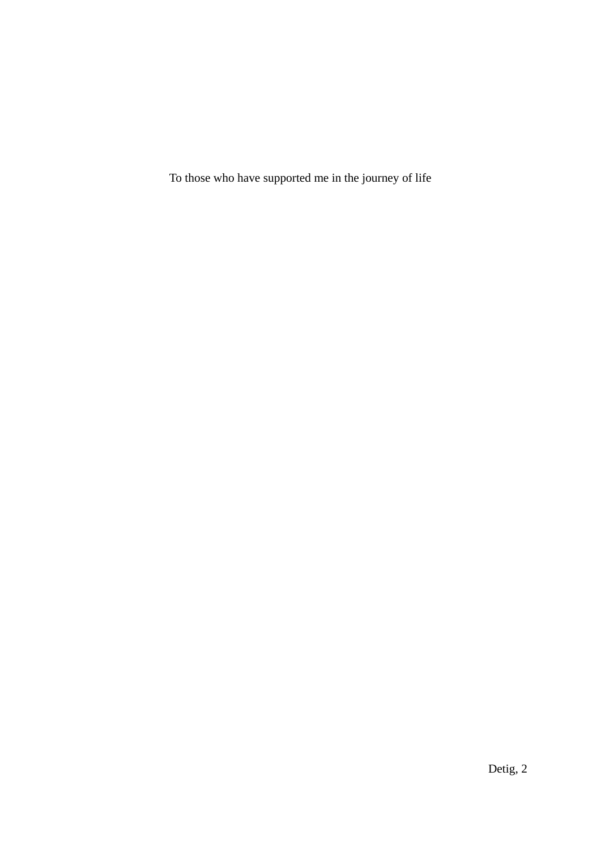To those who have supported me in the journey of life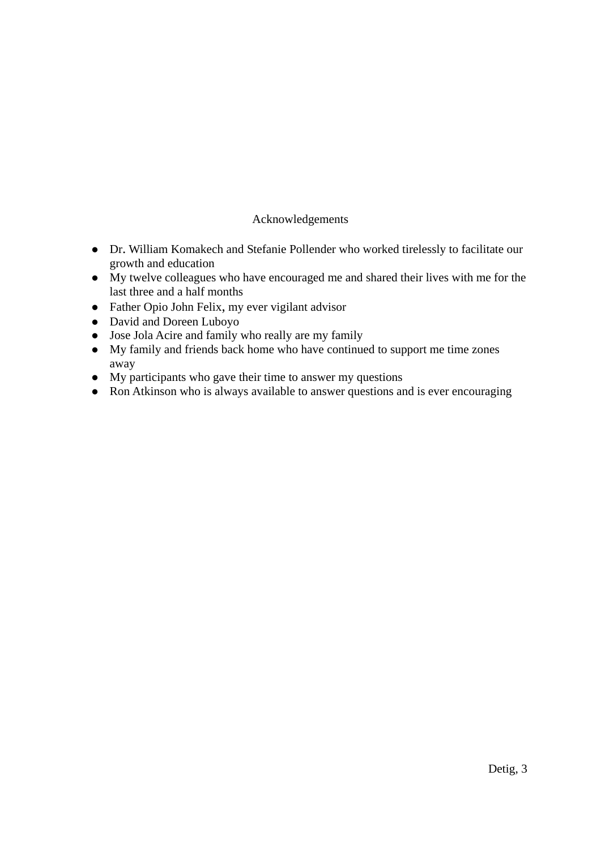## Acknowledgements

- Dr. William Komakech and Stefanie Pollender who worked tirelessly to facilitate our growth and education
- $\bullet$  My twelve colleagues who have encouraged me and shared their lives with me for the last three and a half months
- Father Opio John Felix, my ever vigilant advisor
- David and Doreen Luboyo
- Jose Jola Acire and family who really are my family
- $\bullet$  My family and friends back home who have continued to support me time zones away
- $\bullet$  My participants who gave their time to answer my questions
- Ron Atkinson who is always available to answer questions and is ever encouraging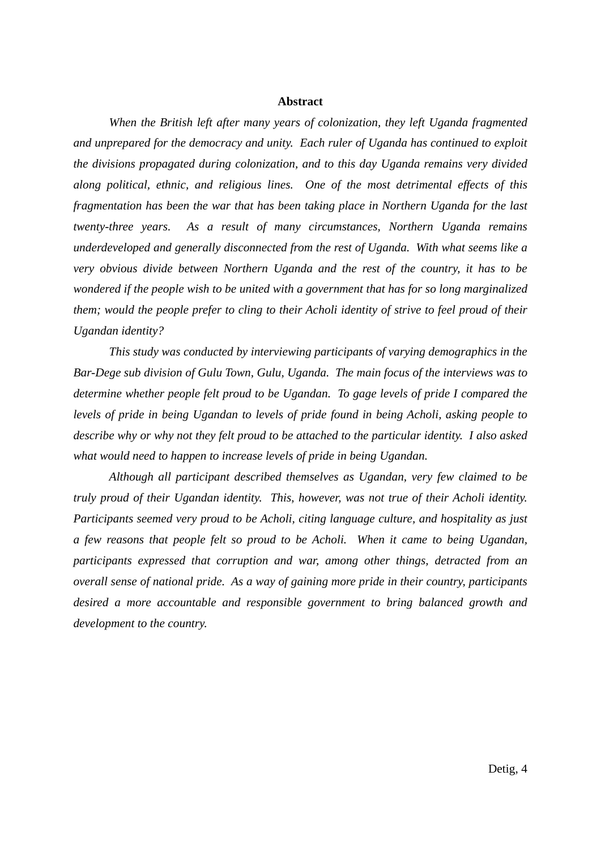#### **Abstract**

 *When the British left after many years of colonization, they left Uganda fragmented and unprepared for the democracy and unity. Each ruler of Uganda has continued to exploit the divisions propagated during colonization, and to this day Uganda remains very divided along political, ethnic, and religious lines. One of the most detrimental effects of this fragmentation has been the war that has been taking place in Northern Uganda for the last twenty-three years. As a result of many circumstances, Northern Uganda remains underdeveloped and generally disconnected from the rest of Uganda. With what seems like a very obvious divide between Northern Uganda and the rest of the country, it has to be wondered if the people wish to be united with a government that has for so long marginalized them; would the people prefer to cling to their Acholi identity of strive to feel proud of their Ugandan identity?* 

 *This study was conducted by interviewing participants of varying demographics in the Bar-Dege sub division of Gulu Town, Gulu, Uganda. The main focus of the interviews was to determine whether people felt proud to be Ugandan. To gage levels of pride I compared the levels of pride in being Ugandan to levels of pride found in being Acholi, asking people to describe why or why not they felt proud to be attached to the particular identity. I also asked what would need to happen to increase levels of pride in being Ugandan.* 

 *Although all participant described themselves as Ugandan, very few claimed to be truly proud of their Ugandan identity. This, however, was not true of their Acholi identity. Participants seemed very proud to be Acholi, citing language culture, and hospitality as just a few reasons that people felt so proud to be Acholi. When it came to being Ugandan, participants expressed that corruption and war, among other things, detracted from an overall sense of national pride. As a way of gaining more pride in their country, participants desired a more accountable and responsible government to bring balanced growth and development to the country.*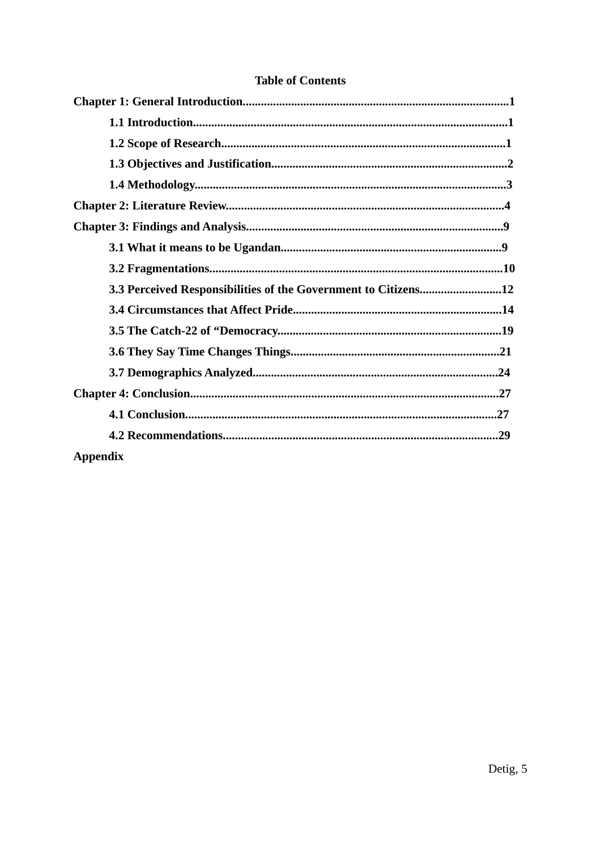| 3.3 Perceived Responsibilities of the Government to Citizens12 |
|----------------------------------------------------------------|
|                                                                |
|                                                                |
|                                                                |
|                                                                |
|                                                                |
|                                                                |
|                                                                |
| <b>Appendix</b>                                                |

## **Table of Contents**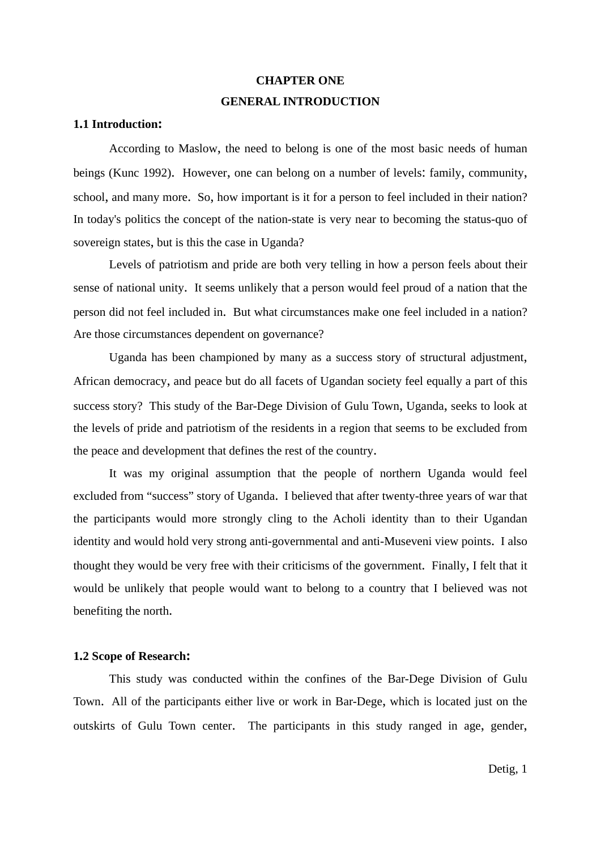## **CHAPTER ONE GENERAL INTRODUCTION**

#### **1.1 Introduction:**

 According to Maslow, the need to belong is one of the most basic needs of human beings (Kunc 1992). However, one can belong on a number of levels: family, community, school, and many more. So, how important is it for a person to feel included in their nation? In today's politics the concept of the nation-state is very near to becoming the status-quo of sovereign states, but is this the case in Uganda?

 Levels of patriotism and pride are both very telling in how a person feels about their sense of national unity. It seems unlikely that a person would feel proud of a nation that the person did not feel included in. But what circumstances make one feel included in a nation? Are those circumstances dependent on governance?

 Uganda has been championed by many as a success story of structural adjustment, African democracy, and peace but do all facets of Ugandan society feel equally a part of this success story? This study of the Bar-Dege Division of Gulu Town, Uganda, seeks to look at the levels of pride and patriotism of the residents in a region that seems to be excluded from the peace and development that defines the rest of the country.

 It was my original assumption that the people of northern Uganda would feel excluded from "success" story of Uganda. I believed that after twenty-three years of war that the participants would more strongly cling to the Acholi identity than to their Ugandan identity and would hold very strong anti-governmental and anti-Museveni view points. I also thought they would be very free with their criticisms of the government. Finally, I felt that it would be unlikely that people would want to belong to a country that I believed was not benefiting the north.

#### **1.2 Scope of Research:**

 This study was conducted within the confines of the Bar-Dege Division of Gulu Town. All of the participants either live or work in Bar-Dege, which is located just on the outskirts of Gulu Town center. The participants in this study ranged in age, gender,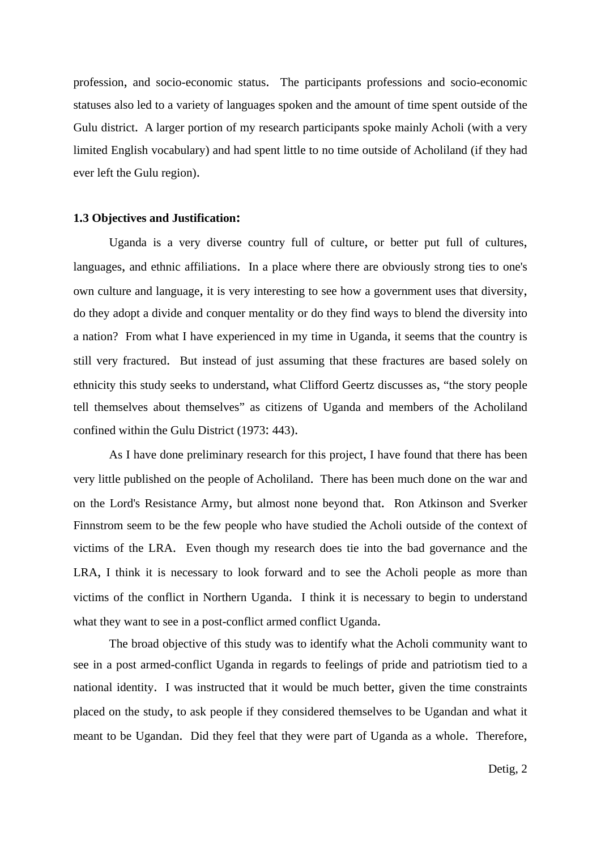profession, and socio-economic status. The participants professions and socio-economic statuses also led to a variety of languages spoken and the amount of time spent outside of the Gulu district. A larger portion of my research participants spoke mainly Acholi (with a very limited English vocabulary) and had spent little to no time outside of Acholiland (if they had ever left the Gulu region).

#### **1.3 Objectives and Justification:**

Uganda is a very diverse country full of culture, or better put full of cultures, languages, and ethnic affiliations. In a place where there are obviously strong ties to one's own culture and language, it is very interesting to see how a government uses that diversity, do they adopt a divide and conquer mentality or do they find ways to blend the diversity into a nation? From what I have experienced in my time in Uganda, it seems that the country is still very fractured. But instead of just assuming that these fractures are based solely on ethnicity this study seeks to understand, what Clifford Geertz discusses as, "the story people tell themselves about themselves" as citizens of Uganda and members of the Acholiland confined within the Gulu District (1973: 443).

 As I have done preliminary research for this project, I have found that there has been very little published on the people of Acholiland. There has been much done on the war and on the Lord's Resistance Army, but almost none beyond that. Ron Atkinson and Sverker Finnstrom seem to be the few people who have studied the Acholi outside of the context of victims of the LRA. Even though my research does tie into the bad governance and the LRA, I think it is necessary to look forward and to see the Acholi people as more than victims of the conflict in Northern Uganda. I think it is necessary to begin to understand what they want to see in a post-conflict armed conflict Uganda.

 The broad objective of this study was to identify what the Acholi community want to see in a post armed-conflict Uganda in regards to feelings of pride and patriotism tied to a national identity. I was instructed that it would be much better, given the time constraints placed on the study, to ask people if they considered themselves to be Ugandan and what it meant to be Ugandan. Did they feel that they were part of Uganda as a whole. Therefore,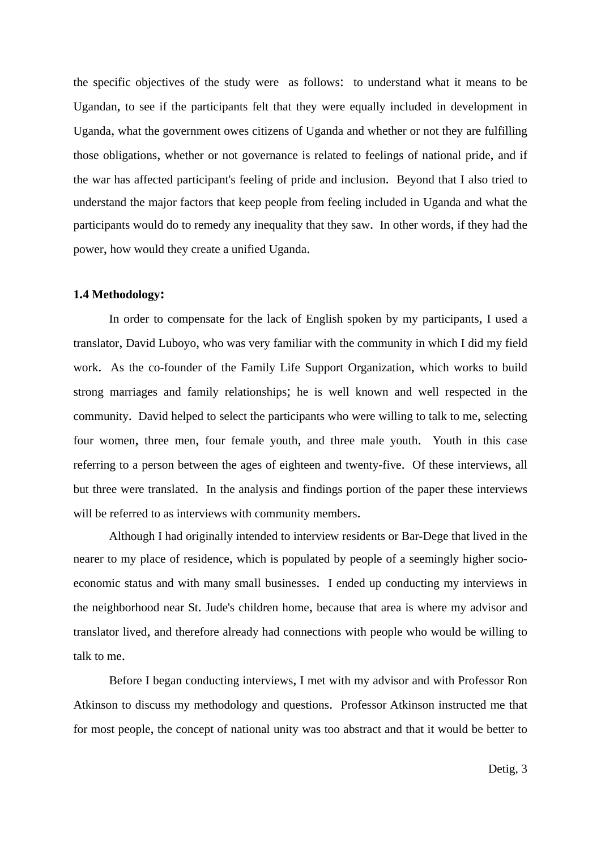the specific objectives of the study were as follows: to understand what it means to be Ugandan, to see if the participants felt that they were equally included in development in Uganda, what the government owes citizens of Uganda and whether or not they are fulfilling those obligations, whether or not governance is related to feelings of national pride, and if the war has affected participant's feeling of pride and inclusion. Beyond that I also tried to understand the major factors that keep people from feeling included in Uganda and what the participants would do to remedy any inequality that they saw. In other words, if they had the power, how would they create a unified Uganda.

#### **1.4 Methodology:**

 In order to compensate for the lack of English spoken by my participants, I used a translator, David Luboyo, who was very familiar with the community in which I did my field work. As the co-founder of the Family Life Support Organization, which works to build strong marriages and family relationships; he is well known and well respected in the community. David helped to select the participants who were willing to talk to me, selecting four women, three men, four female youth, and three male youth. Youth in this case referring to a person between the ages of eighteen and twenty-five. Of these interviews, all but three were translated. In the analysis and findings portion of the paper these interviews will be referred to as interviews with community members.

 Although I had originally intended to interview residents or Bar-Dege that lived in the nearer to my place of residence, which is populated by people of a seemingly higher socioeconomic status and with many small businesses. I ended up conducting my interviews in the neighborhood near St. Jude's children home, because that area is where my advisor and translator lived, and therefore already had connections with people who would be willing to talk to me.

 Before I began conducting interviews, I met with my advisor and with Professor Ron Atkinson to discuss my methodology and questions. Professor Atkinson instructed me that for most people, the concept of national unity was too abstract and that it would be better to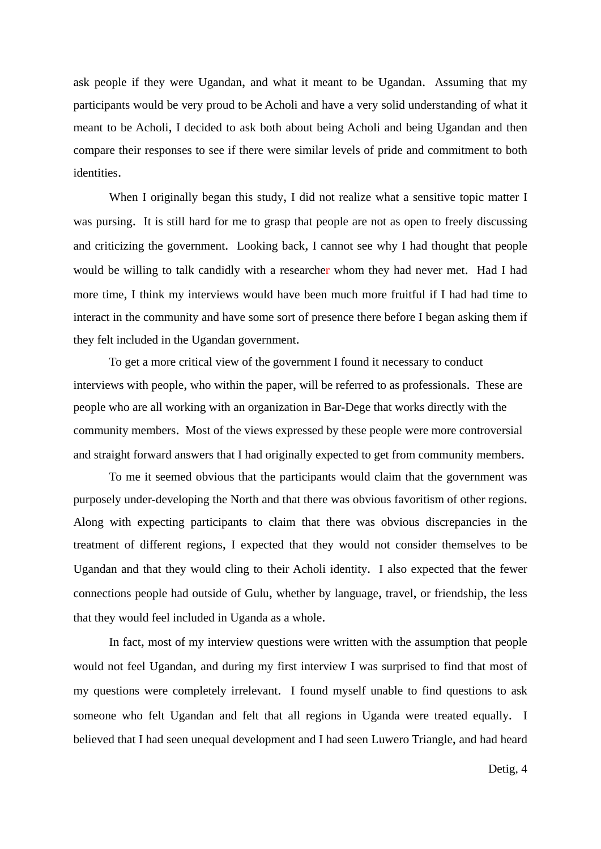ask people if they were Ugandan, and what it meant to be Ugandan. Assuming that my participants would be very proud to be Acholi and have a very solid understanding of what it meant to be Acholi, I decided to ask both about being Acholi and being Ugandan and then compare their responses to see if there were similar levels of pride and commitment to both identities.

When I originally began this study, I did not realize what a sensitive topic matter I was pursing. It is still hard for me to grasp that people are not as open to freely discussing and criticizing the government. Looking back, I cannot see why I had thought that people would be willing to talk candidly with a researcher whom they had never met. Had I had more time, I think my interviews would have been much more fruitful if I had had time to interact in the community and have some sort of presence there before I began asking them if they felt included in the Ugandan government.

 To get a more critical view of the government I found it necessary to conduct interviews with people, who within the paper, will be referred to as professionals. These are people who are all working with an organization in Bar-Dege that works directly with the community members. Most of the views expressed by these people were more controversial and straight forward answers that I had originally expected to get from community members.

 To me it seemed obvious that the participants would claim that the government was purposely under-developing the North and that there was obvious favoritism of other regions. Along with expecting participants to claim that there was obvious discrepancies in the treatment of different regions, I expected that they would not consider themselves to be Ugandan and that they would cling to their Acholi identity. I also expected that the fewer connections people had outside of Gulu, whether by language, travel, or friendship, the less that they would feel included in Uganda as a whole.

 In fact, most of my interview questions were written with the assumption that people would not feel Ugandan, and during my first interview I was surprised to find that most of my questions were completely irrelevant. I found myself unable to find questions to ask someone who felt Ugandan and felt that all regions in Uganda were treated equally. I believed that I had seen unequal development and I had seen Luwero Triangle, and had heard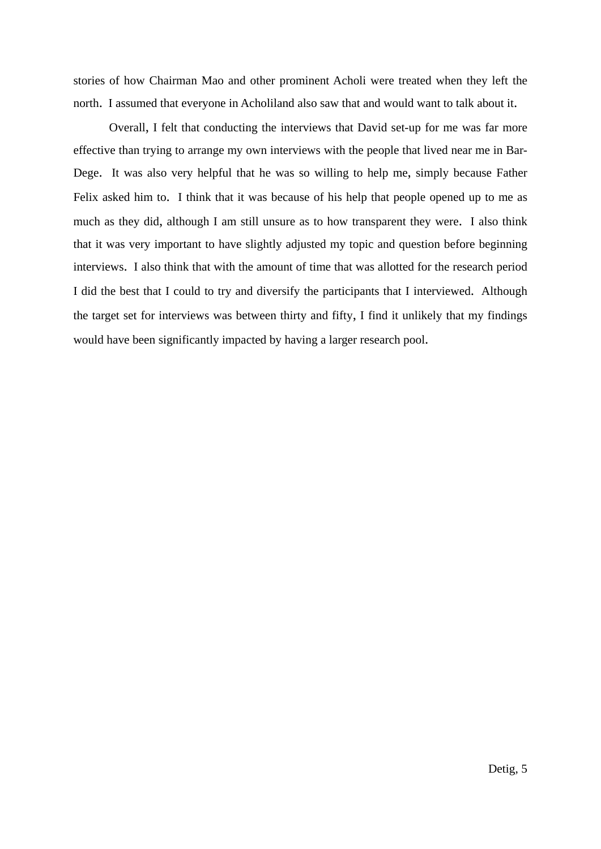stories of how Chairman Mao and other prominent Acholi were treated when they left the north. I assumed that everyone in Acholiland also saw that and would want to talk about it.

 Overall, I felt that conducting the interviews that David set-up for me was far more effective than trying to arrange my own interviews with the people that lived near me in Bar-Dege. It was also very helpful that he was so willing to help me, simply because Father Felix asked him to. I think that it was because of his help that people opened up to me as much as they did, although I am still unsure as to how transparent they were. I also think that it was very important to have slightly adjusted my topic and question before beginning interviews. I also think that with the amount of time that was allotted for the research period I did the best that I could to try and diversify the participants that I interviewed. Although the target set for interviews was between thirty and fifty, I find it unlikely that my findings would have been significantly impacted by having a larger research pool.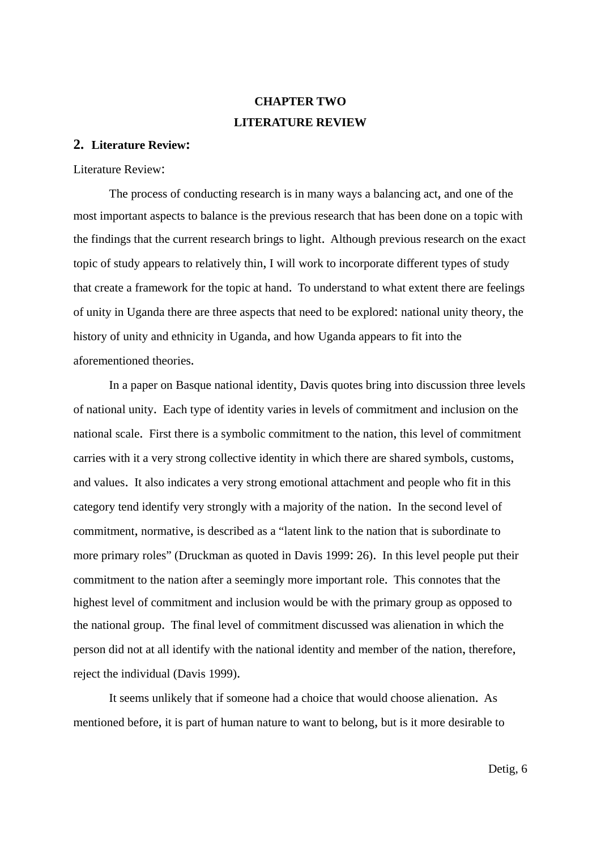# **CHAPTER TWO LITERATURE REVIEW**

### **2. Literature Review:**

Literature Review:

 The process of conducting research is in many ways a balancing act, and one of the most important aspects to balance is the previous research that has been done on a topic with the findings that the current research brings to light. Although previous research on the exact topic of study appears to relatively thin, I will work to incorporate different types of study that create a framework for the topic at hand. To understand to what extent there are feelings of unity in Uganda there are three aspects that need to be explored: national unity theory, the history of unity and ethnicity in Uganda, and how Uganda appears to fit into the aforementioned theories.

 In a paper on Basque national identity, Davis quotes bring into discussion three levels of national unity. Each type of identity varies in levels of commitment and inclusion on the national scale. First there is a symbolic commitment to the nation, this level of commitment carries with it a very strong collective identity in which there are shared symbols, customs, and values. It also indicates a very strong emotional attachment and people who fit in this category tend identify very strongly with a majority of the nation. In the second level of commitment, normative, is described as a "latent link to the nation that is subordinate to more primary roles" (Druckman as quoted in Davis 1999: 26). In this level people put their commitment to the nation after a seemingly more important role. This connotes that the highest level of commitment and inclusion would be with the primary group as opposed to the national group. The final level of commitment discussed was alienation in which the person did not at all identify with the national identity and member of the nation, therefore, reject the individual (Davis 1999).

 It seems unlikely that if someone had a choice that would choose alienation. As mentioned before, it is part of human nature to want to belong, but is it more desirable to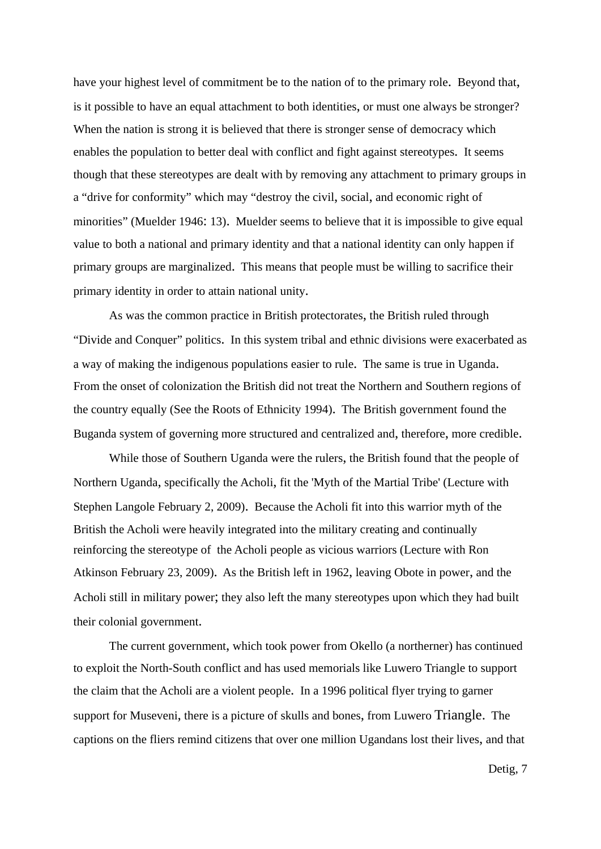have your highest level of commitment be to the nation of to the primary role. Beyond that, is it possible to have an equal attachment to both identities, or must one always be stronger? When the nation is strong it is believed that there is stronger sense of democracy which enables the population to better deal with conflict and fight against stereotypes. It seems though that these stereotypes are dealt with by removing any attachment to primary groups in a "drive for conformity" which may "destroy the civil, social, and economic right of minorities" (Muelder 1946: 13). Muelder seems to believe that it is impossible to give equal value to both a national and primary identity and that a national identity can only happen if primary groups are marginalized. This means that people must be willing to sacrifice their primary identity in order to attain national unity.

 As was the common practice in British protectorates, the British ruled through "Divide and Conquer" politics. In this system tribal and ethnic divisions were exacerbated as a way of making the indigenous populations easier to rule. The same is true in Uganda. From the onset of colonization the British did not treat the Northern and Southern regions of the country equally (See the Roots of Ethnicity 1994). The British government found the Buganda system of governing more structured and centralized and, therefore, more credible.

 While those of Southern Uganda were the rulers, the British found that the people of Northern Uganda, specifically the Acholi, fit the 'Myth of the Martial Tribe' (Lecture with Stephen Langole February 2, 2009). Because the Acholi fit into this warrior myth of the British the Acholi were heavily integrated into the military creating and continually reinforcing the stereotype of the Acholi people as vicious warriors (Lecture with Ron Atkinson February 23, 2009). As the British left in 1962, leaving Obote in power, and the Acholi still in military power; they also left the many stereotypes upon which they had built their colonial government.

 The current government, which took power from Okello (a northerner) has continued to exploit the North-South conflict and has used memorials like Luwero Triangle to support the claim that the Acholi are a violent people. In a 1996 political flyer trying to garner support for Museveni, there is a picture of skulls and bones, from Luwero Triangle. The captions on the fliers remind citizens that over one million Ugandans lost their lives, and that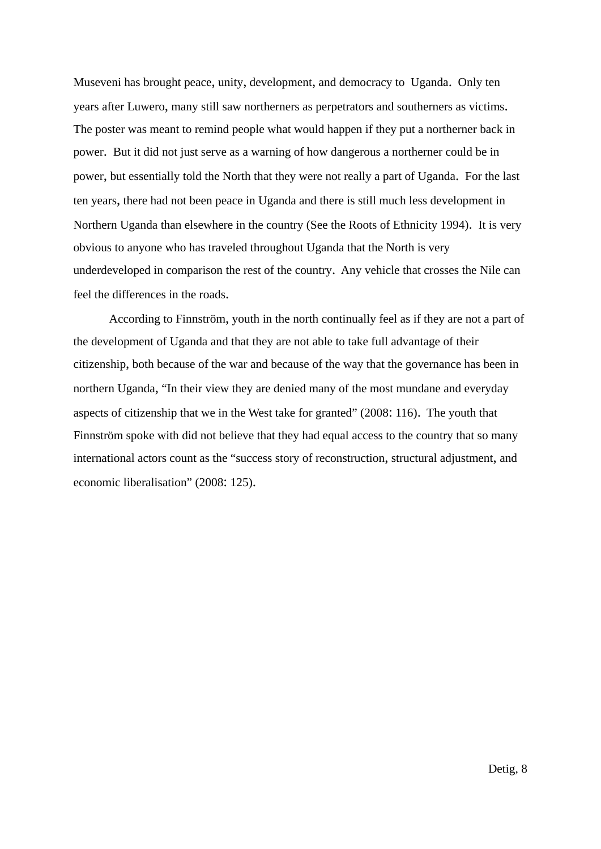Museveni has brought peace, unity, development, and democracy to Uganda. Only ten years after Luwero, many still saw northerners as perpetrators and southerners as victims. The poster was meant to remind people what would happen if they put a northerner back in power. But it did not just serve as a warning of how dangerous a northerner could be in power, but essentially told the North that they were not really a part of Uganda. For the last ten years, there had not been peace in Uganda and there is still much less development in Northern Uganda than elsewhere in the country (See the Roots of Ethnicity 1994). It is very obvious to anyone who has traveled throughout Uganda that the North is very underdeveloped in comparison the rest of the country. Any vehicle that crosses the Nile can feel the differences in the roads.

 According to Finnström, youth in the north continually feel as if they are not a part of the development of Uganda and that they are not able to take full advantage of their citizenship, both because of the war and because of the way that the governance has been in northern Uganda, "In their view they are denied many of the most mundane and everyday aspects of citizenship that we in the West take for granted" (2008: 116). The youth that Finnström spoke with did not believe that they had equal access to the country that so many international actors count as the "success story of reconstruction, structural adjustment, and economic liberalisation" (2008: 125).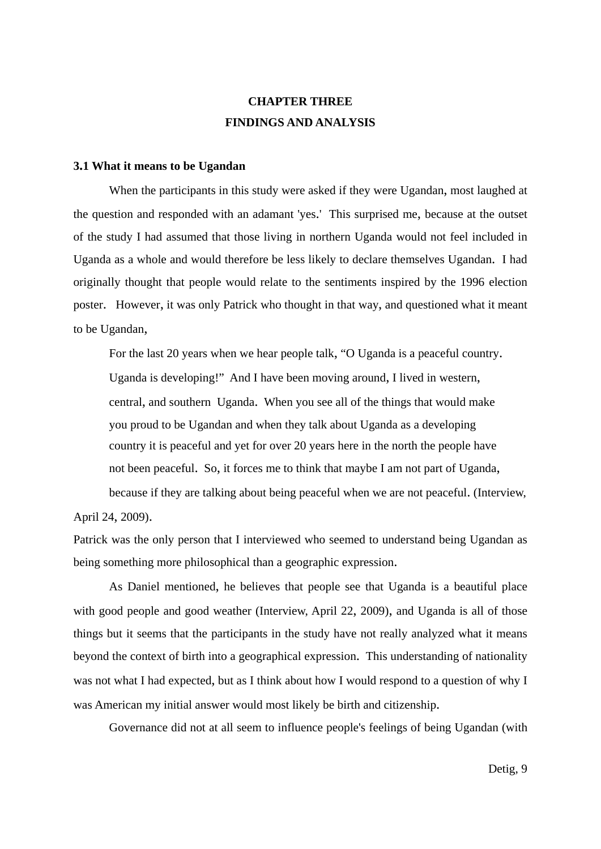## **CHAPTER THREE FINDINGS AND ANALYSIS**

#### **3.1 What it means to be Ugandan**

 When the participants in this study were asked if they were Ugandan, most laughed at the question and responded with an adamant 'yes.' This surprised me, because at the outset of the study I had assumed that those living in northern Uganda would not feel included in Uganda as a whole and would therefore be less likely to declare themselves Ugandan. I had originally thought that people would relate to the sentiments inspired by the 1996 election poster. However, it was only Patrick who thought in that way, and questioned what it meant to be Ugandan,

 For the last 20 years when we hear people talk, "O Uganda is a peaceful country. Uganda is developing!" And I have been moving around, I lived in western, central, and southern Uganda. When you see all of the things that would make you proud to be Ugandan and when they talk about Uganda as a developing country it is peaceful and yet for over 20 years here in the north the people have not been peaceful. So, it forces me to think that maybe I am not part of Uganda, because if they are talking about being peaceful when we are not peaceful. (Interview,

April 24, 2009).

Patrick was the only person that I interviewed who seemed to understand being Ugandan as being something more philosophical than a geographic expression.

 As Daniel mentioned, he believes that people see that Uganda is a beautiful place with good people and good weather (Interview, April 22, 2009), and Uganda is all of those things but it seems that the participants in the study have not really analyzed what it means beyond the context of birth into a geographical expression. This understanding of nationality was not what I had expected, but as I think about how I would respond to a question of why I was American my initial answer would most likely be birth and citizenship.

Governance did not at all seem to influence people's feelings of being Ugandan (with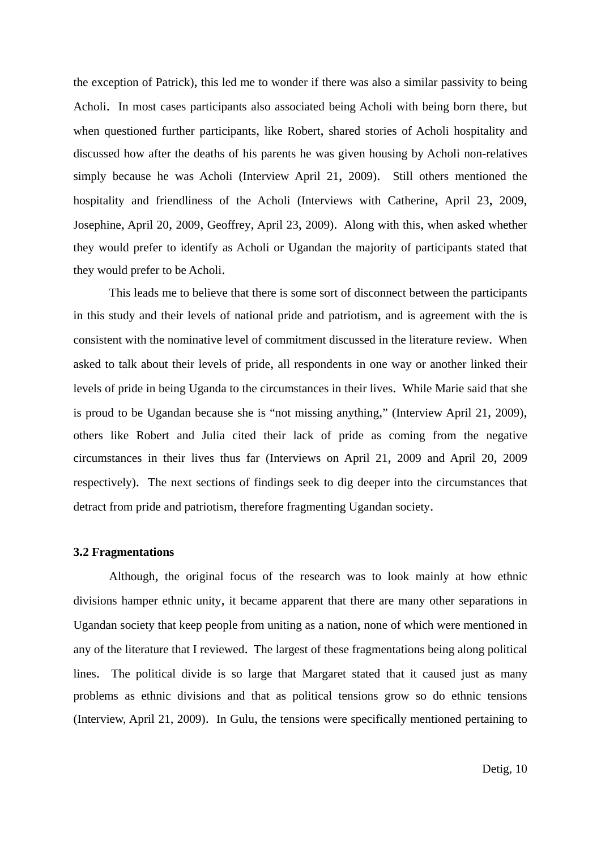the exception of Patrick), this led me to wonder if there was also a similar passivity to being Acholi. In most cases participants also associated being Acholi with being born there, but when questioned further participants, like Robert, shared stories of Acholi hospitality and discussed how after the deaths of his parents he was given housing by Acholi non-relatives simply because he was Acholi (Interview April 21, 2009). Still others mentioned the hospitality and friendliness of the Acholi (Interviews with Catherine, April 23, 2009, Josephine, April 20, 2009, Geoffrey, April 23, 2009). Along with this, when asked whether they would prefer to identify as Acholi or Ugandan the majority of participants stated that they would prefer to be Acholi.

 This leads me to believe that there is some sort of disconnect between the participants in this study and their levels of national pride and patriotism, and is agreement with the is consistent with the nominative level of commitment discussed in the literature review. When asked to talk about their levels of pride, all respondents in one way or another linked their levels of pride in being Uganda to the circumstances in their lives. While Marie said that she is proud to be Ugandan because she is "not missing anything," (Interview April 21, 2009), others like Robert and Julia cited their lack of pride as coming from the negative circumstances in their lives thus far (Interviews on April 21, 2009 and April 20, 2009 respectively). The next sections of findings seek to dig deeper into the circumstances that detract from pride and patriotism, therefore fragmenting Ugandan society.

#### **3.2 Fragmentations**

 Although, the original focus of the research was to look mainly at how ethnic divisions hamper ethnic unity, it became apparent that there are many other separations in Ugandan society that keep people from uniting as a nation, none of which were mentioned in any of the literature that I reviewed. The largest of these fragmentations being along political lines. The political divide is so large that Margaret stated that it caused just as many problems as ethnic divisions and that as political tensions grow so do ethnic tensions (Interview, April 21, 2009). In Gulu, the tensions were specifically mentioned pertaining to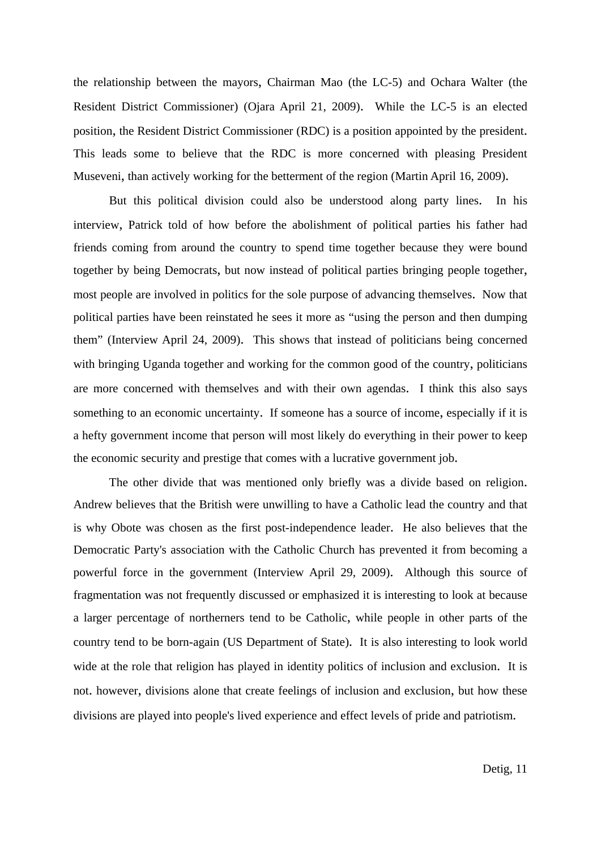the relationship between the mayors, Chairman Mao (the LC-5) and Ochara Walter (the Resident District Commissioner) (Ojara April 21, 2009). While the LC-5 is an elected position, the Resident District Commissioner (RDC) is a position appointed by the president. This leads some to believe that the RDC is more concerned with pleasing President Museveni, than actively working for the betterment of the region (Martin April 16, 2009).

 But this political division could also be understood along party lines. In his interview, Patrick told of how before the abolishment of political parties his father had friends coming from around the country to spend time together because they were bound together by being Democrats, but now instead of political parties bringing people together, most people are involved in politics for the sole purpose of advancing themselves. Now that political parties have been reinstated he sees it more as "using the person and then dumping them" (Interview April 24, 2009). This shows that instead of politicians being concerned with bringing Uganda together and working for the common good of the country, politicians are more concerned with themselves and with their own agendas. I think this also says something to an economic uncertainty. If someone has a source of income, especially if it is a hefty government income that person will most likely do everything in their power to keep the economic security and prestige that comes with a lucrative government job.

 The other divide that was mentioned only briefly was a divide based on religion. Andrew believes that the British were unwilling to have a Catholic lead the country and that is why Obote was chosen as the first post-independence leader. He also believes that the Democratic Party's association with the Catholic Church has prevented it from becoming a powerful force in the government (Interview April 29, 2009). Although this source of fragmentation was not frequently discussed or emphasized it is interesting to look at because a larger percentage of northerners tend to be Catholic, while people in other parts of the country tend to be born-again (US Department of State). It is also interesting to look world wide at the role that religion has played in identity politics of inclusion and exclusion. It is not. however, divisions alone that create feelings of inclusion and exclusion, but how these divisions are played into people's lived experience and effect levels of pride and patriotism.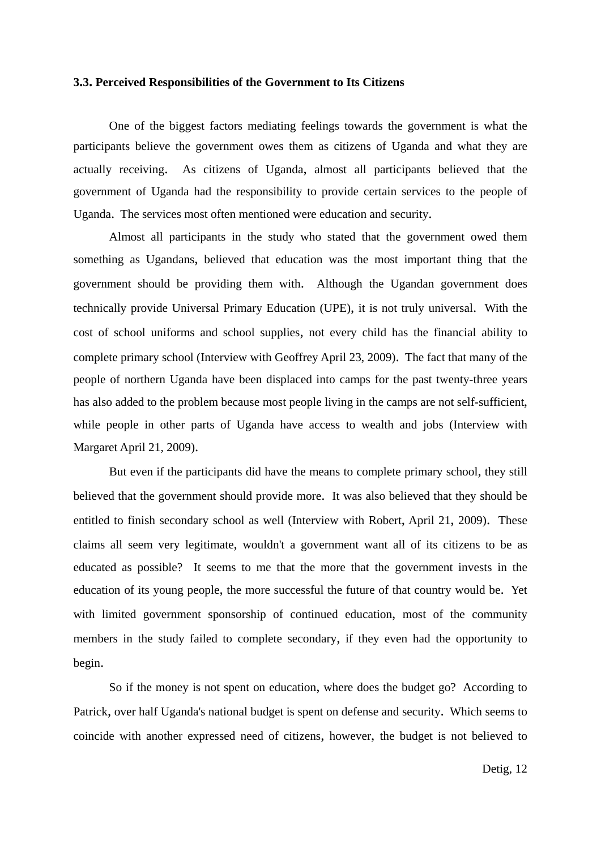#### **3.3. Perceived Responsibilities of the Government to Its Citizens**

 One of the biggest factors mediating feelings towards the government is what the participants believe the government owes them as citizens of Uganda and what they are actually receiving. As citizens of Uganda, almost all participants believed that the government of Uganda had the responsibility to provide certain services to the people of Uganda. The services most often mentioned were education and security.

 Almost all participants in the study who stated that the government owed them something as Ugandans, believed that education was the most important thing that the government should be providing them with. Although the Ugandan government does technically provide Universal Primary Education (UPE), it is not truly universal. With the cost of school uniforms and school supplies, not every child has the financial ability to complete primary school (Interview with Geoffrey April 23, 2009). The fact that many of the people of northern Uganda have been displaced into camps for the past twenty-three years has also added to the problem because most people living in the camps are not self-sufficient, while people in other parts of Uganda have access to wealth and jobs (Interview with Margaret April 21, 2009).

 But even if the participants did have the means to complete primary school, they still believed that the government should provide more. It was also believed that they should be entitled to finish secondary school as well (Interview with Robert, April 21, 2009). These claims all seem very legitimate, wouldn't a government want all of its citizens to be as educated as possible? It seems to me that the more that the government invests in the education of its young people, the more successful the future of that country would be. Yet with limited government sponsorship of continued education, most of the community members in the study failed to complete secondary, if they even had the opportunity to begin.

 So if the money is not spent on education, where does the budget go? According to Patrick, over half Uganda's national budget is spent on defense and security. Which seems to coincide with another expressed need of citizens, however, the budget is not believed to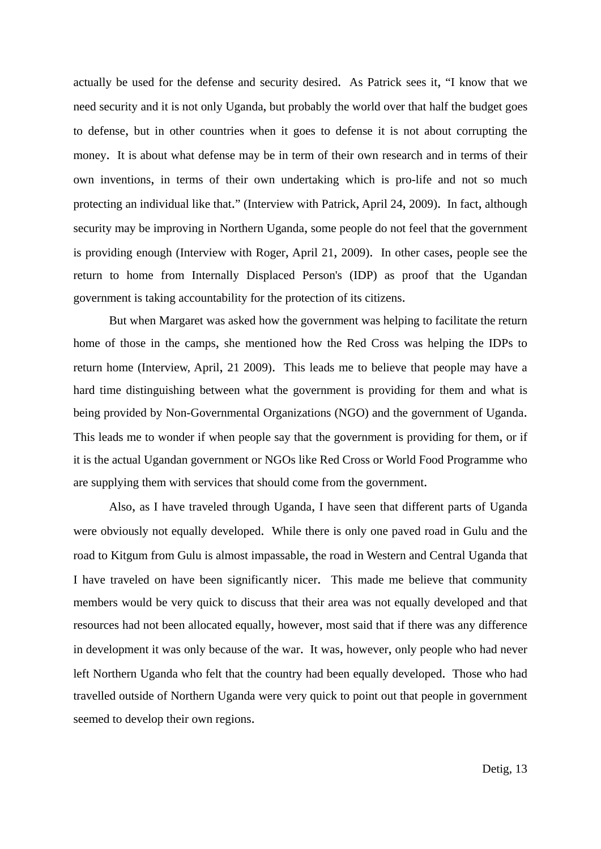actually be used for the defense and security desired. As Patrick sees it, "I know that we need security and it is not only Uganda, but probably the world over that half the budget goes to defense, but in other countries when it goes to defense it is not about corrupting the money. It is about what defense may be in term of their own research and in terms of their own inventions, in terms of their own undertaking which is pro-life and not so much protecting an individual like that." (Interview with Patrick, April 24, 2009). In fact, although security may be improving in Northern Uganda, some people do not feel that the government is providing enough (Interview with Roger, April 21, 2009). In other cases, people see the return to home from Internally Displaced Person's (IDP) as proof that the Ugandan government is taking accountability for the protection of its citizens.

 But when Margaret was asked how the government was helping to facilitate the return home of those in the camps, she mentioned how the Red Cross was helping the IDPs to return home (Interview, April, 21 2009). This leads me to believe that people may have a hard time distinguishing between what the government is providing for them and what is being provided by Non-Governmental Organizations (NGO) and the government of Uganda. This leads me to wonder if when people say that the government is providing for them, or if it is the actual Ugandan government or NGOs like Red Cross or World Food Programme who are supplying them with services that should come from the government.

 Also, as I have traveled through Uganda, I have seen that different parts of Uganda were obviously not equally developed. While there is only one paved road in Gulu and the road to Kitgum from Gulu is almost impassable, the road in Western and Central Uganda that I have traveled on have been significantly nicer. This made me believe that community members would be very quick to discuss that their area was not equally developed and that resources had not been allocated equally, however, most said that if there was any difference in development it was only because of the war. It was, however, only people who had never left Northern Uganda who felt that the country had been equally developed. Those who had travelled outside of Northern Uganda were very quick to point out that people in government seemed to develop their own regions.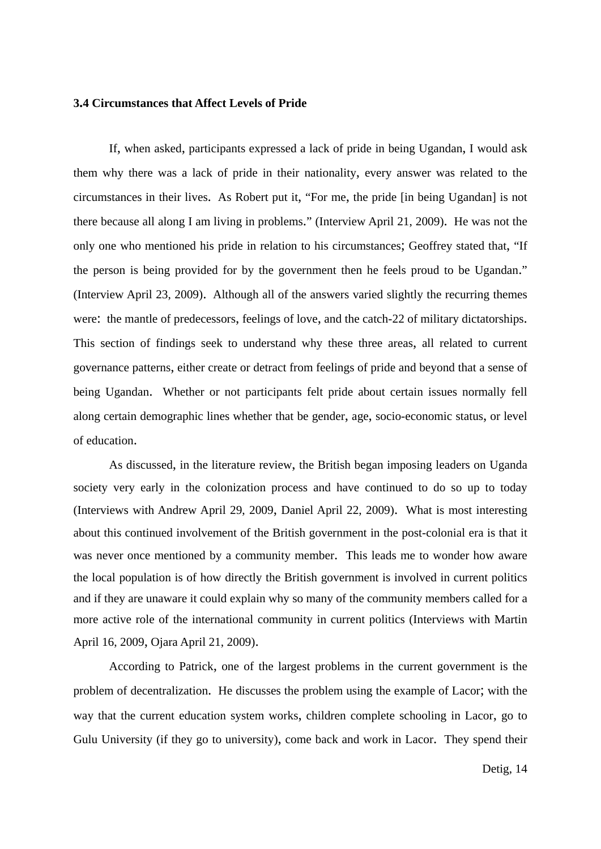#### **3.4 Circumstances that Affect Levels of Pride**

 If, when asked, participants expressed a lack of pride in being Ugandan, I would ask them why there was a lack of pride in their nationality, every answer was related to the circumstances in their lives. As Robert put it, "For me, the pride [in being Ugandan] is not there because all along I am living in problems." (Interview April 21, 2009). He was not the only one who mentioned his pride in relation to his circumstances; Geoffrey stated that, "If the person is being provided for by the government then he feels proud to be Ugandan." (Interview April 23, 2009). Although all of the answers varied slightly the recurring themes were: the mantle of predecessors, feelings of love, and the catch-22 of military dictatorships. This section of findings seek to understand why these three areas, all related to current governance patterns, either create or detract from feelings of pride and beyond that a sense of being Ugandan. Whether or not participants felt pride about certain issues normally fell along certain demographic lines whether that be gender, age, socio-economic status, or level of education.

 As discussed, in the literature review, the British began imposing leaders on Uganda society very early in the colonization process and have continued to do so up to today (Interviews with Andrew April 29, 2009, Daniel April 22, 2009). What is most interesting about this continued involvement of the British government in the post-colonial era is that it was never once mentioned by a community member. This leads me to wonder how aware the local population is of how directly the British government is involved in current politics and if they are unaware it could explain why so many of the community members called for a more active role of the international community in current politics (Interviews with Martin April 16, 2009, Ojara April 21, 2009).

 According to Patrick, one of the largest problems in the current government is the problem of decentralization. He discusses the problem using the example of Lacor; with the way that the current education system works, children complete schooling in Lacor, go to Gulu University (if they go to university), come back and work in Lacor. They spend their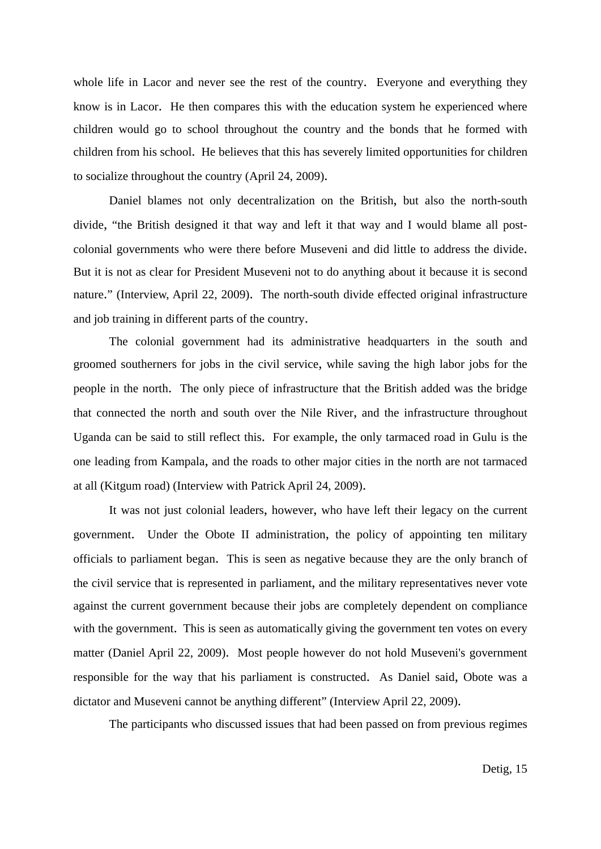whole life in Lacor and never see the rest of the country. Everyone and everything they know is in Lacor. He then compares this with the education system he experienced where children would go to school throughout the country and the bonds that he formed with children from his school. He believes that this has severely limited opportunities for children to socialize throughout the country (April 24, 2009).

 Daniel blames not only decentralization on the British, but also the north-south divide, "the British designed it that way and left it that way and I would blame all postcolonial governments who were there before Museveni and did little to address the divide. But it is not as clear for President Museveni not to do anything about it because it is second nature." (Interview, April 22, 2009). The north-south divide effected original infrastructure and job training in different parts of the country.

 The colonial government had its administrative headquarters in the south and groomed southerners for jobs in the civil service, while saving the high labor jobs for the people in the north. The only piece of infrastructure that the British added was the bridge that connected the north and south over the Nile River, and the infrastructure throughout Uganda can be said to still reflect this. For example, the only tarmaced road in Gulu is the one leading from Kampala, and the roads to other major cities in the north are not tarmaced at all (Kitgum road) (Interview with Patrick April 24, 2009).

 It was not just colonial leaders, however, who have left their legacy on the current government. Under the Obote II administration, the policy of appointing ten military officials to parliament began. This is seen as negative because they are the only branch of the civil service that is represented in parliament, and the military representatives never vote against the current government because their jobs are completely dependent on compliance with the government. This is seen as automatically giving the government ten votes on every matter (Daniel April 22, 2009). Most people however do not hold Museveni's government responsible for the way that his parliament is constructed. As Daniel said, Obote was a dictator and Museveni cannot be anything different" (Interview April 22, 2009).

The participants who discussed issues that had been passed on from previous regimes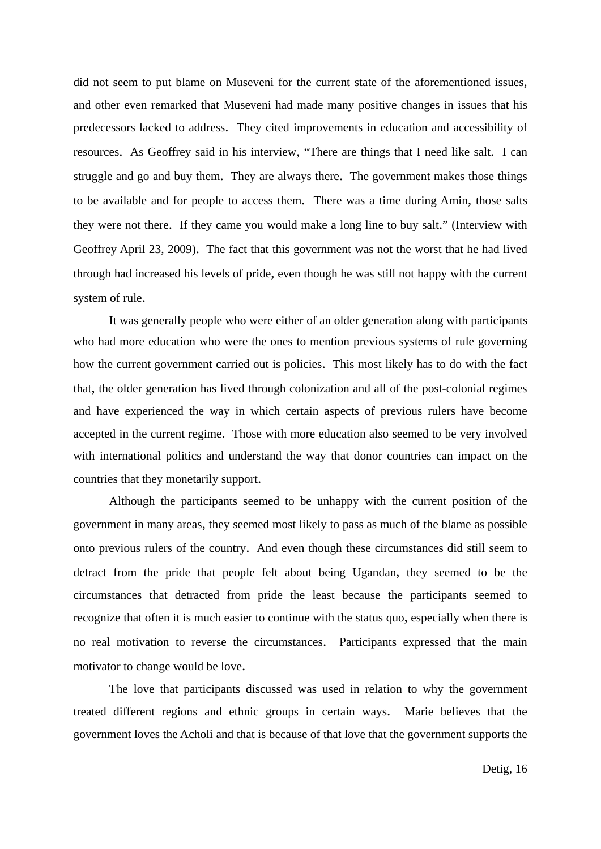did not seem to put blame on Museveni for the current state of the aforementioned issues, and other even remarked that Museveni had made many positive changes in issues that his predecessors lacked to address. They cited improvements in education and accessibility of resources. As Geoffrey said in his interview, "There are things that I need like salt. I can struggle and go and buy them. They are always there. The government makes those things to be available and for people to access them. There was a time during Amin, those salts they were not there. If they came you would make a long line to buy salt." (Interview with Geoffrey April 23, 2009). The fact that this government was not the worst that he had lived through had increased his levels of pride, even though he was still not happy with the current system of rule.

 It was generally people who were either of an older generation along with participants who had more education who were the ones to mention previous systems of rule governing how the current government carried out is policies. This most likely has to do with the fact that, the older generation has lived through colonization and all of the post-colonial regimes and have experienced the way in which certain aspects of previous rulers have become accepted in the current regime. Those with more education also seemed to be very involved with international politics and understand the way that donor countries can impact on the countries that they monetarily support.

 Although the participants seemed to be unhappy with the current position of the government in many areas, they seemed most likely to pass as much of the blame as possible onto previous rulers of the country. And even though these circumstances did still seem to detract from the pride that people felt about being Ugandan, they seemed to be the circumstances that detracted from pride the least because the participants seemed to recognize that often it is much easier to continue with the status quo, especially when there is no real motivation to reverse the circumstances. Participants expressed that the main motivator to change would be love.

 The love that participants discussed was used in relation to why the government treated different regions and ethnic groups in certain ways. Marie believes that the government loves the Acholi and that is because of that love that the government supports the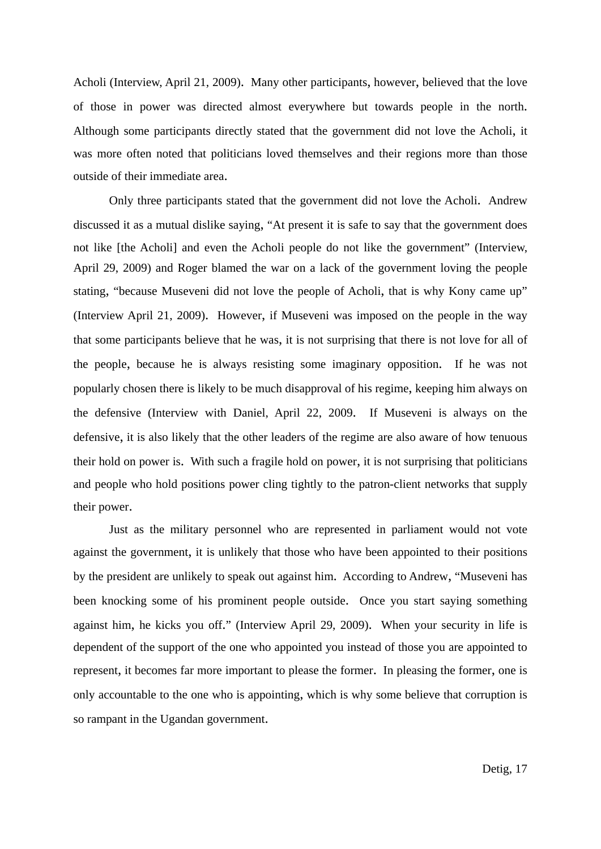Acholi (Interview, April 21, 2009). Many other participants, however, believed that the love of those in power was directed almost everywhere but towards people in the north. Although some participants directly stated that the government did not love the Acholi, it was more often noted that politicians loved themselves and their regions more than those outside of their immediate area.

 Only three participants stated that the government did not love the Acholi. Andrew discussed it as a mutual dislike saying, "At present it is safe to say that the government does not like [the Acholi] and even the Acholi people do not like the government" (Interview, April 29, 2009) and Roger blamed the war on a lack of the government loving the people stating, "because Museveni did not love the people of Acholi, that is why Kony came up" (Interview April 21, 2009). However, if Museveni was imposed on the people in the way that some participants believe that he was, it is not surprising that there is not love for all of the people, because he is always resisting some imaginary opposition. If he was not popularly chosen there is likely to be much disapproval of his regime, keeping him always on the defensive (Interview with Daniel, April 22, 2009. If Museveni is always on the defensive, it is also likely that the other leaders of the regime are also aware of how tenuous their hold on power is. With such a fragile hold on power, it is not surprising that politicians and people who hold positions power cling tightly to the patron-client networks that supply their power.

 Just as the military personnel who are represented in parliament would not vote against the government, it is unlikely that those who have been appointed to their positions by the president are unlikely to speak out against him. According to Andrew, "Museveni has been knocking some of his prominent people outside. Once you start saying something against him, he kicks you off." (Interview April 29, 2009). When your security in life is dependent of the support of the one who appointed you instead of those you are appointed to represent, it becomes far more important to please the former. In pleasing the former, one is only accountable to the one who is appointing, which is why some believe that corruption is so rampant in the Ugandan government.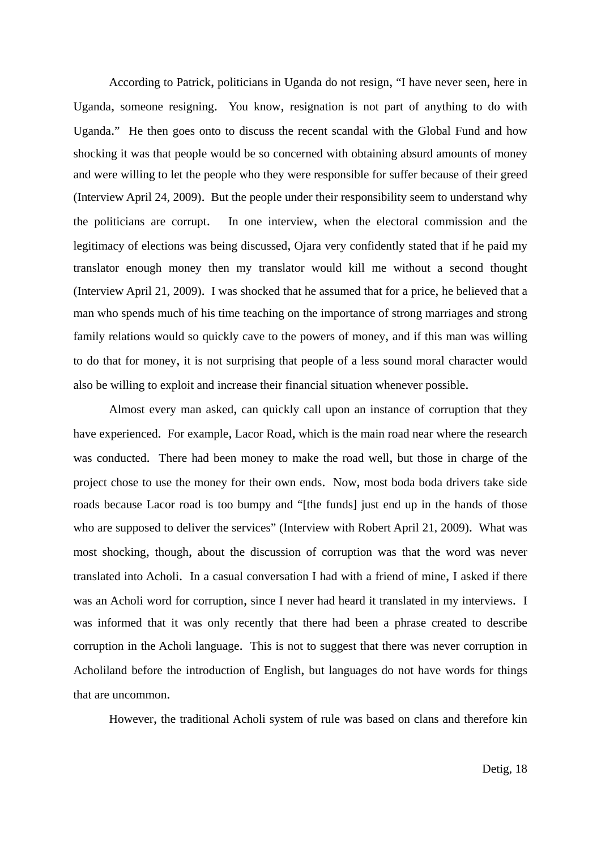According to Patrick, politicians in Uganda do not resign, "I have never seen, here in Uganda, someone resigning. You know, resignation is not part of anything to do with Uganda." He then goes onto to discuss the recent scandal with the Global Fund and how shocking it was that people would be so concerned with obtaining absurd amounts of money and were willing to let the people who they were responsible for suffer because of their greed (Interview April 24, 2009). But the people under their responsibility seem to understand why the politicians are corrupt. In one interview, when the electoral commission and the legitimacy of elections was being discussed, Ojara very confidently stated that if he paid my translator enough money then my translator would kill me without a second thought (Interview April 21, 2009). I was shocked that he assumed that for a price, he believed that a man who spends much of his time teaching on the importance of strong marriages and strong family relations would so quickly cave to the powers of money, and if this man was willing to do that for money, it is not surprising that people of a less sound moral character would also be willing to exploit and increase their financial situation whenever possible.

 Almost every man asked, can quickly call upon an instance of corruption that they have experienced. For example, Lacor Road, which is the main road near where the research was conducted. There had been money to make the road well, but those in charge of the project chose to use the money for their own ends. Now, most boda boda drivers take side roads because Lacor road is too bumpy and "[the funds] just end up in the hands of those who are supposed to deliver the services" (Interview with Robert April 21, 2009). What was most shocking, though, about the discussion of corruption was that the word was never translated into Acholi. In a casual conversation I had with a friend of mine, I asked if there was an Acholi word for corruption, since I never had heard it translated in my interviews. I was informed that it was only recently that there had been a phrase created to describe corruption in the Acholi language. This is not to suggest that there was never corruption in Acholiland before the introduction of English, but languages do not have words for things that are uncommon.

However, the traditional Acholi system of rule was based on clans and therefore kin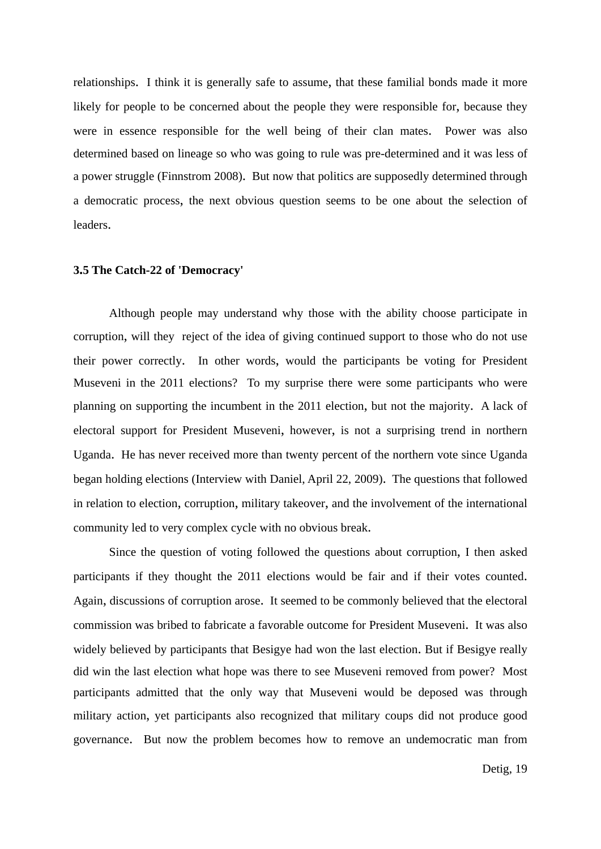relationships. I think it is generally safe to assume, that these familial bonds made it more likely for people to be concerned about the people they were responsible for, because they were in essence responsible for the well being of their clan mates. Power was also determined based on lineage so who was going to rule was pre-determined and it was less of a power struggle (Finnstrom 2008). But now that politics are supposedly determined through a democratic process, the next obvious question seems to be one about the selection of leaders.

#### **3.5 The Catch-22 of 'Democracy'**

 Although people may understand why those with the ability choose participate in corruption, will they reject of the idea of giving continued support to those who do not use their power correctly. In other words, would the participants be voting for President Museveni in the 2011 elections? To my surprise there were some participants who were planning on supporting the incumbent in the 2011 election, but not the majority. A lack of electoral support for President Museveni, however, is not a surprising trend in northern Uganda. He has never received more than twenty percent of the northern vote since Uganda began holding elections (Interview with Daniel, April 22, 2009). The questions that followed in relation to election, corruption, military takeover, and the involvement of the international community led to very complex cycle with no obvious break.

 Since the question of voting followed the questions about corruption, I then asked participants if they thought the 2011 elections would be fair and if their votes counted. Again, discussions of corruption arose. It seemed to be commonly believed that the electoral commission was bribed to fabricate a favorable outcome for President Museveni. It was also widely believed by participants that Besigye had won the last election. But if Besigye really did win the last election what hope was there to see Museveni removed from power? Most participants admitted that the only way that Museveni would be deposed was through military action, yet participants also recognized that military coups did not produce good governance. But now the problem becomes how to remove an undemocratic man from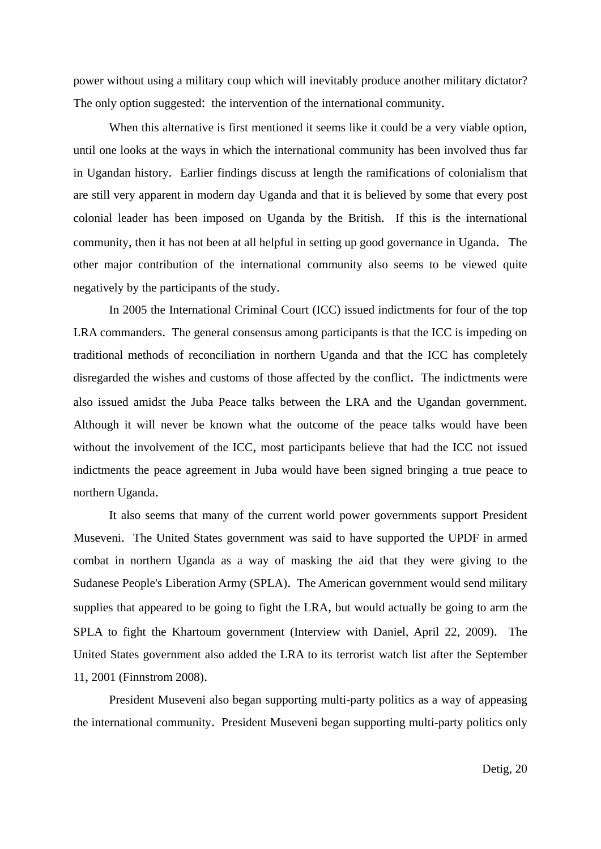power without using a military coup which will inevitably produce another military dictator? The only option suggested: the intervention of the international community.

When this alternative is first mentioned it seems like it could be a very viable option, until one looks at the ways in which the international community has been involved thus far in Ugandan history. Earlier findings discuss at length the ramifications of colonialism that are still very apparent in modern day Uganda and that it is believed by some that every post colonial leader has been imposed on Uganda by the British. If this is the international community, then it has not been at all helpful in setting up good governance in Uganda. The other major contribution of the international community also seems to be viewed quite negatively by the participants of the study.

 In 2005 the International Criminal Court (ICC) issued indictments for four of the top LRA commanders. The general consensus among participants is that the ICC is impeding on traditional methods of reconciliation in northern Uganda and that the ICC has completely disregarded the wishes and customs of those affected by the conflict. The indictments were also issued amidst the Juba Peace talks between the LRA and the Ugandan government. Although it will never be known what the outcome of the peace talks would have been without the involvement of the ICC, most participants believe that had the ICC not issued indictments the peace agreement in Juba would have been signed bringing a true peace to northern Uganda.

 It also seems that many of the current world power governments support President Museveni. The United States government was said to have supported the UPDF in armed combat in northern Uganda as a way of masking the aid that they were giving to the Sudanese People's Liberation Army (SPLA). The American government would send military supplies that appeared to be going to fight the LRA, but would actually be going to arm the SPLA to fight the Khartoum government (Interview with Daniel, April 22, 2009). The United States government also added the LRA to its terrorist watch list after the September 11, 2001 (Finnstrom 2008).

 President Museveni also began supporting multi-party politics as a way of appeasing the international community. President Museveni began supporting multi-party politics only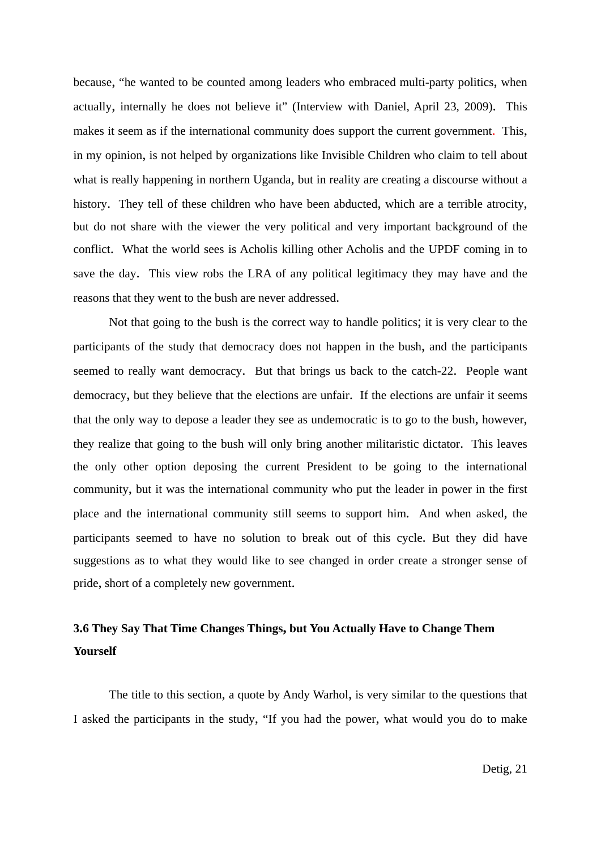because, "he wanted to be counted among leaders who embraced multi-party politics, when actually, internally he does not believe it" (Interview with Daniel, April 23, 2009). This makes it seem as if the international community does support the current government. This, in my opinion, is not helped by organizations like Invisible Children who claim to tell about what is really happening in northern Uganda, but in reality are creating a discourse without a history. They tell of these children who have been abducted, which are a terrible atrocity, but do not share with the viewer the very political and very important background of the conflict. What the world sees is Acholis killing other Acholis and the UPDF coming in to save the day. This view robs the LRA of any political legitimacy they may have and the reasons that they went to the bush are never addressed.

 Not that going to the bush is the correct way to handle politics; it is very clear to the participants of the study that democracy does not happen in the bush, and the participants seemed to really want democracy. But that brings us back to the catch-22. People want democracy, but they believe that the elections are unfair. If the elections are unfair it seems that the only way to depose a leader they see as undemocratic is to go to the bush, however, they realize that going to the bush will only bring another militaristic dictator. This leaves the only other option deposing the current President to be going to the international community, but it was the international community who put the leader in power in the first place and the international community still seems to support him. And when asked, the participants seemed to have no solution to break out of this cycle. But they did have suggestions as to what they would like to see changed in order create a stronger sense of pride, short of a completely new government.

## **3.6 They Say That Time Changes Things, but You Actually Have to Change Them Yourself**

 The title to this section, a quote by Andy Warhol, is very similar to the questions that I asked the participants in the study, "If you had the power, what would you do to make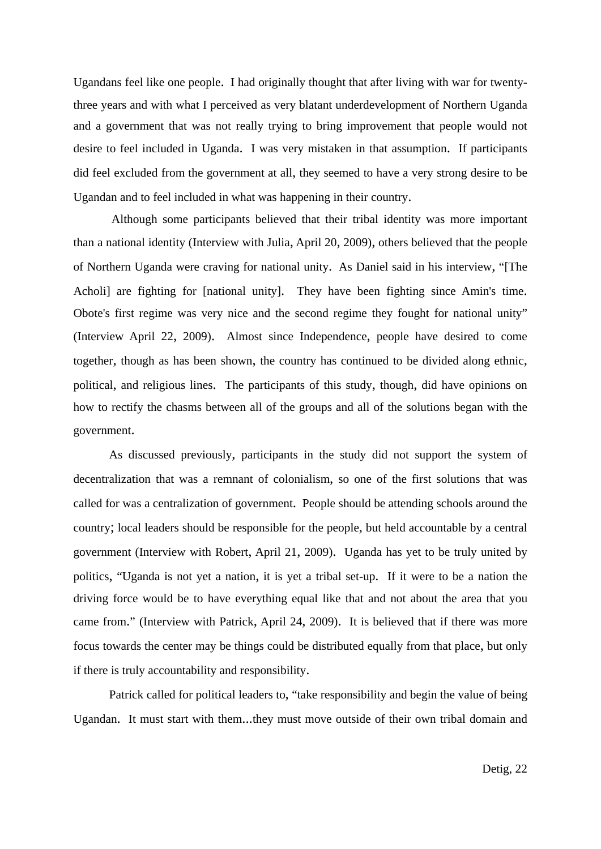Ugandans feel like one people. I had originally thought that after living with war for twentythree years and with what I perceived as very blatant underdevelopment of Northern Uganda and a government that was not really trying to bring improvement that people would not desire to feel included in Uganda. I was very mistaken in that assumption. If participants did feel excluded from the government at all, they seemed to have a very strong desire to be Ugandan and to feel included in what was happening in their country.

 Although some participants believed that their tribal identity was more important than a national identity (Interview with Julia, April 20, 2009), others believed that the people of Northern Uganda were craving for national unity. As Daniel said in his interview, "[The Acholi] are fighting for [national unity]. They have been fighting since Amin's time. Obote's first regime was very nice and the second regime they fought for national unity" (Interview April 22, 2009). Almost since Independence, people have desired to come together, though as has been shown, the country has continued to be divided along ethnic, political, and religious lines. The participants of this study, though, did have opinions on how to rectify the chasms between all of the groups and all of the solutions began with the government.

 As discussed previously, participants in the study did not support the system of decentralization that was a remnant of colonialism, so one of the first solutions that was called for was a centralization of government. People should be attending schools around the country; local leaders should be responsible for the people, but held accountable by a central government (Interview with Robert, April 21, 2009). Uganda has yet to be truly united by politics, "Uganda is not yet a nation, it is yet a tribal set-up. If it were to be a nation the driving force would be to have everything equal like that and not about the area that you came from." (Interview with Patrick, April 24, 2009). It is believed that if there was more focus towards the center may be things could be distributed equally from that place, but only if there is truly accountability and responsibility.

 Patrick called for political leaders to, "take responsibility and begin the value of being Ugandan. It must start with them...they must move outside of their own tribal domain and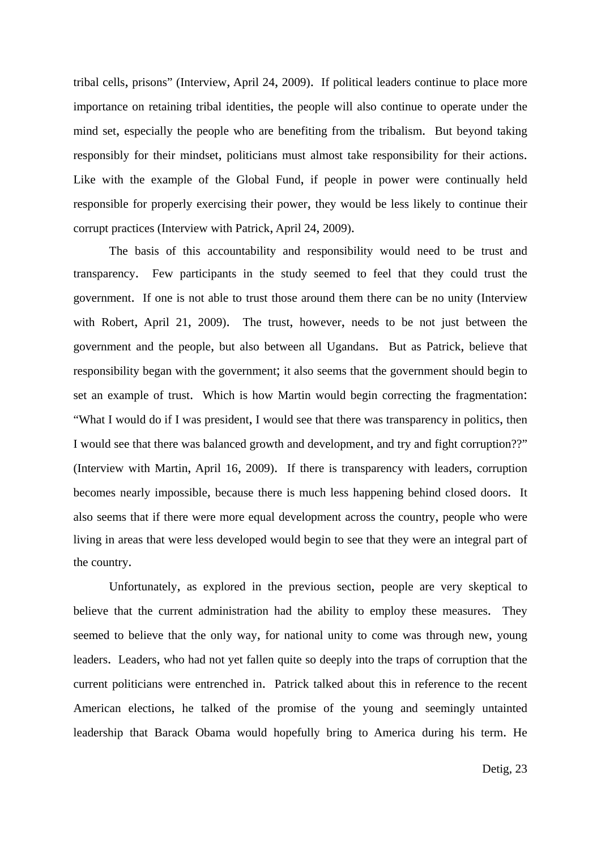tribal cells, prisons" (Interview, April 24, 2009). If political leaders continue to place more importance on retaining tribal identities, the people will also continue to operate under the mind set, especially the people who are benefiting from the tribalism. But beyond taking responsibly for their mindset, politicians must almost take responsibility for their actions. Like with the example of the Global Fund, if people in power were continually held responsible for properly exercising their power, they would be less likely to continue their corrupt practices (Interview with Patrick, April 24, 2009).

 The basis of this accountability and responsibility would need to be trust and transparency. Few participants in the study seemed to feel that they could trust the government. If one is not able to trust those around them there can be no unity (Interview with Robert, April 21, 2009). The trust, however, needs to be not just between the government and the people, but also between all Ugandans. But as Patrick, believe that responsibility began with the government; it also seems that the government should begin to set an example of trust. Which is how Martin would begin correcting the fragmentation: "What I would do if I was president, I would see that there was transparency in politics, then I would see that there was balanced growth and development, and try and fight corruption??" (Interview with Martin, April 16, 2009). If there is transparency with leaders, corruption becomes nearly impossible, because there is much less happening behind closed doors. It also seems that if there were more equal development across the country, people who were living in areas that were less developed would begin to see that they were an integral part of the country.

 Unfortunately, as explored in the previous section, people are very skeptical to believe that the current administration had the ability to employ these measures. They seemed to believe that the only way, for national unity to come was through new, young leaders. Leaders, who had not yet fallen quite so deeply into the traps of corruption that the current politicians were entrenched in. Patrick talked about this in reference to the recent American elections, he talked of the promise of the young and seemingly untainted leadership that Barack Obama would hopefully bring to America during his term. He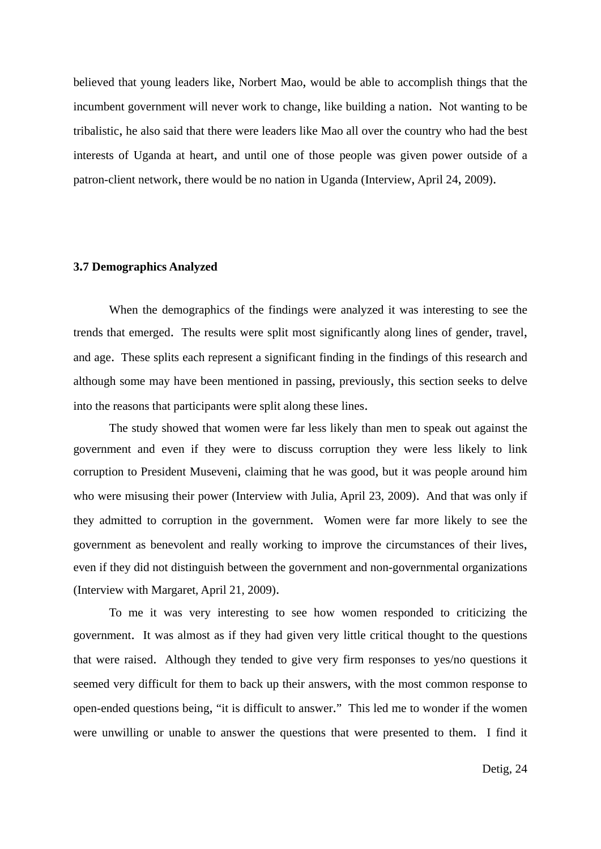believed that young leaders like, Norbert Mao, would be able to accomplish things that the incumbent government will never work to change, like building a nation. Not wanting to be tribalistic, he also said that there were leaders like Mao all over the country who had the best interests of Uganda at heart, and until one of those people was given power outside of a patron-client network, there would be no nation in Uganda (Interview, April 24, 2009).

#### **3.7 Demographics Analyzed**

When the demographics of the findings were analyzed it was interesting to see the trends that emerged. The results were split most significantly along lines of gender, travel, and age. These splits each represent a significant finding in the findings of this research and although some may have been mentioned in passing, previously, this section seeks to delve into the reasons that participants were split along these lines.

 The study showed that women were far less likely than men to speak out against the government and even if they were to discuss corruption they were less likely to link corruption to President Museveni, claiming that he was good, but it was people around him who were misusing their power (Interview with Julia, April 23, 2009). And that was only if they admitted to corruption in the government. Women were far more likely to see the government as benevolent and really working to improve the circumstances of their lives, even if they did not distinguish between the government and non-governmental organizations (Interview with Margaret, April 21, 2009).

 To me it was very interesting to see how women responded to criticizing the government. It was almost as if they had given very little critical thought to the questions that were raised. Although they tended to give very firm responses to yes/no questions it seemed very difficult for them to back up their answers, with the most common response to open-ended questions being, "it is difficult to answer." This led me to wonder if the women were unwilling or unable to answer the questions that were presented to them. I find it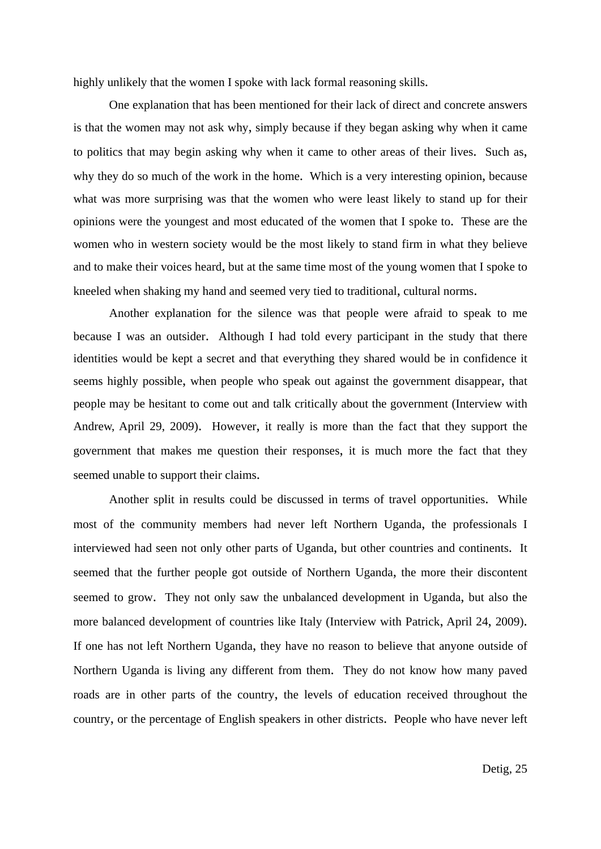highly unlikely that the women I spoke with lack formal reasoning skills.

 One explanation that has been mentioned for their lack of direct and concrete answers is that the women may not ask why, simply because if they began asking why when it came to politics that may begin asking why when it came to other areas of their lives. Such as, why they do so much of the work in the home. Which is a very interesting opinion, because what was more surprising was that the women who were least likely to stand up for their opinions were the youngest and most educated of the women that I spoke to. These are the women who in western society would be the most likely to stand firm in what they believe and to make their voices heard, but at the same time most of the young women that I spoke to kneeled when shaking my hand and seemed very tied to traditional, cultural norms.

 Another explanation for the silence was that people were afraid to speak to me because I was an outsider. Although I had told every participant in the study that there identities would be kept a secret and that everything they shared would be in confidence it seems highly possible, when people who speak out against the government disappear, that people may be hesitant to come out and talk critically about the government (Interview with Andrew, April 29, 2009). However, it really is more than the fact that they support the government that makes me question their responses, it is much more the fact that they seemed unable to support their claims.

 Another split in results could be discussed in terms of travel opportunities. While most of the community members had never left Northern Uganda, the professionals I interviewed had seen not only other parts of Uganda, but other countries and continents. It seemed that the further people got outside of Northern Uganda, the more their discontent seemed to grow. They not only saw the unbalanced development in Uganda, but also the more balanced development of countries like Italy (Interview with Patrick, April 24, 2009). If one has not left Northern Uganda, they have no reason to believe that anyone outside of Northern Uganda is living any different from them. They do not know how many paved roads are in other parts of the country, the levels of education received throughout the country, or the percentage of English speakers in other districts. People who have never left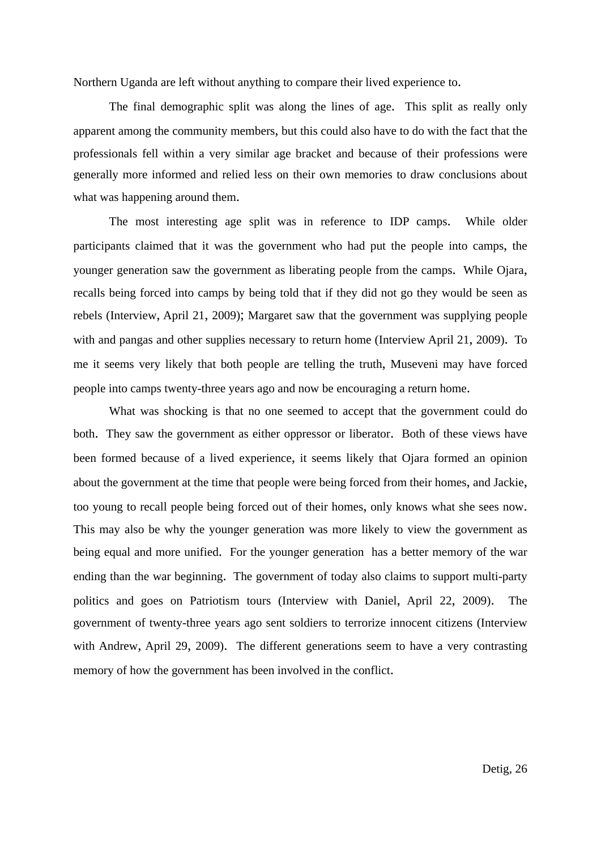Northern Uganda are left without anything to compare their lived experience to.

 The final demographic split was along the lines of age. This split as really only apparent among the community members, but this could also have to do with the fact that the professionals fell within a very similar age bracket and because of their professions were generally more informed and relied less on their own memories to draw conclusions about what was happening around them.

 The most interesting age split was in reference to IDP camps. While older participants claimed that it was the government who had put the people into camps, the younger generation saw the government as liberating people from the camps. While Ojara, recalls being forced into camps by being told that if they did not go they would be seen as rebels (Interview, April 21, 2009); Margaret saw that the government was supplying people with and pangas and other supplies necessary to return home (Interview April 21, 2009). To me it seems very likely that both people are telling the truth, Museveni may have forced people into camps twenty-three years ago and now be encouraging a return home.

 What was shocking is that no one seemed to accept that the government could do both. They saw the government as either oppressor or liberator. Both of these views have been formed because of a lived experience, it seems likely that Ojara formed an opinion about the government at the time that people were being forced from their homes, and Jackie, too young to recall people being forced out of their homes, only knows what she sees now. This may also be why the younger generation was more likely to view the government as being equal and more unified. For the younger generation has a better memory of the war ending than the war beginning. The government of today also claims to support multi-party politics and goes on Patriotism tours (Interview with Daniel, April 22, 2009). The government of twenty-three years ago sent soldiers to terrorize innocent citizens (Interview with Andrew, April 29, 2009). The different generations seem to have a very contrasting memory of how the government has been involved in the conflict.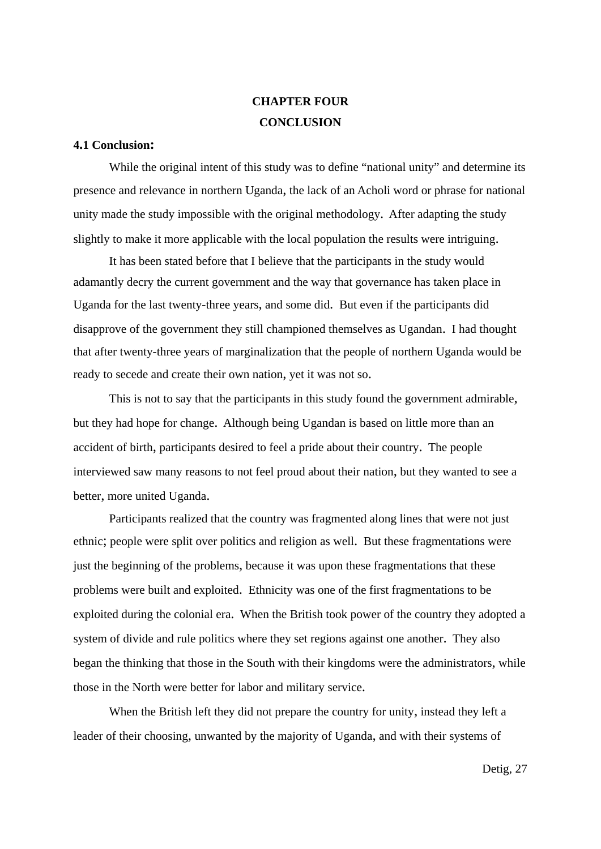# **CHAPTER FOUR CONCLUSION**

#### **4.1 Conclusion:**

While the original intent of this study was to define "national unity" and determine its presence and relevance in northern Uganda, the lack of an Acholi word or phrase for national unity made the study impossible with the original methodology. After adapting the study slightly to make it more applicable with the local population the results were intriguing.

 It has been stated before that I believe that the participants in the study would adamantly decry the current government and the way that governance has taken place in Uganda for the last twenty-three years, and some did. But even if the participants did disapprove of the government they still championed themselves as Ugandan. I had thought that after twenty-three years of marginalization that the people of northern Uganda would be ready to secede and create their own nation, yet it was not so.

 This is not to say that the participants in this study found the government admirable, but they had hope for change. Although being Ugandan is based on little more than an accident of birth, participants desired to feel a pride about their country. The people interviewed saw many reasons to not feel proud about their nation, but they wanted to see a better, more united Uganda.

 Participants realized that the country was fragmented along lines that were not just ethnic; people were split over politics and religion as well. But these fragmentations were just the beginning of the problems, because it was upon these fragmentations that these problems were built and exploited. Ethnicity was one of the first fragmentations to be exploited during the colonial era. When the British took power of the country they adopted a system of divide and rule politics where they set regions against one another. They also began the thinking that those in the South with their kingdoms were the administrators, while those in the North were better for labor and military service.

 When the British left they did not prepare the country for unity, instead they left a leader of their choosing, unwanted by the majority of Uganda, and with their systems of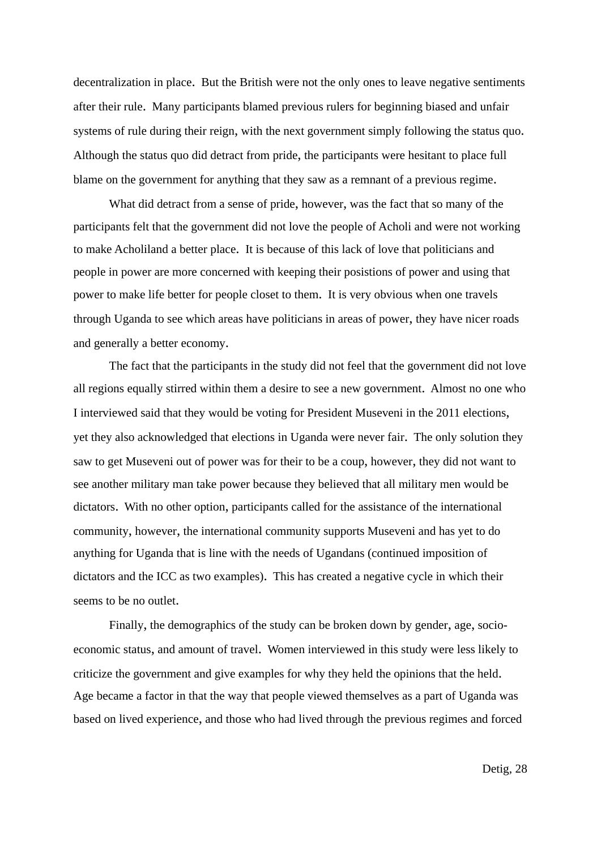decentralization in place. But the British were not the only ones to leave negative sentiments after their rule. Many participants blamed previous rulers for beginning biased and unfair systems of rule during their reign, with the next government simply following the status quo. Although the status quo did detract from pride, the participants were hesitant to place full blame on the government for anything that they saw as a remnant of a previous regime.

What did detract from a sense of pride, however, was the fact that so many of the participants felt that the government did not love the people of Acholi and were not working to make Acholiland a better place. It is because of this lack of love that politicians and people in power are more concerned with keeping their posistions of power and using that power to make life better for people closet to them. It is very obvious when one travels through Uganda to see which areas have politicians in areas of power, they have nicer roads and generally a better economy.

 The fact that the participants in the study did not feel that the government did not love all regions equally stirred within them a desire to see a new government. Almost no one who I interviewed said that they would be voting for President Museveni in the 2011 elections, yet they also acknowledged that elections in Uganda were never fair. The only solution they saw to get Museveni out of power was for their to be a coup, however, they did not want to see another military man take power because they believed that all military men would be dictators. With no other option, participants called for the assistance of the international community, however, the international community supports Museveni and has yet to do anything for Uganda that is line with the needs of Ugandans (continued imposition of dictators and the ICC as two examples). This has created a negative cycle in which their seems to be no outlet.

 Finally, the demographics of the study can be broken down by gender, age, socioeconomic status, and amount of travel. Women interviewed in this study were less likely to criticize the government and give examples for why they held the opinions that the held. Age became a factor in that the way that people viewed themselves as a part of Uganda was based on lived experience, and those who had lived through the previous regimes and forced

Detig, 28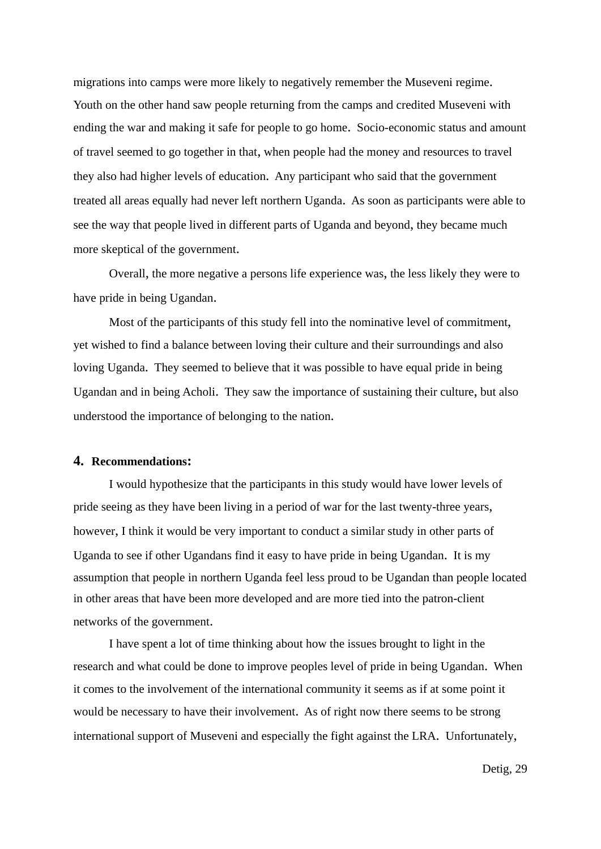migrations into camps were more likely to negatively remember the Museveni regime. Youth on the other hand saw people returning from the camps and credited Museveni with ending the war and making it safe for people to go home. Socio-economic status and amount of travel seemed to go together in that, when people had the money and resources to travel they also had higher levels of education. Any participant who said that the government treated all areas equally had never left northern Uganda. As soon as participants were able to see the way that people lived in different parts of Uganda and beyond, they became much more skeptical of the government.

 Overall, the more negative a persons life experience was, the less likely they were to have pride in being Ugandan.

 Most of the participants of this study fell into the nominative level of commitment, yet wished to find a balance between loving their culture and their surroundings and also loving Uganda. They seemed to believe that it was possible to have equal pride in being Ugandan and in being Acholi. They saw the importance of sustaining their culture, but also understood the importance of belonging to the nation.

### **4. Recommendations:**

 I would hypothesize that the participants in this study would have lower levels of pride seeing as they have been living in a period of war for the last twenty-three years, however, I think it would be very important to conduct a similar study in other parts of Uganda to see if other Ugandans find it easy to have pride in being Ugandan. It is my assumption that people in northern Uganda feel less proud to be Ugandan than people located in other areas that have been more developed and are more tied into the patron-client networks of the government.

 I have spent a lot of time thinking about how the issues brought to light in the research and what could be done to improve peoples level of pride in being Ugandan. When it comes to the involvement of the international community it seems as if at some point it would be necessary to have their involvement. As of right now there seems to be strong international support of Museveni and especially the fight against the LRA. Unfortunately,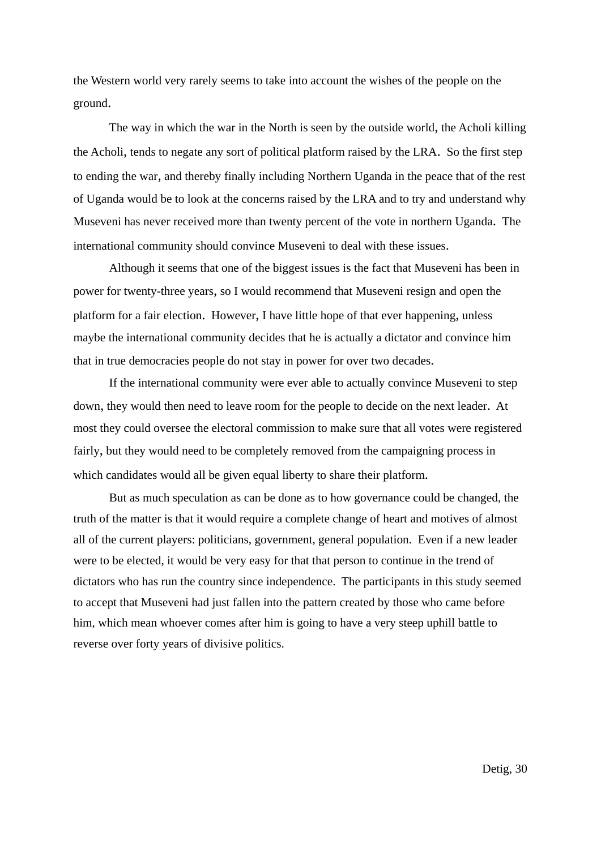the Western world very rarely seems to take into account the wishes of the people on the ground.

 The way in which the war in the North is seen by the outside world, the Acholi killing the Acholi, tends to negate any sort of political platform raised by the LRA. So the first step to ending the war, and thereby finally including Northern Uganda in the peace that of the rest of Uganda would be to look at the concerns raised by the LRA and to try and understand why Museveni has never received more than twenty percent of the vote in northern Uganda. The international community should convince Museveni to deal with these issues.

 Although it seems that one of the biggest issues is the fact that Museveni has been in power for twenty-three years, so I would recommend that Museveni resign and open the platform for a fair election. However, I have little hope of that ever happening, unless maybe the international community decides that he is actually a dictator and convince him that in true democracies people do not stay in power for over two decades.

 If the international community were ever able to actually convince Museveni to step down, they would then need to leave room for the people to decide on the next leader. At most they could oversee the electoral commission to make sure that all votes were registered fairly, but they would need to be completely removed from the campaigning process in which candidates would all be given equal liberty to share their platform.

 But as much speculation as can be done as to how governance could be changed, the truth of the matter is that it would require a complete change of heart and motives of almost all of the current players: politicians, government, general population. Even if a new leader were to be elected, it would be very easy for that that person to continue in the trend of dictators who has run the country since independence. The participants in this study seemed to accept that Museveni had just fallen into the pattern created by those who came before him, which mean whoever comes after him is going to have a very steep uphill battle to reverse over forty years of divisive politics.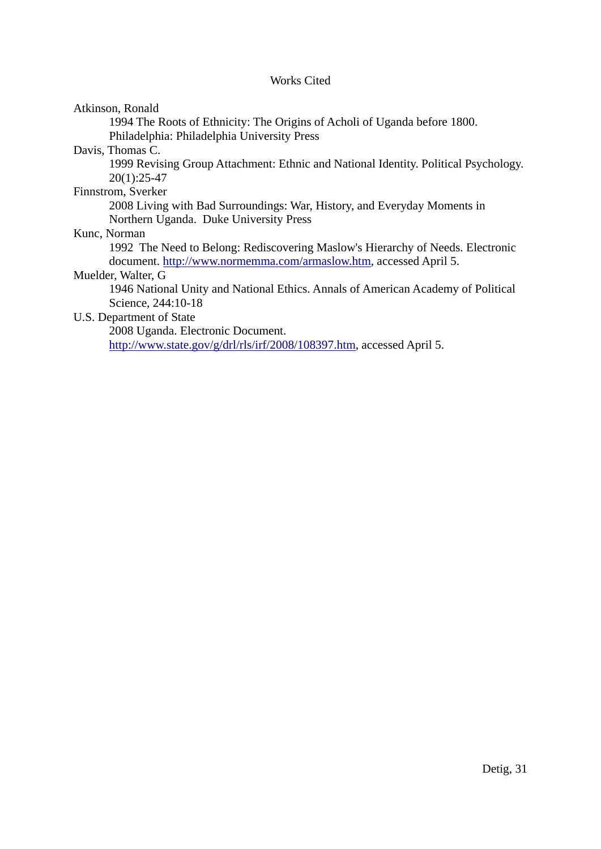### Works Cited

Atkinson, Ronald

 1994 The Roots of Ethnicity: The Origins of Acholi of Uganda before 1800. Philadelphia: Philadelphia University Press

Davis, Thomas C.

 1999 Revising Group Attachment: Ethnic and National Identity. Political Psychology. 20(1):25-47

Finnstrom, Sverker

 2008 Living with Bad Surroundings: War, History, and Everyday Moments in Northern Uganda. Duke University Press

Kunc, Norman

 1992 The Need to Belong: Rediscovering Maslow's Hierarchy of Needs. Electronic document. [http://www.normemma.com/armaslow.htm,](http://www.normemma.com/armaslow.htm) accessed April 5.

### Muelder, Walter, G

 1946 National Unity and National Ethics. Annals of American Academy of Political Science, 244:10-18

### U.S. Department of State

 2008 Uganda. Electronic Document. <http://www.state.gov/g/drl/rls/irf/2008/108397.htm>, accessed April 5.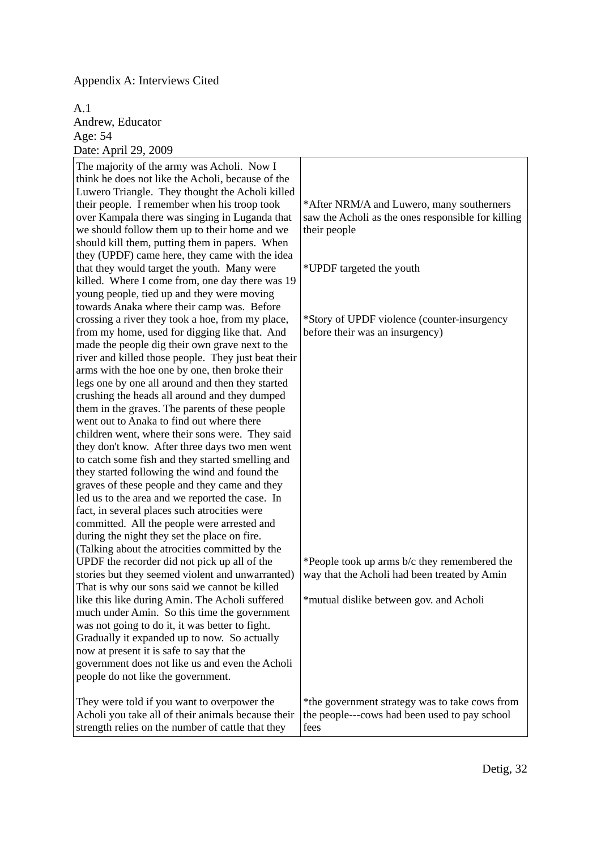### Appendix A: Interviews Cited

A.1 Andrew, Educator Age: 54 Date: April 29, 2009

| $D^{\mu\nu}$ . 1 ipin 27, 2007<br>The majority of the army was Acholi. Now I<br>think he does not like the Acholi, because of the<br>Luwero Triangle. They thought the Acholi killed<br>their people. I remember when his troop took<br>over Kampala there was singing in Luganda that<br>we should follow them up to their home and we<br>should kill them, putting them in papers. When<br>they (UPDF) came here, they came with the idea<br>that they would target the youth. Many were<br>killed. Where I come from, one day there was 19<br>young people, tied up and they were moving<br>towards Anaka where their camp was. Before<br>crossing a river they took a hoe, from my place,<br>from my home, used for digging like that. And<br>made the people dig their own grave next to the<br>river and killed those people. They just beat their<br>arms with the hoe one by one, then broke their<br>legs one by one all around and then they started<br>crushing the heads all around and they dumped<br>them in the graves. The parents of these people<br>went out to Anaka to find out where there<br>children went, where their sons were. They said<br>they don't know. After three days two men went<br>to catch some fish and they started smelling and<br>they started following the wind and found the<br>graves of these people and they came and they<br>led us to the area and we reported the case. In<br>fact, in several places such atrocities were<br>committed. All the people were arrested and<br>during the night they set the place on fire.<br>(Talking about the atrocities committed by the<br>UPDF the recorder did not pick up all of the<br>stories but they seemed violent and unwarranted)<br>That is why our sons said we cannot be killed<br>like this like during Amin. The Acholi suffered<br>much under Amin. So this time the government<br>was not going to do it, it was better to fight.<br>Gradually it expanded up to now. So actually<br>now at present it is safe to say that the<br>government does not like us and even the Acholi<br>people do not like the government. | *After NRM/A and Luwero, many southerners<br>saw the Acholi as the ones responsible for killing<br>their people<br>*UPDF targeted the youth<br>*Story of UPDF violence (counter-insurgency<br>before their was an insurgency)<br>*People took up arms b/c they remembered the<br>way that the Acholi had been treated by Amin<br>*mutual dislike between gov. and Acholi |
|---------------------------------------------------------------------------------------------------------------------------------------------------------------------------------------------------------------------------------------------------------------------------------------------------------------------------------------------------------------------------------------------------------------------------------------------------------------------------------------------------------------------------------------------------------------------------------------------------------------------------------------------------------------------------------------------------------------------------------------------------------------------------------------------------------------------------------------------------------------------------------------------------------------------------------------------------------------------------------------------------------------------------------------------------------------------------------------------------------------------------------------------------------------------------------------------------------------------------------------------------------------------------------------------------------------------------------------------------------------------------------------------------------------------------------------------------------------------------------------------------------------------------------------------------------------------------------------------------------------------------------------------------------------------------------------------------------------------------------------------------------------------------------------------------------------------------------------------------------------------------------------------------------------------------------------------------------------------------------------------------------------------------------------------------------------------------------------------------------------------------------|--------------------------------------------------------------------------------------------------------------------------------------------------------------------------------------------------------------------------------------------------------------------------------------------------------------------------------------------------------------------------|
| They were told if you want to overpower the<br>Acholi you take all of their animals because their<br>strength relies on the number of cattle that they                                                                                                                                                                                                                                                                                                                                                                                                                                                                                                                                                                                                                                                                                                                                                                                                                                                                                                                                                                                                                                                                                                                                                                                                                                                                                                                                                                                                                                                                                                                                                                                                                                                                                                                                                                                                                                                                                                                                                                          | *the government strategy was to take cows from<br>the people---cows had been used to pay school<br>fees                                                                                                                                                                                                                                                                  |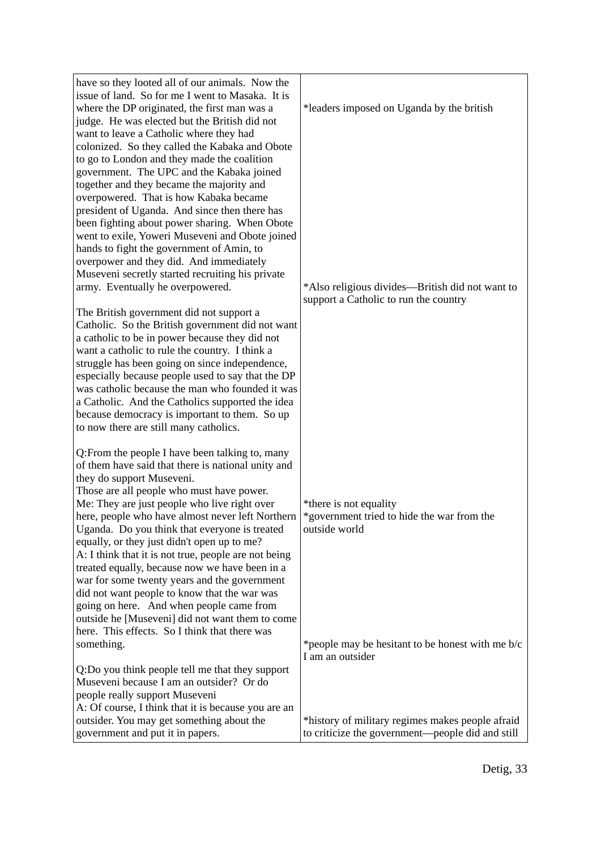| have so they looted all of our animals. Now the<br>issue of land. So for me I went to Masaka. It is<br>where the DP originated, the first man was a<br>judge. He was elected but the British did not<br>want to leave a Catholic where they had<br>colonized. So they called the Kabaka and Obote<br>to go to London and they made the coalition<br>government. The UPC and the Kabaka joined<br>together and they became the majority and<br>overpowered. That is how Kabaka became<br>president of Uganda. And since then there has<br>been fighting about power sharing. When Obote<br>went to exile, Yoweri Museveni and Obote joined<br>hands to fight the government of Amin, to<br>overpower and they did. And immediately<br>Museveni secretly started recruiting his private<br>army. Eventually he overpowered.<br>The British government did not support a<br>Catholic. So the British government did not want<br>a catholic to be in power because they did not<br>want a catholic to rule the country. I think a | *leaders imposed on Uganda by the british<br>*Also religious divides—British did not want to<br>support a Catholic to run the country |
|-------------------------------------------------------------------------------------------------------------------------------------------------------------------------------------------------------------------------------------------------------------------------------------------------------------------------------------------------------------------------------------------------------------------------------------------------------------------------------------------------------------------------------------------------------------------------------------------------------------------------------------------------------------------------------------------------------------------------------------------------------------------------------------------------------------------------------------------------------------------------------------------------------------------------------------------------------------------------------------------------------------------------------|---------------------------------------------------------------------------------------------------------------------------------------|
| struggle has been going on since independence,<br>especially because people used to say that the DP<br>was catholic because the man who founded it was<br>a Catholic. And the Catholics supported the idea<br>because democracy is important to them. So up<br>to now there are still many catholics.                                                                                                                                                                                                                                                                                                                                                                                                                                                                                                                                                                                                                                                                                                                         |                                                                                                                                       |
| Q: From the people I have been talking to, many<br>of them have said that there is national unity and<br>they do support Museveni.<br>Those are all people who must have power.<br>Me: They are just people who live right over<br>here, people who have almost never left Northern<br>Uganda. Do you think that everyone is treated<br>equally, or they just didn't open up to me?<br>A: I think that it is not true, people are not being<br>treated equally, because now we have been in a<br>war for some twenty years and the government<br>did not want people to know that the war was<br>going on here. And when people came from<br>outside he [Museveni] did not want them to come                                                                                                                                                                                                                                                                                                                                  | *there is not equality<br>*government tried to hide the war from the<br>outside world                                                 |
| here. This effects. So I think that there was<br>something.<br>Q:Do you think people tell me that they support<br>Museveni because I am an outsider? Or do                                                                                                                                                                                                                                                                                                                                                                                                                                                                                                                                                                                                                                                                                                                                                                                                                                                                    | *people may be hesitant to be honest with me b/c<br>I am an outsider                                                                  |
| people really support Museveni<br>A: Of course, I think that it is because you are an<br>outsider. You may get something about the<br>government and put it in papers.                                                                                                                                                                                                                                                                                                                                                                                                                                                                                                                                                                                                                                                                                                                                                                                                                                                        | *history of military regimes makes people afraid<br>to criticize the government—people did and still                                  |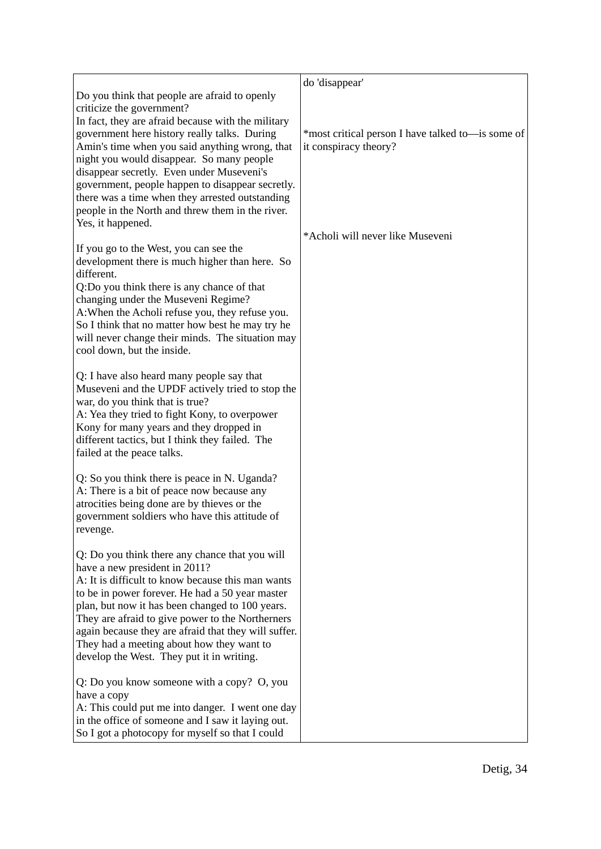|                                                                                                                                                                                                                                                                                                                                                                                                                                                                                                              | do 'disappear'                                                             |
|--------------------------------------------------------------------------------------------------------------------------------------------------------------------------------------------------------------------------------------------------------------------------------------------------------------------------------------------------------------------------------------------------------------------------------------------------------------------------------------------------------------|----------------------------------------------------------------------------|
| Do you think that people are afraid to openly<br>criticize the government?<br>In fact, they are afraid because with the military<br>government here history really talks. During<br>Amin's time when you said anything wrong, that<br>night you would disappear. So many people<br>disappear secretly. Even under Museveni's<br>government, people happen to disappear secretly.<br>there was a time when they arrested outstanding<br>people in the North and threw them in the river.<br>Yes, it happened. | *most critical person I have talked to—is some of<br>it conspiracy theory? |
| If you go to the West, you can see the<br>development there is much higher than here. So<br>different.<br>Q:Do you think there is any chance of that<br>changing under the Museveni Regime?<br>A: When the Acholi refuse you, they refuse you.<br>So I think that no matter how best he may try he<br>will never change their minds. The situation may<br>cool down, but the inside.                                                                                                                         | *Acholi will never like Museveni                                           |
| Q: I have also heard many people say that<br>Museveni and the UPDF actively tried to stop the<br>war, do you think that is true?<br>A: Yea they tried to fight Kony, to overpower<br>Kony for many years and they dropped in<br>different tactics, but I think they failed. The<br>failed at the peace talks.                                                                                                                                                                                                |                                                                            |
| Q: So you think there is peace in N. Uganda?<br>A: There is a bit of peace now because any<br>atrocities being done are by thieves or the<br>government soldiers who have this attitude of<br>revenge.                                                                                                                                                                                                                                                                                                       |                                                                            |
| Q: Do you think there any chance that you will<br>have a new president in 2011?<br>A: It is difficult to know because this man wants<br>to be in power forever. He had a 50 year master<br>plan, but now it has been changed to 100 years.<br>They are afraid to give power to the Northerners<br>again because they are afraid that they will suffer.<br>They had a meeting about how they want to<br>develop the West. They put it in writing.                                                             |                                                                            |
| Q: Do you know someone with a copy? O, you<br>have a copy<br>A: This could put me into danger. I went one day<br>in the office of someone and I saw it laying out.<br>So I got a photocopy for myself so that I could                                                                                                                                                                                                                                                                                        |                                                                            |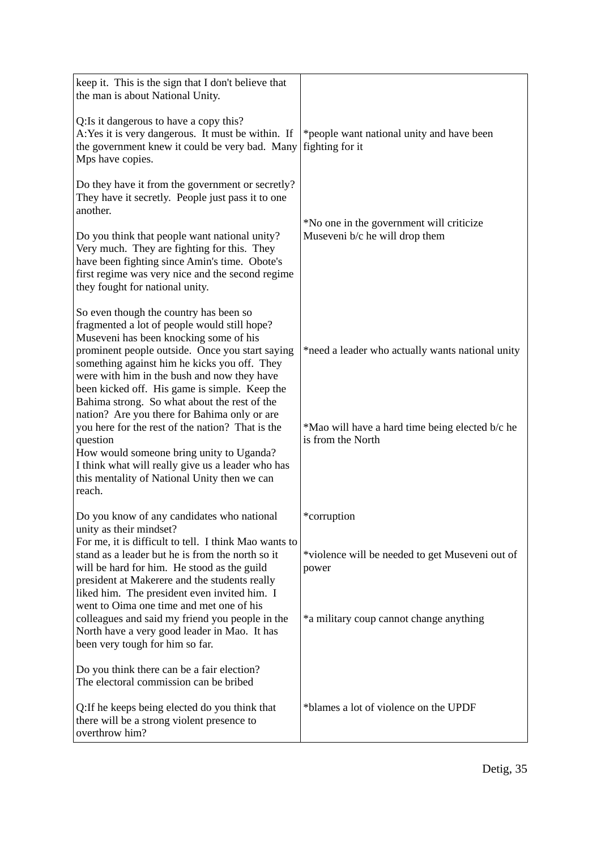| keep it. This is the sign that I don't believe that<br>the man is about National Unity.                                                                                                                                                                                                                                             |                                                                            |
|-------------------------------------------------------------------------------------------------------------------------------------------------------------------------------------------------------------------------------------------------------------------------------------------------------------------------------------|----------------------------------------------------------------------------|
| Q: Is it dangerous to have a copy this?<br>A: Yes it is very dangerous. It must be within. If<br>the government knew it could be very bad. Many<br>Mps have copies.                                                                                                                                                                 | *people want national unity and have been<br>fighting for it               |
| Do they have it from the government or secretly?<br>They have it secretly. People just pass it to one<br>another.<br>Do you think that people want national unity?                                                                                                                                                                  | *No one in the government will criticize<br>Museveni b/c he will drop them |
| Very much. They are fighting for this. They<br>have been fighting since Amin's time. Obote's<br>first regime was very nice and the second regime<br>they fought for national unity.                                                                                                                                                 |                                                                            |
| So even though the country has been so<br>fragmented a lot of people would still hope?<br>Museveni has been knocking some of his<br>prominent people outside. Once you start saying<br>something against him he kicks you off. They<br>were with him in the bush and now they have<br>been kicked off. His game is simple. Keep the | *need a leader who actually wants national unity                           |
| Bahima strong. So what about the rest of the<br>nation? Are you there for Bahima only or are<br>you here for the rest of the nation? That is the<br>question<br>How would someone bring unity to Uganda?<br>I think what will really give us a leader who has<br>this mentality of National Unity then we can<br>reach.             | *Mao will have a hard time being elected b/c he<br>is from the North       |
| Do you know of any candidates who national                                                                                                                                                                                                                                                                                          | *corruption                                                                |
| unity as their mindset?<br>For me, it is difficult to tell. I think Mao wants to<br>stand as a leader but he is from the north so it<br>will be hard for him. He stood as the guild<br>president at Makerere and the students really<br>liked him. The president even invited him. I                                                | *violence will be needed to get Museveni out of<br>power                   |
| went to Oima one time and met one of his<br>colleagues and said my friend you people in the<br>North have a very good leader in Mao. It has<br>been very tough for him so far.                                                                                                                                                      | *a military coup cannot change anything                                    |
| Do you think there can be a fair election?<br>The electoral commission can be bribed                                                                                                                                                                                                                                                |                                                                            |
| Q: If he keeps being elected do you think that<br>there will be a strong violent presence to<br>overthrow him?                                                                                                                                                                                                                      | *blames a lot of violence on the UPDF                                      |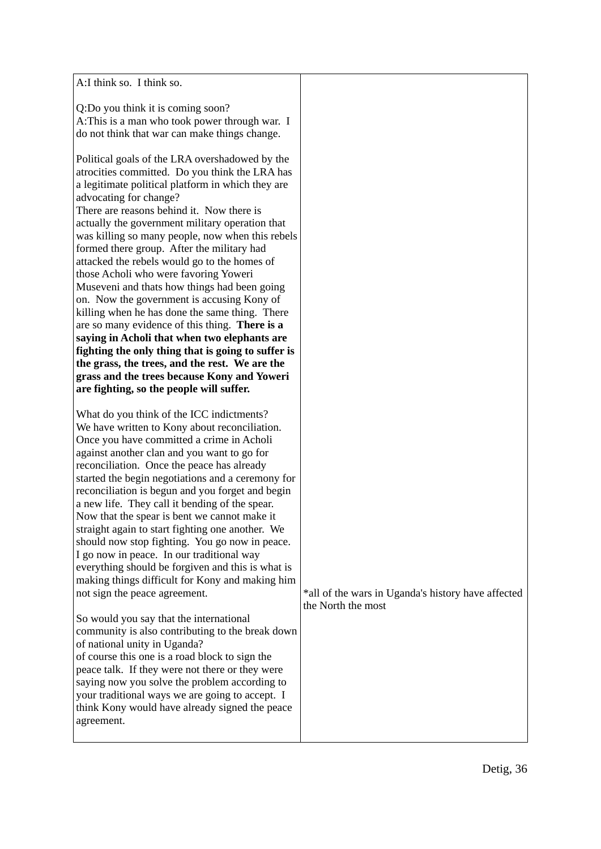| A:I think so. I think so.                                                                                                                                                                                                                                                                                                                                                                                                                                                                                                                                                                                                                                                                                                                                                                                                                                                                                                                                                                                                                                                                                                                           |                                                                          |
|-----------------------------------------------------------------------------------------------------------------------------------------------------------------------------------------------------------------------------------------------------------------------------------------------------------------------------------------------------------------------------------------------------------------------------------------------------------------------------------------------------------------------------------------------------------------------------------------------------------------------------------------------------------------------------------------------------------------------------------------------------------------------------------------------------------------------------------------------------------------------------------------------------------------------------------------------------------------------------------------------------------------------------------------------------------------------------------------------------------------------------------------------------|--------------------------------------------------------------------------|
| Q:Do you think it is coming soon?<br>A: This is a man who took power through war. I<br>do not think that war can make things change.                                                                                                                                                                                                                                                                                                                                                                                                                                                                                                                                                                                                                                                                                                                                                                                                                                                                                                                                                                                                                |                                                                          |
| Political goals of the LRA overshadowed by the<br>atrocities committed. Do you think the LRA has<br>a legitimate political platform in which they are<br>advocating for change?<br>There are reasons behind it. Now there is<br>actually the government military operation that<br>was killing so many people, now when this rebels<br>formed there group. After the military had<br>attacked the rebels would go to the homes of<br>those Acholi who were favoring Yoweri<br>Museveni and thats how things had been going<br>on. Now the government is accusing Kony of<br>killing when he has done the same thing. There<br>are so many evidence of this thing. There is a<br>saying in Acholi that when two elephants are<br>fighting the only thing that is going to suffer is<br>the grass, the trees, and the rest. We are the<br>grass and the trees because Kony and Yoweri<br>are fighting, so the people will suffer.                                                                                                                                                                                                                     |                                                                          |
| What do you think of the ICC indictments?<br>We have written to Kony about reconciliation.<br>Once you have committed a crime in Acholi<br>against another clan and you want to go for<br>reconciliation. Once the peace has already<br>started the begin negotiations and a ceremony for<br>reconciliation is begun and you forget and begin<br>a new life. They call it bending of the spear.<br>Now that the spear is bent we cannot make it<br>straight again to start fighting one another. We<br>should now stop fighting. You go now in peace.<br>I go now in peace. In our traditional way<br>everything should be forgiven and this is what is<br>making things difficult for Kony and making him<br>not sign the peace agreement.<br>So would you say that the international<br>community is also contributing to the break down<br>of national unity in Uganda?<br>of course this one is a road block to sign the<br>peace talk. If they were not there or they were<br>saying now you solve the problem according to<br>your traditional ways we are going to accept. I<br>think Kony would have already signed the peace<br>agreement. | *all of the wars in Uganda's history have affected<br>the North the most |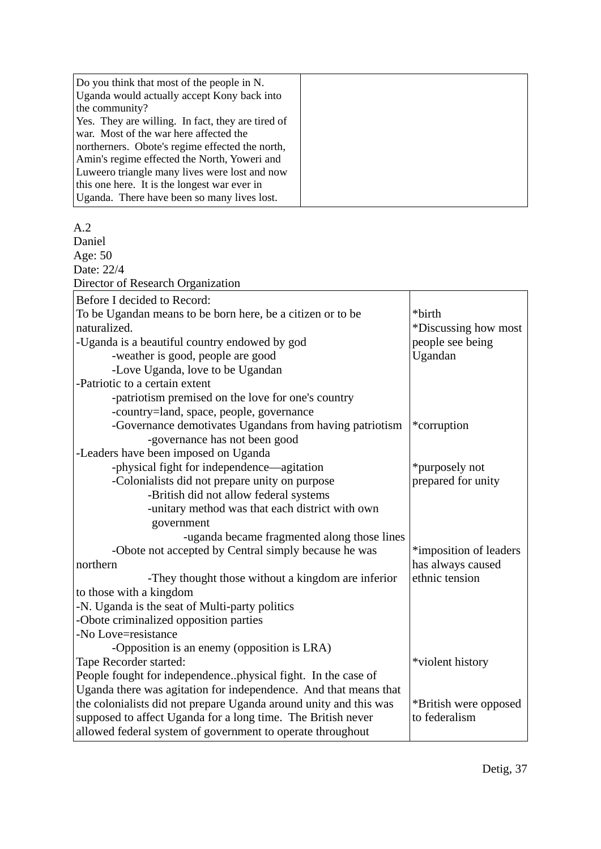| Do you think that most of the people in N.<br>Uganda would actually accept Kony back into |  |
|-------------------------------------------------------------------------------------------|--|
| the community?                                                                            |  |
| Yes. They are willing. In fact, they are tired of                                         |  |
| war. Most of the war here affected the                                                    |  |
| northerners. Obote's regime effected the north,                                           |  |
| Amin's regime effected the North, Yoweri and                                              |  |
| Luweero triangle many lives were lost and now                                             |  |
| this one here. It is the longest war ever in                                              |  |
| Uganda. There have been so many lives lost.                                               |  |

#### $A<sub>2</sub>$

Daniel Age: 50 Date: 22/4 Director of Research Organization Before I decided to Record: To be Ugandan means to be born here, be a citizen or to be naturalized. -Uganda is a beautiful country endowed by god -weather is good, people are good -Love Uganda, love to be Ugandan -Patriotic to a certain extent -patriotism premised on the love for one's country -country=land, space, people, governance -Governance demotivates Ugandans from having patriotism -governance has not been good -Leaders have been imposed on Uganda -physical fight for independence—agitation -Colonialists did not prepare unity on purpose -British did not allow federal systems -unitary method was that each district with own government -uganda became fragmented along those lines -Obote not accepted by Central simply because he was northern -They thought those without a kingdom are inferior to those with a kingdom -N. Uganda is the seat of Multi-party politics -Obote criminalized opposition parties -No Love=resistance -Opposition is an enemy (opposition is LRA) Tape Recorder started: People fought for independence..physical fight. In the case of Uganda there was agitation for independence. And that means that the colonialists did not prepare Uganda around unity and this was supposed to affect Uganda for a long time. The British never allowed federal system of government to operate throughout \*birth \*Discussing how most people see being Ugandan \*corruption \*purposely not prepared for unity \*imposition of leaders has always caused ethnic tension \*violent history \*British were opposed to federalism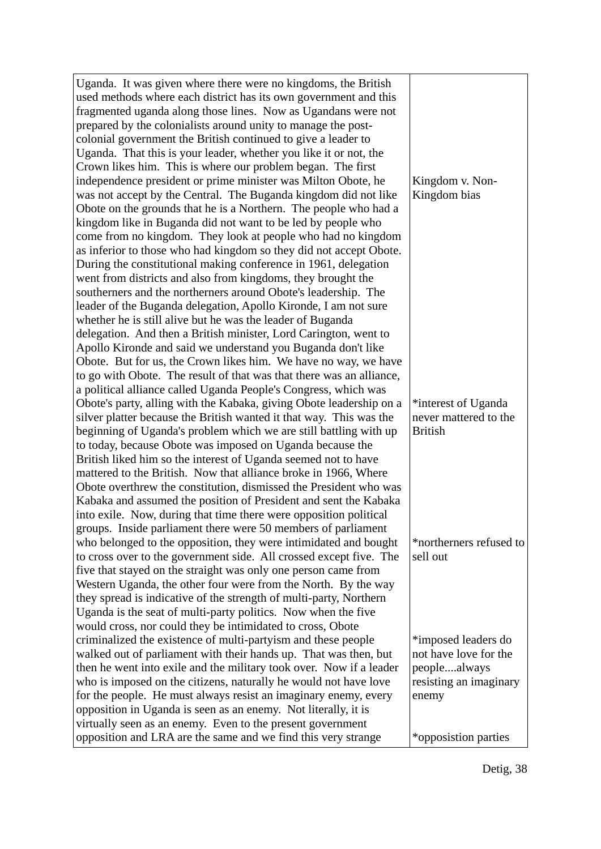| Uganda. It was given where there were no kingdoms, the British                                                                    |                                              |
|-----------------------------------------------------------------------------------------------------------------------------------|----------------------------------------------|
| used methods where each district has its own government and this                                                                  |                                              |
| fragmented uganda along those lines. Now as Ugandans were not                                                                     |                                              |
| prepared by the colonialists around unity to manage the post-                                                                     |                                              |
| colonial government the British continued to give a leader to                                                                     |                                              |
| Uganda. That this is your leader, whether you like it or not, the                                                                 |                                              |
| Crown likes him. This is where our problem began. The first                                                                       |                                              |
| independence president or prime minister was Milton Obote, he                                                                     | Kingdom v. Non-                              |
| was not accept by the Central. The Buganda kingdom did not like                                                                   | Kingdom bias                                 |
| Obote on the grounds that he is a Northern. The people who had a                                                                  |                                              |
| kingdom like in Buganda did not want to be led by people who                                                                      |                                              |
| come from no kingdom. They look at people who had no kingdom                                                                      |                                              |
| as inferior to those who had kingdom so they did not accept Obote.                                                                |                                              |
| During the constitutional making conference in 1961, delegation                                                                   |                                              |
| went from districts and also from kingdoms, they brought the                                                                      |                                              |
| southerners and the northerners around Obote's leadership. The                                                                    |                                              |
| leader of the Buganda delegation, Apollo Kironde, I am not sure                                                                   |                                              |
| whether he is still alive but he was the leader of Buganda                                                                        |                                              |
| delegation. And then a British minister, Lord Carington, went to                                                                  |                                              |
| Apollo Kironde and said we understand you Buganda don't like                                                                      |                                              |
| Obote. But for us, the Crown likes him. We have no way, we have                                                                   |                                              |
| to go with Obote. The result of that was that there was an alliance,                                                              |                                              |
| a political alliance called Uganda People's Congress, which was                                                                   |                                              |
| Obote's party, alling with the Kabaka, giving Obote leadership on a                                                               | *interest of Uganda                          |
| silver platter because the British wanted it that way. This was the                                                               | never mattered to the                        |
| beginning of Uganda's problem which we are still battling with up                                                                 | <b>British</b>                               |
| to today, because Obote was imposed on Uganda because the                                                                         |                                              |
| British liked him so the interest of Uganda seemed not to have                                                                    |                                              |
| mattered to the British. Now that alliance broke in 1966, Where                                                                   |                                              |
| Obote overthrew the constitution, dismissed the President who was                                                                 |                                              |
| Kabaka and assumed the position of President and sent the Kabaka                                                                  |                                              |
| into exile. Now, during that time there were opposition political                                                                 |                                              |
| groups. Inside parliament there were 50 members of parliament                                                                     |                                              |
| who belonged to the opposition, they were intimidated and bought                                                                  | *northerners refused to                      |
| to cross over to the government side. All crossed except five. The                                                                | sell out                                     |
| five that stayed on the straight was only one person came from                                                                    |                                              |
| Western Uganda, the other four were from the North. By the way                                                                    |                                              |
| they spread is indicative of the strength of multi-party, Northern                                                                |                                              |
| Uganda is the seat of multi-party politics. Now when the five                                                                     |                                              |
| would cross, nor could they be intimidated to cross, Obote                                                                        |                                              |
| criminalized the existence of multi-partyism and these people                                                                     | *imposed leaders do<br>not have love for the |
| walked out of parliament with their hands up. That was then, but                                                                  |                                              |
| then he went into exile and the military took over. Now if a leader                                                               | peoplealways                                 |
| who is imposed on the citizens, naturally he would not have love                                                                  | resisting an imaginary                       |
| for the people. He must always resist an imaginary enemy, every<br>opposition in Uganda is seen as an enemy. Not literally, it is | enemy                                        |
| virtually seen as an enemy. Even to the present government                                                                        |                                              |
| opposition and LRA are the same and we find this very strange                                                                     | *opposistion parties                         |
|                                                                                                                                   |                                              |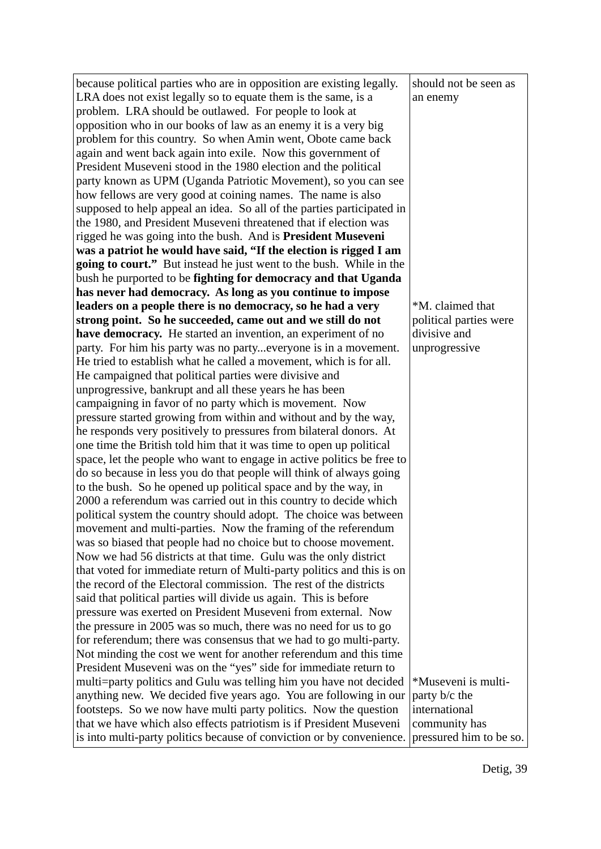| because political parties who are in opposition are existing legally.                                                                  | should not be seen as   |
|----------------------------------------------------------------------------------------------------------------------------------------|-------------------------|
| LRA does not exist legally so to equate them is the same, is a                                                                         | an enemy                |
| problem. LRA should be outlawed. For people to look at                                                                                 |                         |
| opposition who in our books of law as an enemy it is a very big                                                                        |                         |
| problem for this country. So when Amin went, Obote came back                                                                           |                         |
| again and went back again into exile. Now this government of                                                                           |                         |
| President Museveni stood in the 1980 election and the political                                                                        |                         |
| party known as UPM (Uganda Patriotic Movement), so you can see                                                                         |                         |
| how fellows are very good at coining names. The name is also                                                                           |                         |
| supposed to help appeal an idea. So all of the parties participated in                                                                 |                         |
| the 1980, and President Museveni threatened that if election was                                                                       |                         |
| rigged he was going into the bush. And is <b>President Museveni</b>                                                                    |                         |
| was a patriot he would have said, "If the election is rigged I am                                                                      |                         |
| going to court." But instead he just went to the bush. While in the                                                                    |                         |
| bush he purported to be fighting for democracy and that Uganda                                                                         |                         |
| has never had democracy. As long as you continue to impose                                                                             |                         |
| leaders on a people there is no democracy, so he had a very                                                                            | *M. claimed that        |
| strong point. So he succeeded, came out and we still do not                                                                            | political parties were  |
| have democracy. He started an invention, an experiment of no                                                                           | divisive and            |
| party. For him his party was no partyeveryone is in a movement.                                                                        | unprogressive           |
| He tried to establish what he called a movement, which is for all.                                                                     |                         |
| He campaigned that political parties were divisive and                                                                                 |                         |
| unprogressive, bankrupt and all these years he has been                                                                                |                         |
| campaigning in favor of no party which is movement. Now                                                                                |                         |
| pressure started growing from within and without and by the way,                                                                       |                         |
| he responds very positively to pressures from bilateral donors. At                                                                     |                         |
| one time the British told him that it was time to open up political                                                                    |                         |
| space, let the people who want to engage in active politics be free to                                                                 |                         |
| do so because in less you do that people will think of always going                                                                    |                         |
| to the bush. So he opened up political space and by the way, in                                                                        |                         |
| 2000 a referendum was carried out in this country to decide which<br>political system the country should adopt. The choice was between |                         |
| movement and multi-parties. Now the framing of the referendum                                                                          |                         |
| was so biased that people had no choice but to choose movement.                                                                        |                         |
| Now we had 56 districts at that time. Gulu was the only district                                                                       |                         |
| that voted for immediate return of Multi-party politics and this is on                                                                 |                         |
| the record of the Electoral commission. The rest of the districts                                                                      |                         |
| said that political parties will divide us again. This is before                                                                       |                         |
| pressure was exerted on President Museveni from external. Now                                                                          |                         |
| the pressure in 2005 was so much, there was no need for us to go                                                                       |                         |
| for referendum; there was consensus that we had to go multi-party.                                                                     |                         |
| Not minding the cost we went for another referendum and this time                                                                      |                         |
| President Museveni was on the "yes" side for immediate return to                                                                       |                         |
| multi=party politics and Gulu was telling him you have not decided                                                                     | *Museveni is multi-     |
| anything new. We decided five years ago. You are following in our                                                                      | party b/c the           |
| footsteps. So we now have multi party politics. Now the question                                                                       | international           |
| that we have which also effects patriotism is if President Museveni                                                                    | community has           |
| is into multi-party politics because of conviction or by convenience.                                                                  | pressured him to be so. |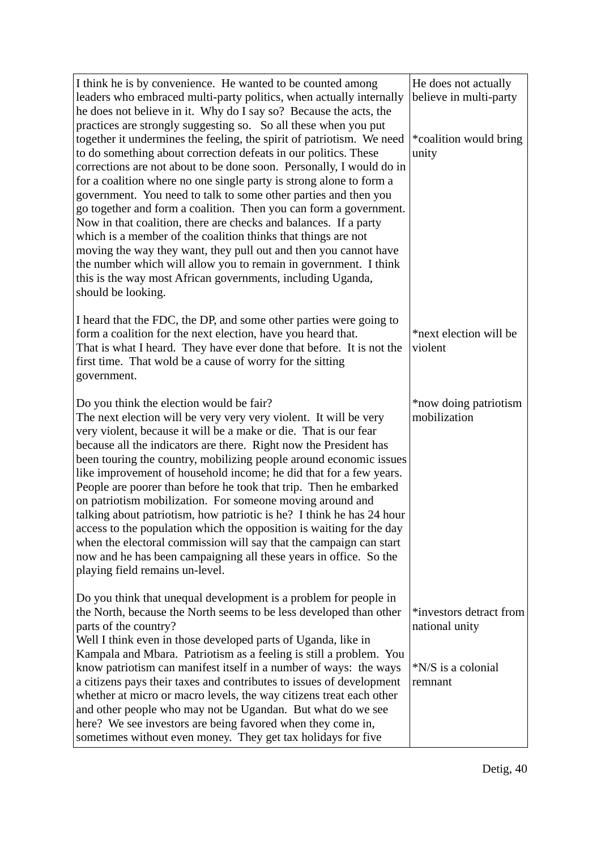| I think he is by convenience. He wanted to be counted among<br>leaders who embraced multi-party politics, when actually internally<br>he does not believe in it. Why do I say so? Because the acts, the<br>practices are strongly suggesting so. So all these when you put<br>together it undermines the feeling, the spirit of patriotism. We need<br>to do something about correction defeats in our politics. These<br>corrections are not about to be done soon. Personally, I would do in<br>for a coalition where no one single party is strong alone to form a<br>government. You need to talk to some other parties and then you<br>go together and form a coalition. Then you can form a government.<br>Now in that coalition, there are checks and balances. If a party<br>which is a member of the coalition thinks that things are not<br>moving the way they want, they pull out and then you cannot have<br>the number which will allow you to remain in government. I think<br>this is the way most African governments, including Uganda,<br>should be looking. | He does not actually<br>believe in multi-party<br>*coalition would bring<br>unity |
|---------------------------------------------------------------------------------------------------------------------------------------------------------------------------------------------------------------------------------------------------------------------------------------------------------------------------------------------------------------------------------------------------------------------------------------------------------------------------------------------------------------------------------------------------------------------------------------------------------------------------------------------------------------------------------------------------------------------------------------------------------------------------------------------------------------------------------------------------------------------------------------------------------------------------------------------------------------------------------------------------------------------------------------------------------------------------------|-----------------------------------------------------------------------------------|
| I heard that the FDC, the DP, and some other parties were going to<br>form a coalition for the next election, have you heard that.<br>That is what I heard. They have ever done that before. It is not the<br>first time. That wold be a cause of worry for the sitting<br>government.                                                                                                                                                                                                                                                                                                                                                                                                                                                                                                                                                                                                                                                                                                                                                                                          | *next election will be<br>violent                                                 |
| Do you think the election would be fair?<br>The next election will be very very very violent. It will be very<br>very violent, because it will be a make or die. That is our fear<br>because all the indicators are there. Right now the President has<br>been touring the country, mobilizing people around economic issues<br>like improvement of household income; he did that for a few years.<br>People are poorer than before he took that trip. Then he embarked<br>on patriotism mobilization. For someone moving around and<br>talking about patriotism, how patriotic is he? I think he has 24 hour<br>access to the population which the opposition is waiting for the day<br>when the electoral commission will say that the campaign can start<br>now and he has been campaigning all these years in office. So the<br>playing field remains un-level.                                                                                                                                                                                                             | *now doing patriotism<br>mobilization                                             |
| Do you think that unequal development is a problem for people in<br>the North, because the North seems to be less developed than other<br>parts of the country?<br>Well I think even in those developed parts of Uganda, like in<br>Kampala and Mbara. Patriotism as a feeling is still a problem. You<br>know patriotism can manifest itself in a number of ways: the ways<br>a citizens pays their taxes and contributes to issues of development<br>whether at micro or macro levels, the way citizens treat each other<br>and other people who may not be Ugandan. But what do we see<br>here? We see investors are being favored when they come in,<br>sometimes without even money. They get tax holidays for five                                                                                                                                                                                                                                                                                                                                                        | *investors detract from<br>national unity<br>*N/S is a colonial<br>remnant        |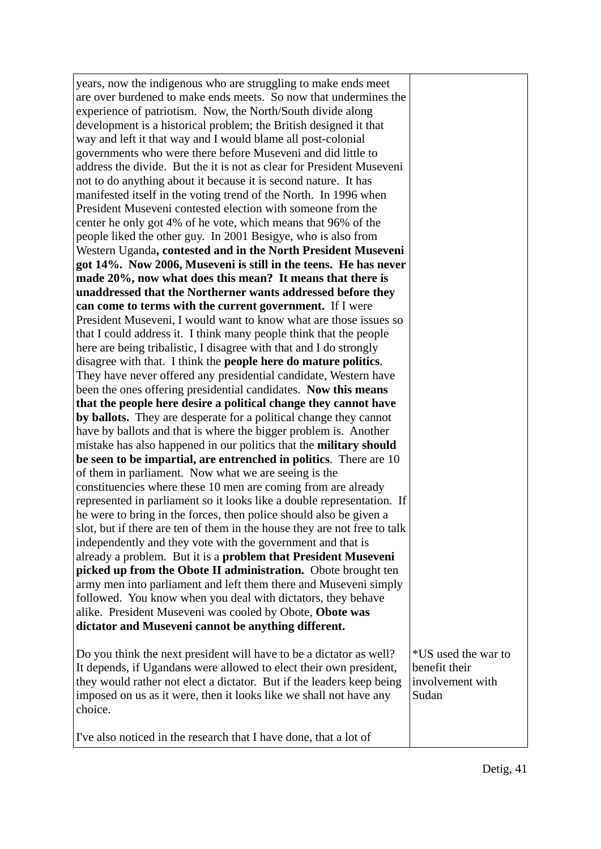| years, now the indigenous who are struggling to make ends meet            |                     |
|---------------------------------------------------------------------------|---------------------|
| are over burdened to make ends meets. So now that undermines the          |                     |
| experience of patriotism. Now, the North/South divide along               |                     |
| development is a historical problem; the British designed it that         |                     |
| way and left it that way and I would blame all post-colonial              |                     |
| governments who were there before Museveni and did little to              |                     |
| address the divide. But the it is not as clear for President Museveni     |                     |
| not to do anything about it because it is second nature. It has           |                     |
| manifested itself in the voting trend of the North. In 1996 when          |                     |
| President Museveni contested election with someone from the               |                     |
| center he only got 4% of he vote, which means that 96% of the             |                     |
| people liked the other guy. In 2001 Besigye, who is also from             |                     |
| Western Uganda, contested and in the North President Museveni             |                     |
| got 14%. Now 2006, Museveni is still in the teens. He has never           |                     |
| made 20%, now what does this mean? It means that there is                 |                     |
| unaddressed that the Northerner wants addressed before they               |                     |
| can come to terms with the current government. If I were                  |                     |
| President Museveni, I would want to know what are those issues so         |                     |
| that I could address it. I think many people think that the people        |                     |
| here are being tribalistic, I disagree with that and I do strongly        |                     |
| disagree with that. I think the people here do mature politics.           |                     |
| They have never offered any presidential candidate, Western have          |                     |
| been the ones offering presidential candidates. Now this means            |                     |
| that the people here desire a political change they cannot have           |                     |
| by ballots. They are desperate for a political change they cannot         |                     |
| have by ballots and that is where the bigger problem is. Another          |                     |
| mistake has also happened in our politics that the military should        |                     |
| be seen to be impartial, are entrenched in politics. There are 10         |                     |
| of them in parliament. Now what we are seeing is the                      |                     |
| constituencies where these 10 men are coming from are already             |                     |
| represented in parliament so it looks like a double representation. If    |                     |
| he were to bring in the forces, then police should also be given a        |                     |
| slot, but if there are ten of them in the house they are not free to talk |                     |
| independently and they vote with the government and that is               |                     |
| already a problem. But it is a problem that President Museveni            |                     |
| picked up from the Obote II administration. Obote brought ten             |                     |
| army men into parliament and left them there and Museveni simply          |                     |
| followed. You know when you deal with dictators, they behave              |                     |
| alike. President Museveni was cooled by Obote, Obote was                  |                     |
| dictator and Museveni cannot be anything different.                       |                     |
|                                                                           |                     |
| Do you think the next president will have to be a dictator as well?       | *US used the war to |
| It depends, if Ugandans were allowed to elect their own president,        | benefit their       |
| they would rather not elect a dictator. But if the leaders keep being     | involvement with    |
| imposed on us as it were, then it looks like we shall not have any        | Sudan               |
| choice.                                                                   |                     |
|                                                                           |                     |
| I've also noticed in the research that I have done, that a lot of         |                     |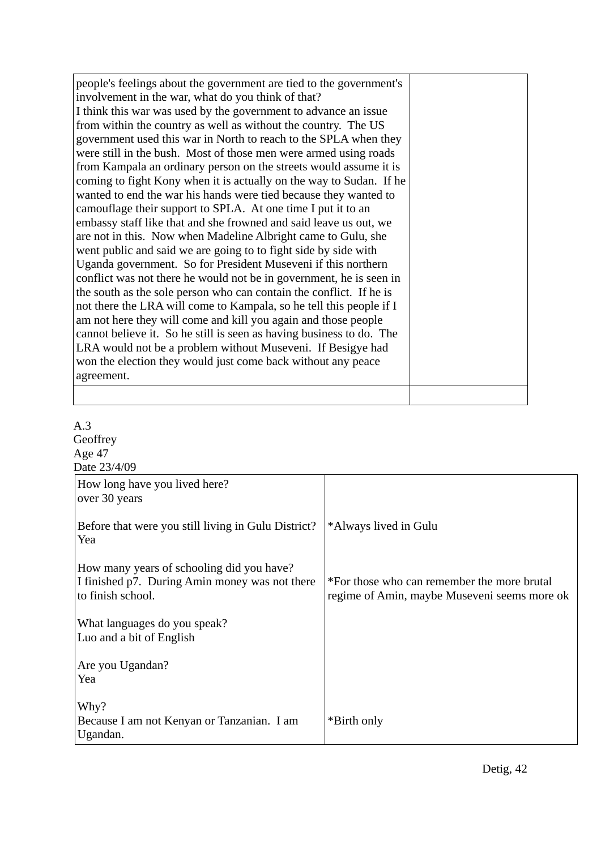| people's feelings about the government are tied to the government's  |  |
|----------------------------------------------------------------------|--|
| involvement in the war, what do you think of that?                   |  |
| I think this war was used by the government to advance an issue      |  |
| from within the country as well as without the country. The US       |  |
| government used this war in North to reach to the SPLA when they     |  |
| were still in the bush. Most of those men were armed using roads     |  |
| from Kampala an ordinary person on the streets would assume it is    |  |
| coming to fight Kony when it is actually on the way to Sudan. If he  |  |
| wanted to end the war his hands were tied because they wanted to     |  |
| camouflage their support to SPLA. At one time I put it to an         |  |
| embassy staff like that and she frowned and said leave us out, we    |  |
| are not in this. Now when Madeline Albright came to Gulu, she        |  |
| went public and said we are going to to fight side by side with      |  |
| Uganda government. So for President Museveni if this northern        |  |
| conflict was not there he would not be in government, he is seen in  |  |
| the south as the sole person who can contain the conflict. If he is  |  |
| not there the LRA will come to Kampala, so he tell this people if I  |  |
| am not here they will come and kill you again and those people       |  |
| cannot believe it. So he still is seen as having business to do. The |  |
| LRA would not be a problem without Museveni. If Besigye had          |  |
| won the election they would just come back without any peace         |  |
| agreement.                                                           |  |
|                                                                      |  |

| A.3                                                 |                                              |
|-----------------------------------------------------|----------------------------------------------|
| Geoffrey                                            |                                              |
| Age 47                                              |                                              |
| Date 23/4/09                                        |                                              |
| How long have you lived here?                       |                                              |
| over 30 years                                       |                                              |
| Before that were you still living in Gulu District? | *Always lived in Gulu                        |
| Yea                                                 |                                              |
| How many years of schooling did you have?           |                                              |
| I finished p7. During Amin money was not there      | *For those who can remember the more brutal  |
| to finish school.                                   | regime of Amin, maybe Museveni seems more ok |
|                                                     |                                              |
| What languages do you speak?                        |                                              |
| Luo and a bit of English                            |                                              |
|                                                     |                                              |
| Are you Ugandan?                                    |                                              |
| Yea                                                 |                                              |
| Why?                                                |                                              |
| Because I am not Kenyan or Tanzanian. I am          | *Birth only                                  |
| Ugandan.                                            |                                              |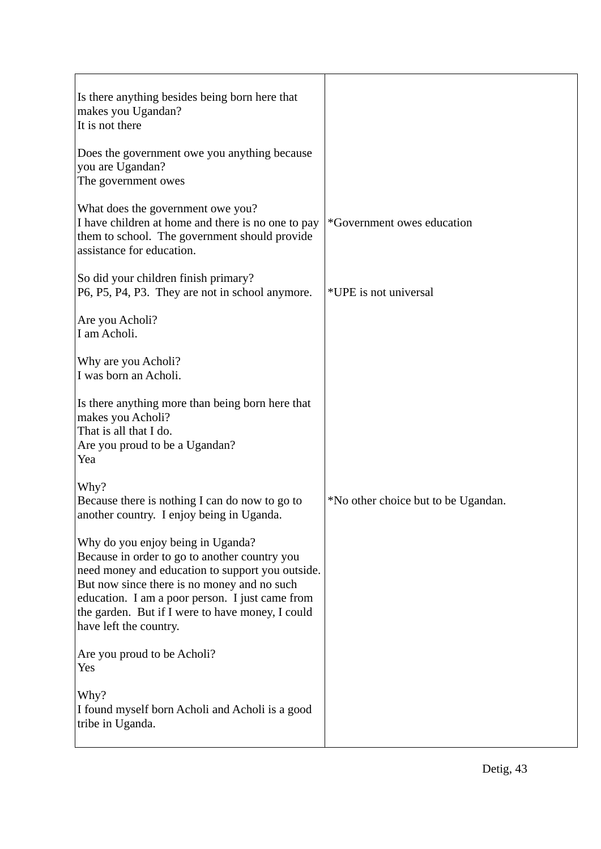| Is there anything besides being born here that<br>makes you Ugandan?<br>It is not there                                                                                                                                                                                                                                |                                     |
|------------------------------------------------------------------------------------------------------------------------------------------------------------------------------------------------------------------------------------------------------------------------------------------------------------------------|-------------------------------------|
| Does the government owe you anything because<br>you are Ugandan?<br>The government owes                                                                                                                                                                                                                                |                                     |
| What does the government owe you?<br>I have children at home and there is no one to pay<br>them to school. The government should provide<br>assistance for education.                                                                                                                                                  | *Government owes education          |
| So did your children finish primary?<br>P6, P5, P4, P3. They are not in school anymore.                                                                                                                                                                                                                                | *UPE is not universal               |
| Are you Acholi?<br>I am Acholi.                                                                                                                                                                                                                                                                                        |                                     |
| Why are you Acholi?<br>I was born an Acholi.                                                                                                                                                                                                                                                                           |                                     |
| Is there anything more than being born here that<br>makes you Acholi?<br>That is all that I do.<br>Are you proud to be a Ugandan?<br>Yea                                                                                                                                                                               |                                     |
| Why?<br>Because there is nothing I can do now to go to<br>another country. I enjoy being in Uganda.                                                                                                                                                                                                                    | *No other choice but to be Ugandan. |
| Why do you enjoy being in Uganda?<br>Because in order to go to another country you<br>need money and education to support you outside.<br>But now since there is no money and no such<br>education. I am a poor person. I just came from<br>the garden. But if I were to have money, I could<br>have left the country. |                                     |
| Are you proud to be Acholi?<br>Yes                                                                                                                                                                                                                                                                                     |                                     |
| Why?<br>I found myself born Acholi and Acholi is a good<br>tribe in Uganda.                                                                                                                                                                                                                                            |                                     |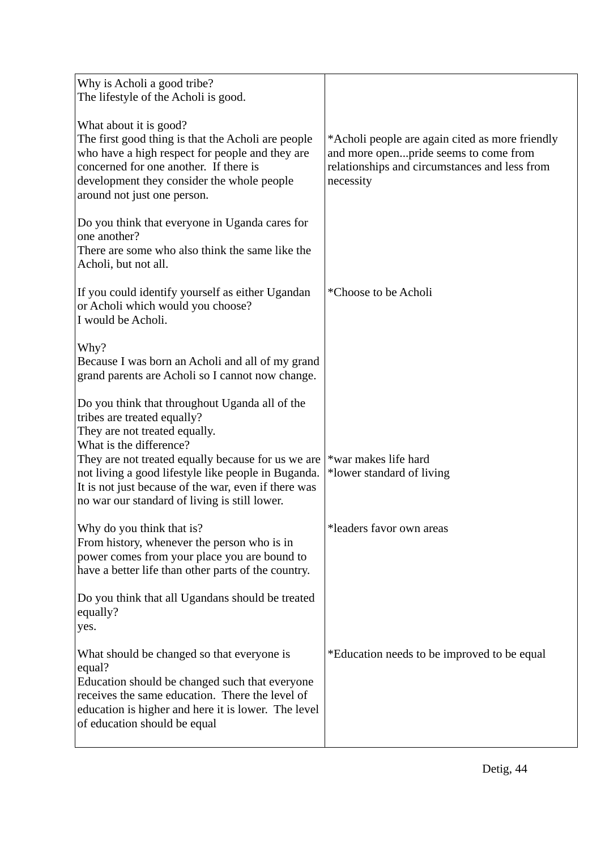| Why is Acholi a good tribe?<br>The lifestyle of the Acholi is good.                                                                                                                                                                                                                                                                                             |                                                                                                                                                        |
|-----------------------------------------------------------------------------------------------------------------------------------------------------------------------------------------------------------------------------------------------------------------------------------------------------------------------------------------------------------------|--------------------------------------------------------------------------------------------------------------------------------------------------------|
| What about it is good?<br>The first good thing is that the Acholi are people<br>who have a high respect for people and they are<br>concerned for one another. If there is<br>development they consider the whole people<br>around not just one person.                                                                                                          | *Acholi people are again cited as more friendly<br>and more openpride seems to come from<br>relationships and circumstances and less from<br>necessity |
| Do you think that everyone in Uganda cares for<br>one another?<br>There are some who also think the same like the<br>Acholi, but not all.                                                                                                                                                                                                                       |                                                                                                                                                        |
| If you could identify yourself as either Ugandan<br>or Acholi which would you choose?<br>I would be Acholi.                                                                                                                                                                                                                                                     | *Choose to be Acholi                                                                                                                                   |
| Why?<br>Because I was born an Acholi and all of my grand<br>grand parents are Acholi so I cannot now change.                                                                                                                                                                                                                                                    |                                                                                                                                                        |
| Do you think that throughout Uganda all of the<br>tribes are treated equally?<br>They are not treated equally.<br>What is the difference?<br>They are not treated equally because for us we are<br>not living a good lifestyle like people in Buganda.<br>It is not just because of the war, even if there was<br>no war our standard of living is still lower. | *war makes life hard<br>*lower standard of living                                                                                                      |
| Why do you think that is?<br>From history, whenever the person who is in<br>power comes from your place you are bound to<br>have a better life than other parts of the country.                                                                                                                                                                                 | *leaders favor own areas                                                                                                                               |
| Do you think that all Ugandans should be treated<br>equally?<br>yes.                                                                                                                                                                                                                                                                                            |                                                                                                                                                        |
| What should be changed so that everyone is<br>equal?<br>Education should be changed such that everyone<br>receives the same education. There the level of<br>education is higher and here it is lower. The level<br>of education should be equal                                                                                                                | *Education needs to be improved to be equal                                                                                                            |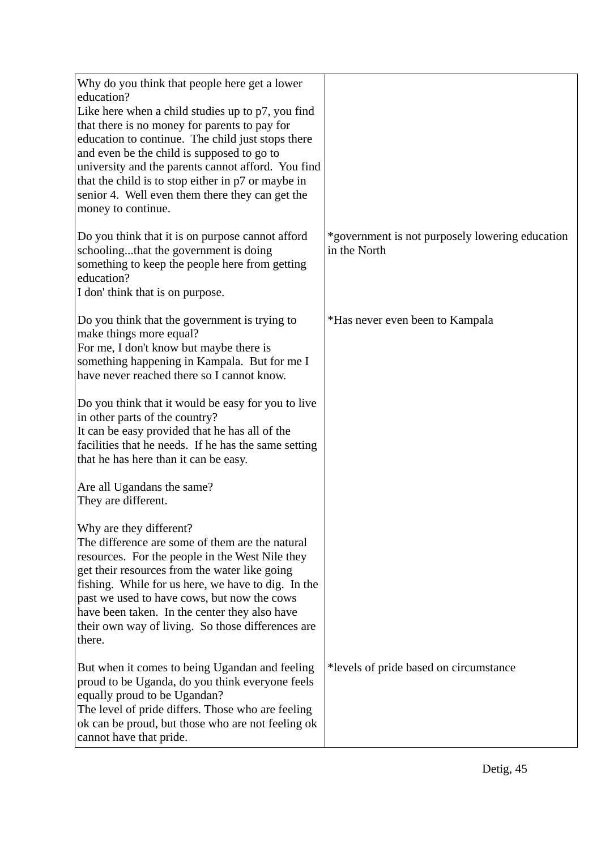| Why do you think that people here get a lower<br>education?<br>Like here when a child studies up to p7, you find<br>that there is no money for parents to pay for<br>education to continue. The child just stops there<br>and even be the child is supposed to go to<br>university and the parents cannot afford. You find<br>that the child is to stop either in p7 or maybe in<br>senior 4. Well even them there they can get the<br>money to continue. |                                                                 |
|-----------------------------------------------------------------------------------------------------------------------------------------------------------------------------------------------------------------------------------------------------------------------------------------------------------------------------------------------------------------------------------------------------------------------------------------------------------|-----------------------------------------------------------------|
| Do you think that it is on purpose cannot afford<br>schoolingthat the government is doing<br>something to keep the people here from getting<br>education?<br>I don't hink that is on purpose.                                                                                                                                                                                                                                                             | *government is not purposely lowering education<br>in the North |
| Do you think that the government is trying to<br>make things more equal?<br>For me, I don't know but maybe there is<br>something happening in Kampala. But for me I<br>have never reached there so I cannot know.                                                                                                                                                                                                                                         | *Has never even been to Kampala                                 |
| Do you think that it would be easy for you to live<br>in other parts of the country?<br>It can be easy provided that he has all of the<br>facilities that he needs. If he has the same setting<br>that he has here than it can be easy.                                                                                                                                                                                                                   |                                                                 |
| Are all Ugandans the same?<br>They are different.                                                                                                                                                                                                                                                                                                                                                                                                         |                                                                 |
| Why are they different?<br>The difference are some of them are the natural<br>resources. For the people in the West Nile they<br>get their resources from the water like going<br>fishing. While for us here, we have to dig. In the<br>past we used to have cows, but now the cows<br>have been taken. In the center they also have<br>their own way of living. So those differences are<br>there.                                                       |                                                                 |
| But when it comes to being Ugandan and feeling<br>proud to be Uganda, do you think everyone feels<br>equally proud to be Ugandan?<br>The level of pride differs. Those who are feeling<br>ok can be proud, but those who are not feeling ok<br>cannot have that pride.                                                                                                                                                                                    | *levels of pride based on circumstance                          |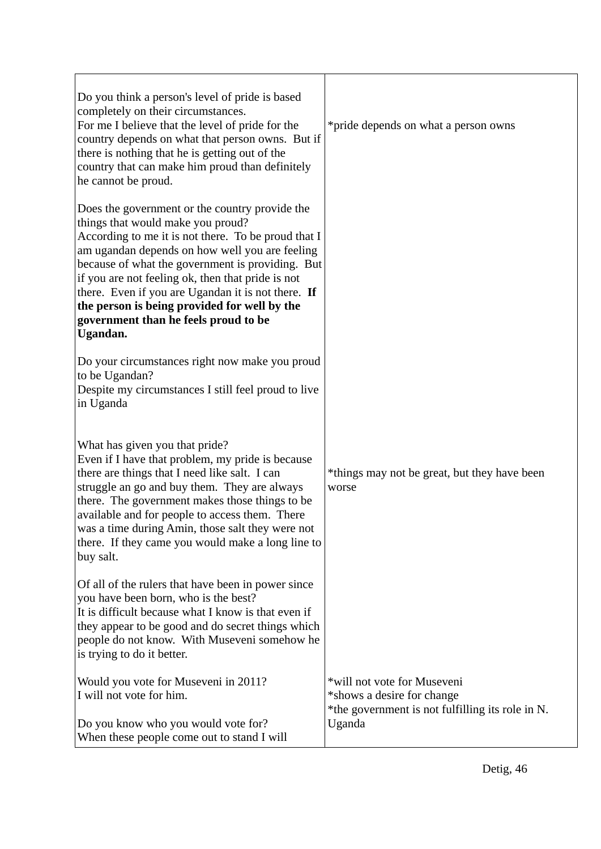| Do you think a person's level of pride is based<br>completely on their circumstances.<br>For me I believe that the level of pride for the<br>country depends on what that person owns. But if<br>there is nothing that he is getting out of the<br>country that can make him proud than definitely<br>he cannot be proud.                                                                                                                                       | *pride depends on what a person owns                                                                                    |
|-----------------------------------------------------------------------------------------------------------------------------------------------------------------------------------------------------------------------------------------------------------------------------------------------------------------------------------------------------------------------------------------------------------------------------------------------------------------|-------------------------------------------------------------------------------------------------------------------------|
| Does the government or the country provide the<br>things that would make you proud?<br>According to me it is not there. To be proud that I<br>am ugandan depends on how well you are feeling<br>because of what the government is providing. But<br>if you are not feeling ok, then that pride is not<br>there. Even if you are Ugandan it is not there. If<br>the person is being provided for well by the<br>government than he feels proud to be<br>Ugandan. |                                                                                                                         |
| Do your circumstances right now make you proud<br>to be Ugandan?<br>Despite my circumstances I still feel proud to live<br>in Uganda                                                                                                                                                                                                                                                                                                                            |                                                                                                                         |
| What has given you that pride?<br>Even if I have that problem, my pride is because<br>there are things that I need like salt. I can<br>struggle an go and buy them. They are always<br>there. The government makes those things to be<br>available and for people to access them. There<br>was a time during Amin, those salt they were not<br>there. If they came you would make a long line to<br>buy salt.                                                   | *things may not be great, but they have been<br>worse                                                                   |
| Of all of the rulers that have been in power since<br>you have been born, who is the best?<br>It is difficult because what I know is that even if<br>they appear to be good and do secret things which<br>people do not know. With Museveni somehow he<br>is trying to do it better.                                                                                                                                                                            |                                                                                                                         |
| Would you vote for Museveni in 2011?<br>I will not vote for him.<br>Do you know who you would vote for?<br>When these people come out to stand I will                                                                                                                                                                                                                                                                                                           | *will not vote for Museveni<br>*shows a desire for change<br>*the government is not fulfilling its role in N.<br>Uganda |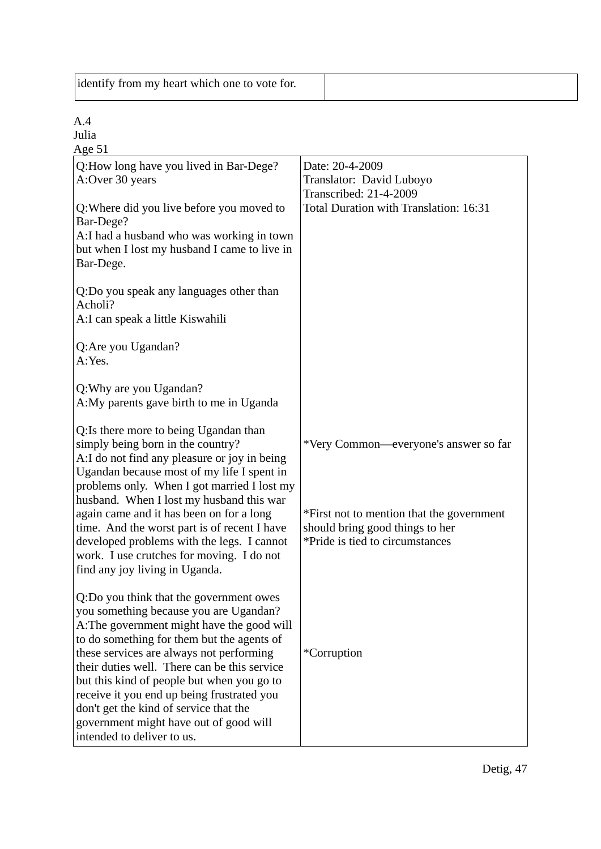| identify from my heart which one to vote for. |  |
|-----------------------------------------------|--|
|                                               |  |

Julia

| Age $51$                                                                   |                                           |
|----------------------------------------------------------------------------|-------------------------------------------|
| Q:How long have you lived in Bar-Dege?                                     | Date: 20-4-2009                           |
| A:Over 30 years                                                            | Translator: David Luboyo                  |
|                                                                            | <b>Transcribed: 21-4-2009</b>             |
| Q: Where did you live before you moved to                                  | Total Duration with Translation: 16:31    |
| Bar-Dege?                                                                  |                                           |
| A:I had a husband who was working in town                                  |                                           |
| but when I lost my husband I came to live in                               |                                           |
| Bar-Dege.                                                                  |                                           |
|                                                                            |                                           |
| Q:Do you speak any languages other than                                    |                                           |
| Acholi?                                                                    |                                           |
| A: I can speak a little Kiswahili                                          |                                           |
|                                                                            |                                           |
| Q:Are you Ugandan?                                                         |                                           |
| A:Yes.                                                                     |                                           |
|                                                                            |                                           |
| Q: Why are you Ugandan?                                                    |                                           |
| A:My parents gave birth to me in Uganda                                    |                                           |
|                                                                            |                                           |
| Q:Is there more to being Ugandan than<br>simply being born in the country? | *Very Common—everyone's answer so far     |
| A:I do not find any pleasure or joy in being                               |                                           |
| Ugandan because most of my life I spent in                                 |                                           |
| problems only. When I got married I lost my                                |                                           |
| husband. When I lost my husband this war                                   |                                           |
| again came and it has been on for a long                                   | *First not to mention that the government |
| time. And the worst part is of recent I have                               | should bring good things to her           |
| developed problems with the legs. I cannot                                 | *Pride is tied to circumstances           |
| work. I use crutches for moving. I do not                                  |                                           |
| find any joy living in Uganda.                                             |                                           |
|                                                                            |                                           |
| Q:Do you think that the government owes                                    |                                           |
| you something because you are Ugandan?                                     |                                           |
| A: The government might have the good will                                 |                                           |
| to do something for them but the agents of                                 |                                           |
| these services are always not performing                                   | *Corruption                               |
| their duties well. There can be this service                               |                                           |
| but this kind of people but when you go to                                 |                                           |
| receive it you end up being frustrated you                                 |                                           |
| don't get the kind of service that the                                     |                                           |
| government might have out of good will                                     |                                           |
| intended to deliver to us.                                                 |                                           |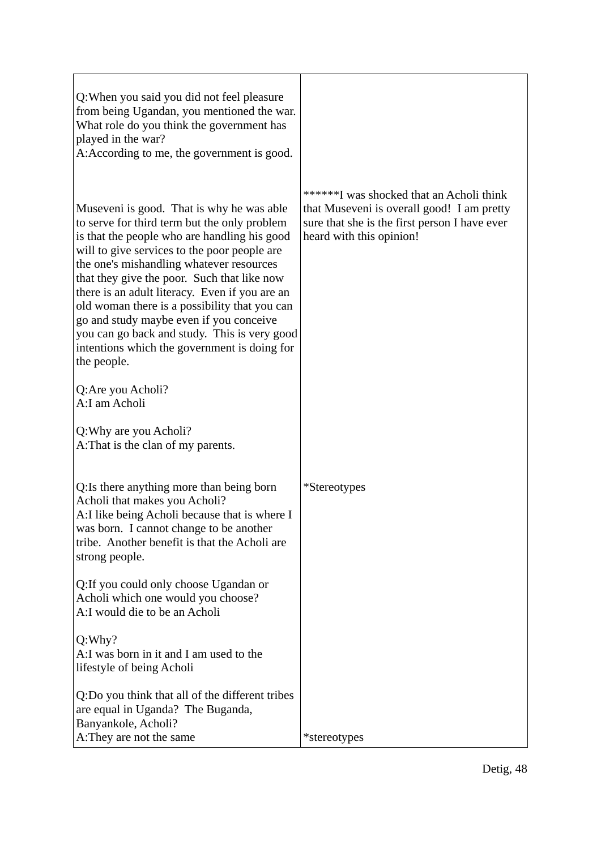| Q: When you said you did not feel pleasure<br>from being Ugandan, you mentioned the war.<br>What role do you think the government has<br>played in the war?<br>A: According to me, the government is good.                                                                                                                                                                                                                                                                                                                                        |                                                                                                                                                                     |
|---------------------------------------------------------------------------------------------------------------------------------------------------------------------------------------------------------------------------------------------------------------------------------------------------------------------------------------------------------------------------------------------------------------------------------------------------------------------------------------------------------------------------------------------------|---------------------------------------------------------------------------------------------------------------------------------------------------------------------|
| Museveni is good. That is why he was able<br>to serve for third term but the only problem<br>is that the people who are handling his good<br>will to give services to the poor people are<br>the one's mishandling whatever resources<br>that they give the poor. Such that like now<br>there is an adult literacy. Even if you are an<br>old woman there is a possibility that you can<br>go and study maybe even if you conceive<br>you can go back and study. This is very good<br>intentions which the government is doing for<br>the people. | ******I was shocked that an Acholi think<br>that Museveni is overall good! I am pretty<br>sure that she is the first person I have ever<br>heard with this opinion! |
| Q:Are you Acholi?<br>A:I am Acholi                                                                                                                                                                                                                                                                                                                                                                                                                                                                                                                |                                                                                                                                                                     |
| Q: Why are you Acholi?<br>A: That is the clan of my parents.                                                                                                                                                                                                                                                                                                                                                                                                                                                                                      |                                                                                                                                                                     |
| Q: Is there anything more than being born<br>Acholi that makes you Acholi?<br>A: I like being Acholi because that is where I<br>was born. I cannot change to be another<br>tribe. Another benefit is that the Acholi are<br>strong people.                                                                                                                                                                                                                                                                                                        | <i>*Stereotypes</i>                                                                                                                                                 |
| Q: If you could only choose Ugandan or<br>Acholi which one would you choose?<br>A:I would die to be an Acholi                                                                                                                                                                                                                                                                                                                                                                                                                                     |                                                                                                                                                                     |
| Q: Why?<br>A: I was born in it and I am used to the<br>lifestyle of being Acholi                                                                                                                                                                                                                                                                                                                                                                                                                                                                  |                                                                                                                                                                     |
| Q:Do you think that all of the different tribes<br>are equal in Uganda? The Buganda,<br>Banyankole, Acholi?<br>A: They are not the same                                                                                                                                                                                                                                                                                                                                                                                                           | *stereotypes                                                                                                                                                        |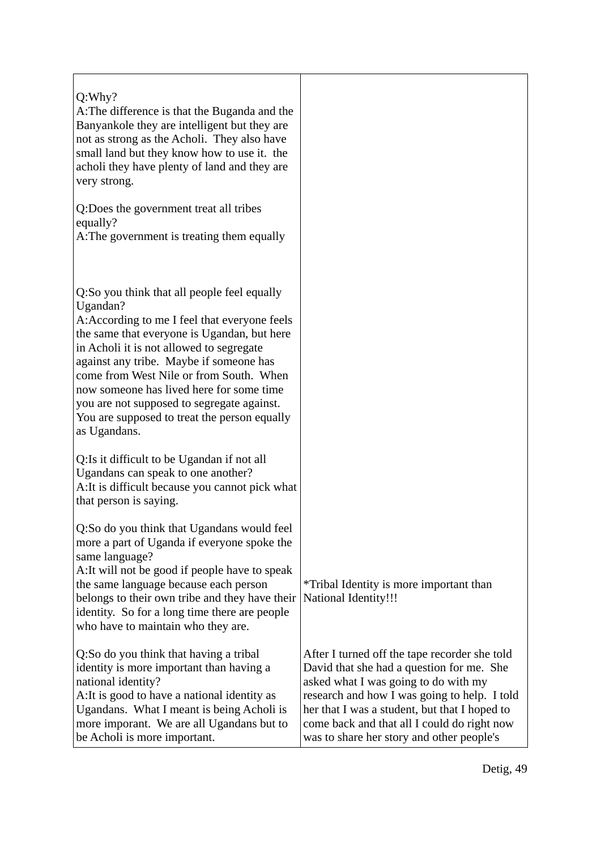| Q: Why?<br>A: The difference is that the Buganda and the<br>Banyankole they are intelligent but they are<br>not as strong as the Acholi. They also have<br>small land but they know how to use it. the<br>acholi they have plenty of land and they are<br>very strong.                                                                                                                                                                              |                                                                                                                                                                                                                                                                                                                                 |
|-----------------------------------------------------------------------------------------------------------------------------------------------------------------------------------------------------------------------------------------------------------------------------------------------------------------------------------------------------------------------------------------------------------------------------------------------------|---------------------------------------------------------------------------------------------------------------------------------------------------------------------------------------------------------------------------------------------------------------------------------------------------------------------------------|
| Q:Does the government treat all tribes<br>equally?<br>A: The government is treating them equally                                                                                                                                                                                                                                                                                                                                                    |                                                                                                                                                                                                                                                                                                                                 |
| Q:So you think that all people feel equally<br>Ugandan?<br>A: According to me I feel that everyone feels<br>the same that everyone is Ugandan, but here<br>in Acholi it is not allowed to segregate<br>against any tribe. Maybe if someone has<br>come from West Nile or from South. When<br>now someone has lived here for some time<br>you are not supposed to segregate against.<br>You are supposed to treat the person equally<br>as Ugandans. |                                                                                                                                                                                                                                                                                                                                 |
| Q: Is it difficult to be Ugandan if not all<br>Ugandans can speak to one another?<br>A: It is difficult because you cannot pick what<br>that person is saying.                                                                                                                                                                                                                                                                                      |                                                                                                                                                                                                                                                                                                                                 |
| Q:So do you think that Ugandans would feel<br>more a part of Uganda if everyone spoke the<br>same language?<br>A: It will not be good if people have to speak<br>the same language because each person<br>belongs to their own tribe and they have their<br>identity. So for a long time there are people<br>who have to maintain who they are.                                                                                                     | *Tribal Identity is more important than<br><b>National Identity!!!</b>                                                                                                                                                                                                                                                          |
| Q:So do you think that having a tribal<br>identity is more important than having a<br>national identity?<br>A: It is good to have a national identity as<br>Ugandans. What I meant is being Acholi is<br>more imporant. We are all Ugandans but to<br>be Acholi is more important.                                                                                                                                                                  | After I turned off the tape recorder she told<br>David that she had a question for me. She<br>asked what I was going to do with my<br>research and how I was going to help. I told<br>her that I was a student, but that I hoped to<br>come back and that all I could do right now<br>was to share her story and other people's |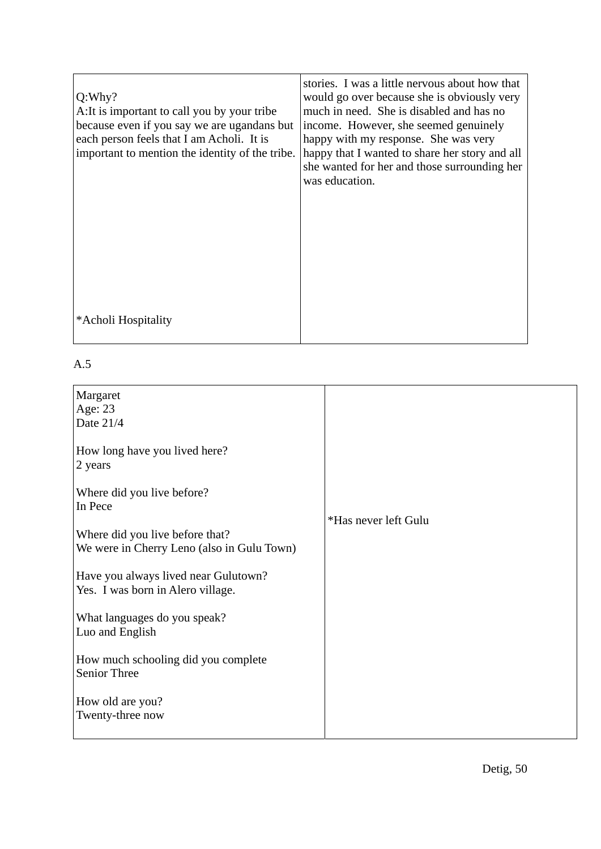| Q:Why?<br>A: It is important to call you by your tribe<br>because even if you say we are ugandans but<br>each person feels that I am Acholi. It is<br>important to mention the identity of the tribe. | stories. I was a little nervous about how that<br>would go over because she is obviously very<br>much in need. She is disabled and has no<br>income. However, she seemed genuinely<br>happy with my response. She was very<br>happy that I wanted to share her story and all<br>she wanted for her and those surrounding her<br>was education. |
|-------------------------------------------------------------------------------------------------------------------------------------------------------------------------------------------------------|------------------------------------------------------------------------------------------------------------------------------------------------------------------------------------------------------------------------------------------------------------------------------------------------------------------------------------------------|
| *Acholi Hospitality                                                                                                                                                                                   |                                                                                                                                                                                                                                                                                                                                                |

| Margaret<br>Age: 23<br>Date 21/4                                              |                      |
|-------------------------------------------------------------------------------|----------------------|
| How long have you lived here?<br>2 years                                      |                      |
| Where did you live before?<br>In Pece                                         | *Has never left Gulu |
| Where did you live before that?<br>We were in Cherry Leno (also in Gulu Town) |                      |
| Have you always lived near Gulutown?<br>Yes. I was born in Alero village.     |                      |
| What languages do you speak?<br>Luo and English                               |                      |
| How much schooling did you complete<br>Senior Three                           |                      |
| How old are you?<br>Twenty-three now                                          |                      |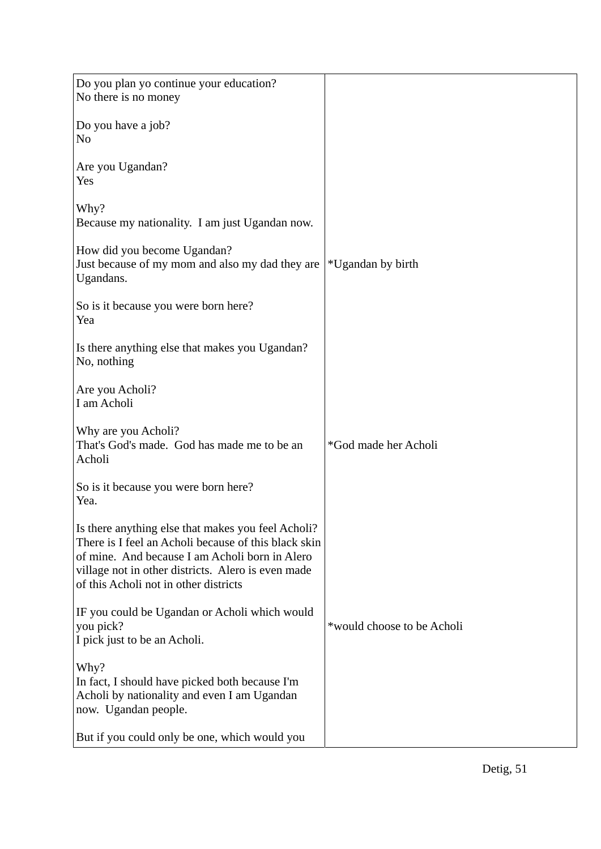| Do you plan yo continue your education?<br>No there is no money                                                                                                                                                                                             |                            |
|-------------------------------------------------------------------------------------------------------------------------------------------------------------------------------------------------------------------------------------------------------------|----------------------------|
| Do you have a job?<br>N <sub>o</sub>                                                                                                                                                                                                                        |                            |
| Are you Ugandan?<br>Yes                                                                                                                                                                                                                                     |                            |
| Why?<br>Because my nationality. I am just Ugandan now.                                                                                                                                                                                                      |                            |
| How did you become Ugandan?<br>Just because of my mom and also my dad they are<br>Ugandans.                                                                                                                                                                 | *Ugandan by birth          |
| So is it because you were born here?<br>Yea                                                                                                                                                                                                                 |                            |
| Is there anything else that makes you Ugandan?<br>No, nothing                                                                                                                                                                                               |                            |
| Are you Acholi?<br>I am Acholi                                                                                                                                                                                                                              |                            |
| Why are you Acholi?<br>That's God's made. God has made me to be an<br>Acholi                                                                                                                                                                                | *God made her Acholi       |
| So is it because you were born here?<br>Yea.                                                                                                                                                                                                                |                            |
| Is there anything else that makes you feel Acholi?<br>There is I feel an Acholi because of this black skin<br>of mine. And because I am Acholi born in Alero<br>village not in other districts. Alero is even made<br>of this Acholi not in other districts |                            |
| IF you could be Ugandan or Acholi which would<br>you pick?<br>I pick just to be an Acholi.                                                                                                                                                                  | *would choose to be Acholi |
| Why?<br>In fact, I should have picked both because I'm<br>Acholi by nationality and even I am Ugandan<br>now. Ugandan people.                                                                                                                               |                            |
| But if you could only be one, which would you                                                                                                                                                                                                               |                            |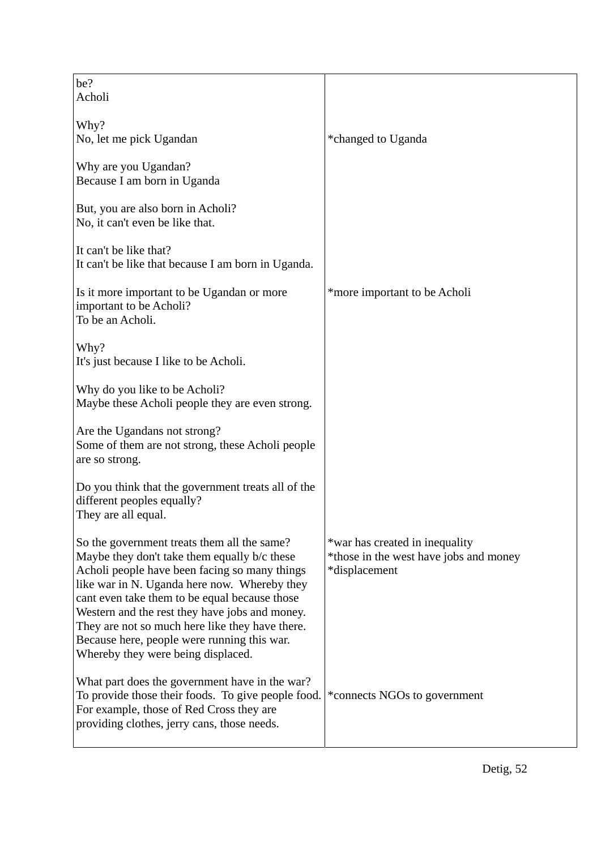| be?<br>Acholi                                                                                                                                                                                                                                                                                                                                                                                                                           |                                                                                           |
|-----------------------------------------------------------------------------------------------------------------------------------------------------------------------------------------------------------------------------------------------------------------------------------------------------------------------------------------------------------------------------------------------------------------------------------------|-------------------------------------------------------------------------------------------|
| Why?<br>No, let me pick Ugandan                                                                                                                                                                                                                                                                                                                                                                                                         | *changed to Uganda                                                                        |
| Why are you Ugandan?<br>Because I am born in Uganda                                                                                                                                                                                                                                                                                                                                                                                     |                                                                                           |
| But, you are also born in Acholi?<br>No, it can't even be like that.                                                                                                                                                                                                                                                                                                                                                                    |                                                                                           |
| It can't be like that?<br>It can't be like that because I am born in Uganda.                                                                                                                                                                                                                                                                                                                                                            |                                                                                           |
| Is it more important to be Ugandan or more<br>important to be Acholi?<br>To be an Acholi.                                                                                                                                                                                                                                                                                                                                               | *more important to be Acholi                                                              |
| Why?<br>It's just because I like to be Acholi.                                                                                                                                                                                                                                                                                                                                                                                          |                                                                                           |
| Why do you like to be Acholi?<br>Maybe these Acholi people they are even strong.                                                                                                                                                                                                                                                                                                                                                        |                                                                                           |
| Are the Ugandans not strong?<br>Some of them are not strong, these Acholi people<br>are so strong.                                                                                                                                                                                                                                                                                                                                      |                                                                                           |
| Do you think that the government treats all of the<br>different peoples equally?<br>They are all equal.                                                                                                                                                                                                                                                                                                                                 |                                                                                           |
| So the government treats them all the same?<br>Maybe they don't take them equally b/c these<br>Acholi people have been facing so many things<br>like war in N. Uganda here now. Whereby they<br>cant even take them to be equal because those<br>Western and the rest they have jobs and money.<br>They are not so much here like they have there.<br>Because here, people were running this war.<br>Whereby they were being displaced. | *war has created in inequality<br>*those in the west have jobs and money<br>*displacement |
| What part does the government have in the war?<br>To provide those their foods. To give people food.<br>For example, those of Red Cross they are<br>providing clothes, jerry cans, those needs.                                                                                                                                                                                                                                         | *connects NGOs to government                                                              |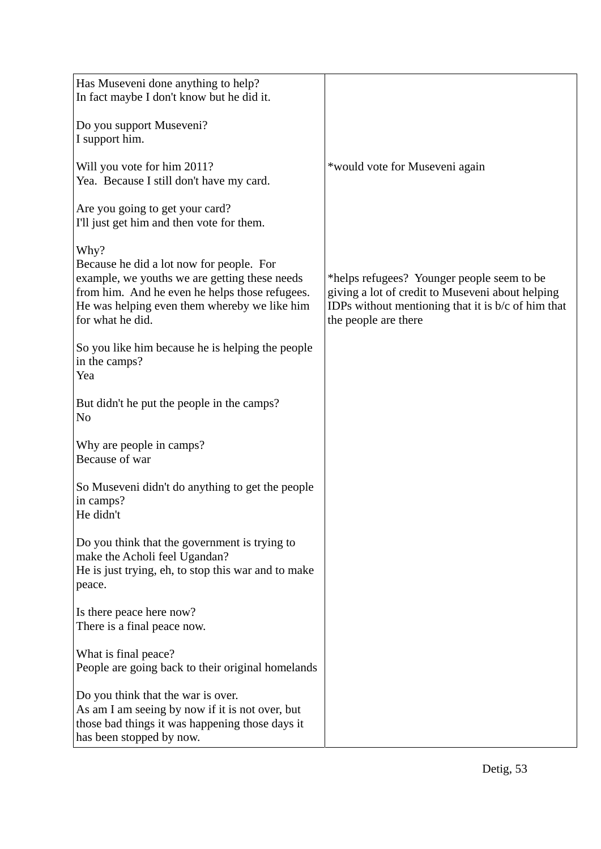| Has Museveni done anything to help?<br>In fact maybe I don't know but he did it.                                                                                                                                        |                                                                                                                                                                                |
|-------------------------------------------------------------------------------------------------------------------------------------------------------------------------------------------------------------------------|--------------------------------------------------------------------------------------------------------------------------------------------------------------------------------|
| Do you support Museveni?<br>I support him.                                                                                                                                                                              |                                                                                                                                                                                |
| Will you vote for him 2011?<br>Yea. Because I still don't have my card.                                                                                                                                                 | *would vote for Museveni again                                                                                                                                                 |
| Are you going to get your card?<br>I'll just get him and then vote for them.                                                                                                                                            |                                                                                                                                                                                |
| Why?<br>Because he did a lot now for people. For<br>example, we youths we are getting these needs<br>from him. And he even he helps those refugees.<br>He was helping even them whereby we like him<br>for what he did. | *helps refugees? Younger people seem to be<br>giving a lot of credit to Museveni about helping<br>IDPs without mentioning that it is $b/c$ of him that<br>the people are there |
| So you like him because he is helping the people<br>in the camps?<br>Yea                                                                                                                                                |                                                                                                                                                                                |
| But didn't he put the people in the camps?<br>N <sub>o</sub>                                                                                                                                                            |                                                                                                                                                                                |
| Why are people in camps?<br>Because of war                                                                                                                                                                              |                                                                                                                                                                                |
| So Museveni didn't do anything to get the people<br>in camps?<br>He didn't                                                                                                                                              |                                                                                                                                                                                |
| Do you think that the government is trying to<br>make the Acholi feel Ugandan?<br>He is just trying, eh, to stop this war and to make<br>peace.                                                                         |                                                                                                                                                                                |
| Is there peace here now?<br>There is a final peace now.                                                                                                                                                                 |                                                                                                                                                                                |
| What is final peace?<br>People are going back to their original homelands                                                                                                                                               |                                                                                                                                                                                |
| Do you think that the war is over.<br>As am I am seeing by now if it is not over, but<br>those bad things it was happening those days it<br>has been stopped by now.                                                    |                                                                                                                                                                                |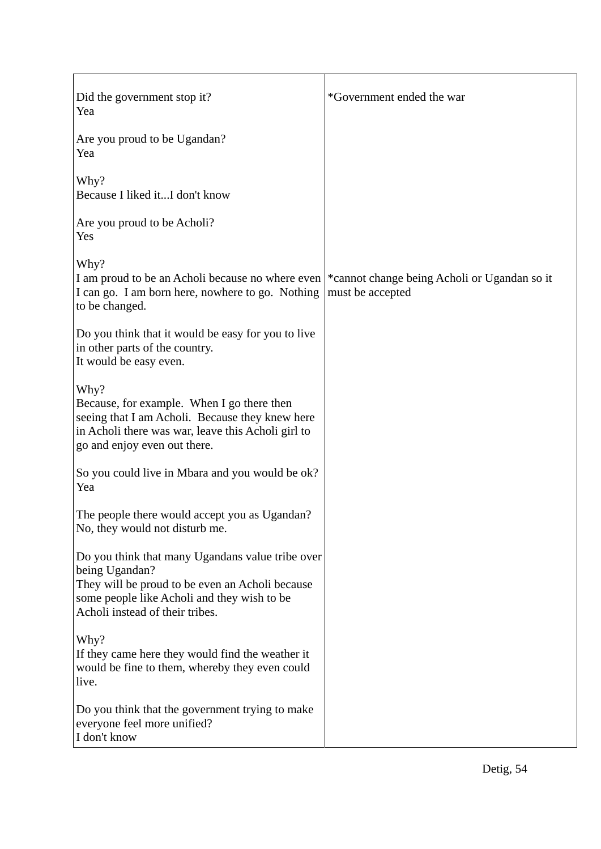| Did the government stop it?<br>Yea                                                                                                                                                                      | *Government ended the war                                        |
|---------------------------------------------------------------------------------------------------------------------------------------------------------------------------------------------------------|------------------------------------------------------------------|
| Are you proud to be Ugandan?<br>Yea                                                                                                                                                                     |                                                                  |
| Why?<br>Because I liked itI don't know                                                                                                                                                                  |                                                                  |
| Are you proud to be Acholi?<br>Yes                                                                                                                                                                      |                                                                  |
| Why?<br>I am proud to be an Acholi because no where even<br>I can go. I am born here, nowhere to go. Nothing<br>to be changed.                                                                          | *cannot change being Acholi or Ugandan so it<br>must be accepted |
| Do you think that it would be easy for you to live<br>in other parts of the country.<br>It would be easy even.                                                                                          |                                                                  |
| Why?<br>Because, for example. When I go there then<br>seeing that I am Acholi. Because they knew here<br>in Acholi there was war, leave this Acholi girl to<br>go and enjoy even out there.             |                                                                  |
| So you could live in Mbara and you would be ok?<br>Yea                                                                                                                                                  |                                                                  |
| The people there would accept you as Ugandan?<br>No, they would not disturb me.                                                                                                                         |                                                                  |
| Do you think that many Ugandans value tribe over<br>being Ugandan?<br>They will be proud to be even an Acholi because<br>some people like Acholi and they wish to be<br>Acholi instead of their tribes. |                                                                  |
| Why?<br>If they came here they would find the weather it<br>would be fine to them, whereby they even could<br>live.                                                                                     |                                                                  |
| Do you think that the government trying to make<br>everyone feel more unified?<br>I don't know                                                                                                          |                                                                  |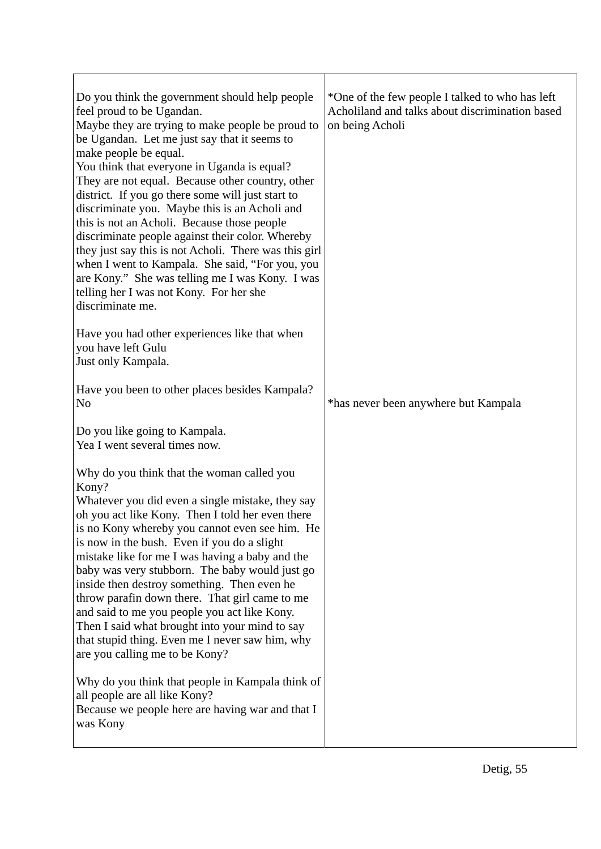| Do you think the government should help people<br>feel proud to be Ugandan.<br>Maybe they are trying to make people be proud to<br>be Ugandan. Let me just say that it seems to<br>make people be equal.<br>You think that everyone in Uganda is equal?<br>They are not equal. Because other country, other<br>district. If you go there some will just start to<br>discriminate you. Maybe this is an Acholi and<br>this is not an Acholi. Because those people<br>discriminate people against their color. Whereby<br>they just say this is not Acholi. There was this girl<br>when I went to Kampala. She said, "For you, you<br>are Kony." She was telling me I was Kony. I was<br>telling her I was not Kony. For her she<br>discriminate me. | *One of the few people I talked to who has left<br>Acholiland and talks about discrimination based<br>on being Acholi |
|----------------------------------------------------------------------------------------------------------------------------------------------------------------------------------------------------------------------------------------------------------------------------------------------------------------------------------------------------------------------------------------------------------------------------------------------------------------------------------------------------------------------------------------------------------------------------------------------------------------------------------------------------------------------------------------------------------------------------------------------------|-----------------------------------------------------------------------------------------------------------------------|
| Have you had other experiences like that when<br>you have left Gulu<br>Just only Kampala.                                                                                                                                                                                                                                                                                                                                                                                                                                                                                                                                                                                                                                                          |                                                                                                                       |
| Have you been to other places besides Kampala?<br>N <sub>o</sub>                                                                                                                                                                                                                                                                                                                                                                                                                                                                                                                                                                                                                                                                                   | *has never been anywhere but Kampala                                                                                  |
| Do you like going to Kampala.<br>Yea I went several times now.                                                                                                                                                                                                                                                                                                                                                                                                                                                                                                                                                                                                                                                                                     |                                                                                                                       |
| Why do you think that the woman called you<br>Kony?<br>Whatever you did even a single mistake, they say<br>oh you act like Kony. Then I told her even there<br>is no Kony whereby you cannot even see him. He<br>is now in the bush. Even if you do a slight<br>mistake like for me I was having a baby and the<br>baby was very stubborn. The baby would just go<br>inside then destroy something. Then even he<br>throw parafin down there. That girl came to me<br>and said to me you people you act like Kony.<br>Then I said what brought into your mind to say<br>that stupid thing. Even me I never saw him, why<br>are you calling me to be Kony?                                                                                          |                                                                                                                       |
| Why do you think that people in Kampala think of<br>all people are all like Kony?<br>Because we people here are having war and that I<br>was Kony                                                                                                                                                                                                                                                                                                                                                                                                                                                                                                                                                                                                  |                                                                                                                       |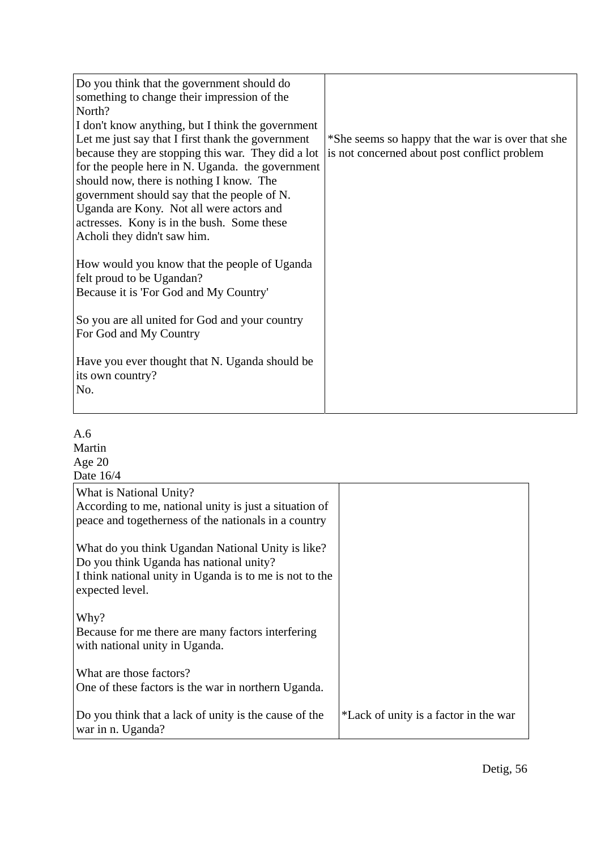| Do you think that the government should do<br>something to change their impression of the<br>North?<br>I don't know anything, but I think the government<br>Let me just say that I first thank the government<br>because they are stopping this war. They did a lot<br>for the people here in N. Uganda. the government<br>should now, there is nothing I know. The<br>government should say that the people of N.<br>Uganda are Kony. Not all were actors and<br>actresses. Kony is in the bush. Some these<br>Acholi they didn't saw him. | *She seems so happy that the war is over that she<br>is not concerned about post conflict problem |
|---------------------------------------------------------------------------------------------------------------------------------------------------------------------------------------------------------------------------------------------------------------------------------------------------------------------------------------------------------------------------------------------------------------------------------------------------------------------------------------------------------------------------------------------|---------------------------------------------------------------------------------------------------|
| How would you know that the people of Uganda<br>felt proud to be Ugandan?<br>Because it is 'For God and My Country'<br>So you are all united for God and your country<br>For God and My Country<br>Have you ever thought that N. Uganda should be<br>its own country?                                                                                                                                                                                                                                                                       |                                                                                                   |
| No.                                                                                                                                                                                                                                                                                                                                                                                                                                                                                                                                         |                                                                                                   |

| A.6                                                     |                                       |
|---------------------------------------------------------|---------------------------------------|
| Martin                                                  |                                       |
| Age $20$                                                |                                       |
| Date 16/4                                               |                                       |
| What is National Unity?                                 |                                       |
| According to me, national unity is just a situation of  |                                       |
| peace and togetherness of the nationals in a country    |                                       |
|                                                         |                                       |
| What do you think Ugandan National Unity is like?       |                                       |
| Do you think Uganda has national unity?                 |                                       |
| I think national unity in Uganda is to me is not to the |                                       |
| expected level.                                         |                                       |
|                                                         |                                       |
| Why?                                                    |                                       |
| Because for me there are many factors interfering       |                                       |
| with national unity in Uganda.                          |                                       |
|                                                         |                                       |
| What are those factors?                                 |                                       |
| One of these factors is the war in northern Uganda.     |                                       |
|                                                         |                                       |
| Do you think that a lack of unity is the cause of the   | *Lack of unity is a factor in the war |
| war in n. Uganda?                                       |                                       |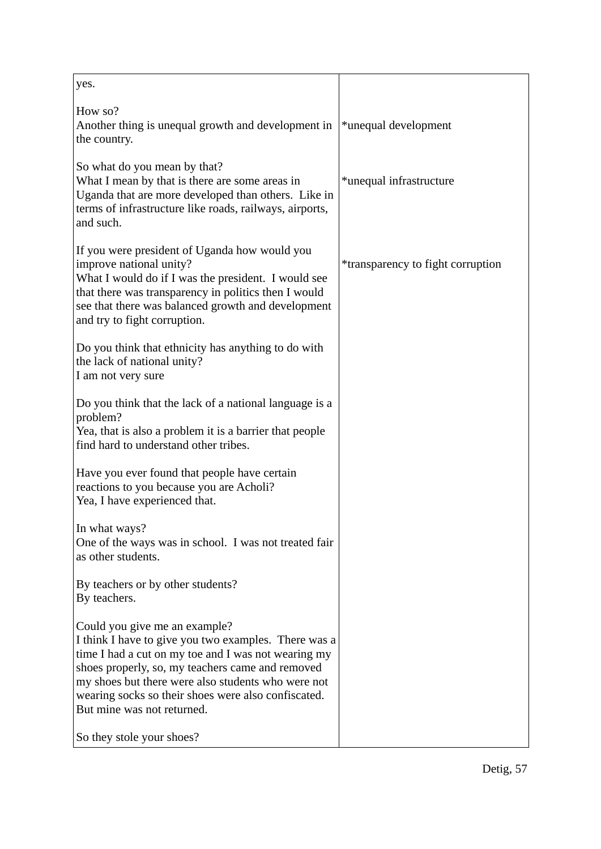| yes.                                                                                                                                                                                                                                                                                                                                        |                                          |
|---------------------------------------------------------------------------------------------------------------------------------------------------------------------------------------------------------------------------------------------------------------------------------------------------------------------------------------------|------------------------------------------|
| How so?<br>Another thing is unequal growth and development in<br>the country.                                                                                                                                                                                                                                                               | *unequal development                     |
| So what do you mean by that?<br>What I mean by that is there are some areas in<br>Uganda that are more developed than others. Like in<br>terms of infrastructure like roads, railways, airports,<br>and such.                                                                                                                               | *unequal infrastructure                  |
| If you were president of Uganda how would you<br>improve national unity?<br>What I would do if I was the president. I would see<br>that there was transparency in politics then I would<br>see that there was balanced growth and development<br>and try to fight corruption.                                                               | <i>*transparency to fight corruption</i> |
| Do you think that ethnicity has anything to do with<br>the lack of national unity?<br>I am not very sure                                                                                                                                                                                                                                    |                                          |
| Do you think that the lack of a national language is a<br>problem?<br>Yea, that is also a problem it is a barrier that people<br>find hard to understand other tribes.                                                                                                                                                                      |                                          |
| Have you ever found that people have certain<br>reactions to you because you are Acholi?<br>Yea, I have experienced that.                                                                                                                                                                                                                   |                                          |
| In what ways?<br>One of the ways was in school. I was not treated fair<br>as other students.                                                                                                                                                                                                                                                |                                          |
| By teachers or by other students?<br>By teachers.                                                                                                                                                                                                                                                                                           |                                          |
| Could you give me an example?<br>I think I have to give you two examples. There was a<br>time I had a cut on my toe and I was not wearing my<br>shoes properly, so, my teachers came and removed<br>my shoes but there were also students who were not<br>wearing socks so their shoes were also confiscated.<br>But mine was not returned. |                                          |
| So they stole your shoes?                                                                                                                                                                                                                                                                                                                   |                                          |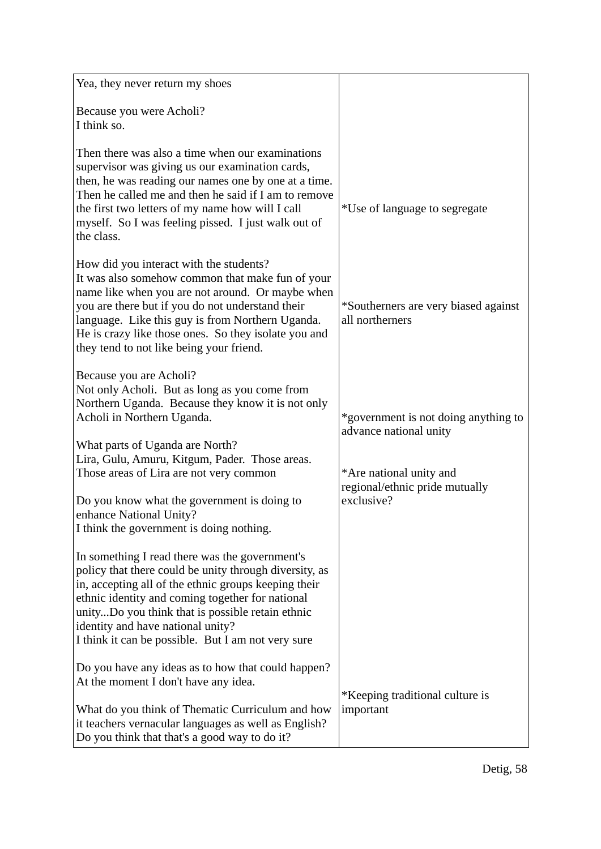| Yea, they never return my shoes                                                                                                                                                                                                                                                                                                                                                                                 |                                                                                                                                           |
|-----------------------------------------------------------------------------------------------------------------------------------------------------------------------------------------------------------------------------------------------------------------------------------------------------------------------------------------------------------------------------------------------------------------|-------------------------------------------------------------------------------------------------------------------------------------------|
| Because you were Acholi?<br>I think so.                                                                                                                                                                                                                                                                                                                                                                         |                                                                                                                                           |
| Then there was also a time when our examinations<br>supervisor was giving us our examination cards,<br>then, he was reading our names one by one at a time.<br>Then he called me and then he said if I am to remove<br>the first two letters of my name how will I call<br>myself. So I was feeling pissed. I just walk out of<br>the class.                                                                    | *Use of language to segregate                                                                                                             |
| How did you interact with the students?<br>It was also somehow common that make fun of your<br>name like when you are not around. Or maybe when<br>you are there but if you do not understand their<br>language. Like this guy is from Northern Uganda.<br>He is crazy like those ones. So they isolate you and<br>they tend to not like being your friend.                                                     | *Southerners are very biased against<br>all northerners                                                                                   |
| Because you are Acholi?<br>Not only Acholi. But as long as you come from<br>Northern Uganda. Because they know it is not only<br>Acholi in Northern Uganda.<br>What parts of Uganda are North?<br>Lira, Gulu, Amuru, Kitgum, Pader. Those areas.<br>Those areas of Lira are not very common<br>Do you know what the government is doing to<br>enhance National Unity?                                           | *government is not doing anything to<br>advance national unity<br>*Are national unity and<br>regional/ethnic pride mutually<br>exclusive? |
| I think the government is doing nothing.<br>In something I read there was the government's<br>policy that there could be unity through diversity, as<br>in, accepting all of the ethnic groups keeping their<br>ethnic identity and coming together for national<br>unityDo you think that is possible retain ethnic<br>identity and have national unity?<br>I think it can be possible. But I am not very sure |                                                                                                                                           |
| Do you have any ideas as to how that could happen?<br>At the moment I don't have any idea.<br>What do you think of Thematic Curriculum and how<br>it teachers vernacular languages as well as English?<br>Do you think that that's a good way to do it?                                                                                                                                                         | *Keeping traditional culture is<br>important                                                                                              |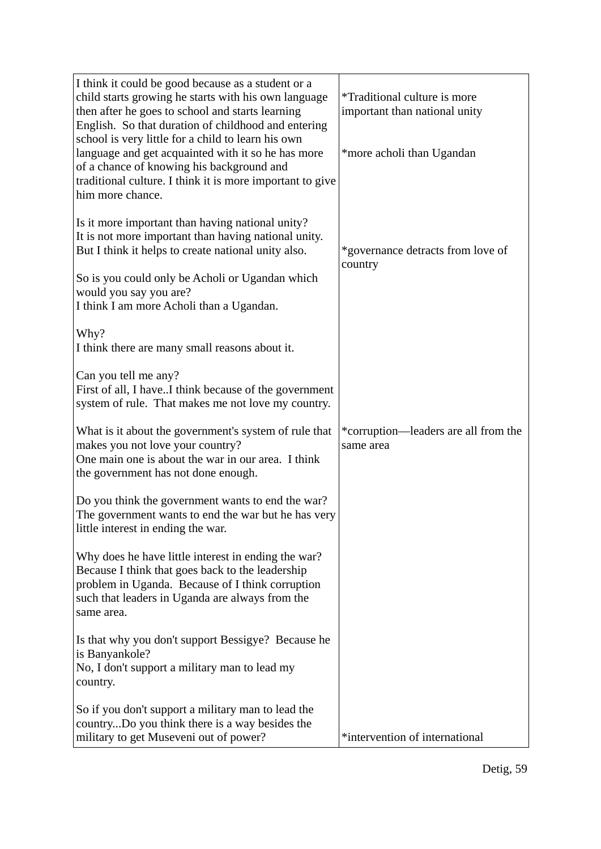| I think it could be good because as a student or a<br>child starts growing he starts with his own language<br>then after he goes to school and starts learning<br>English. So that duration of childhood and entering<br>school is very little for a child to learn his own<br>language and get acquainted with it so he has more<br>of a chance of knowing his background and<br>traditional culture. I think it is more important to give<br>him more chance. | <i>*Traditional culture is more</i><br>important than national unity<br>*more acholi than Ugandan |
|-----------------------------------------------------------------------------------------------------------------------------------------------------------------------------------------------------------------------------------------------------------------------------------------------------------------------------------------------------------------------------------------------------------------------------------------------------------------|---------------------------------------------------------------------------------------------------|
| Is it more important than having national unity?<br>It is not more important than having national unity.<br>But I think it helps to create national unity also.<br>So is you could only be Acholi or Ugandan which<br>would you say you are?<br>I think I am more Acholi than a Ugandan.                                                                                                                                                                        | *governance detracts from love of<br>country                                                      |
| Why?<br>I think there are many small reasons about it.<br>Can you tell me any?<br>First of all, I haveI think because of the government                                                                                                                                                                                                                                                                                                                         |                                                                                                   |
| system of rule. That makes me not love my country.<br>What is it about the government's system of rule that<br>makes you not love your country?<br>One main one is about the war in our area. I think<br>the government has not done enough.                                                                                                                                                                                                                    | *corruption—leaders are all from the<br>same area                                                 |
| Do you think the government wants to end the war?<br>The government wants to end the war but he has very<br>little interest in ending the war.                                                                                                                                                                                                                                                                                                                  |                                                                                                   |
| Why does he have little interest in ending the war?<br>Because I think that goes back to the leadership<br>problem in Uganda. Because of I think corruption<br>such that leaders in Uganda are always from the<br>same area.                                                                                                                                                                                                                                    |                                                                                                   |
| Is that why you don't support Bessigye? Because he<br>is Banyankole?<br>No, I don't support a military man to lead my<br>country.                                                                                                                                                                                                                                                                                                                               |                                                                                                   |
| So if you don't support a military man to lead the<br>countryDo you think there is a way besides the<br>military to get Museveni out of power?                                                                                                                                                                                                                                                                                                                  | *intervention of international                                                                    |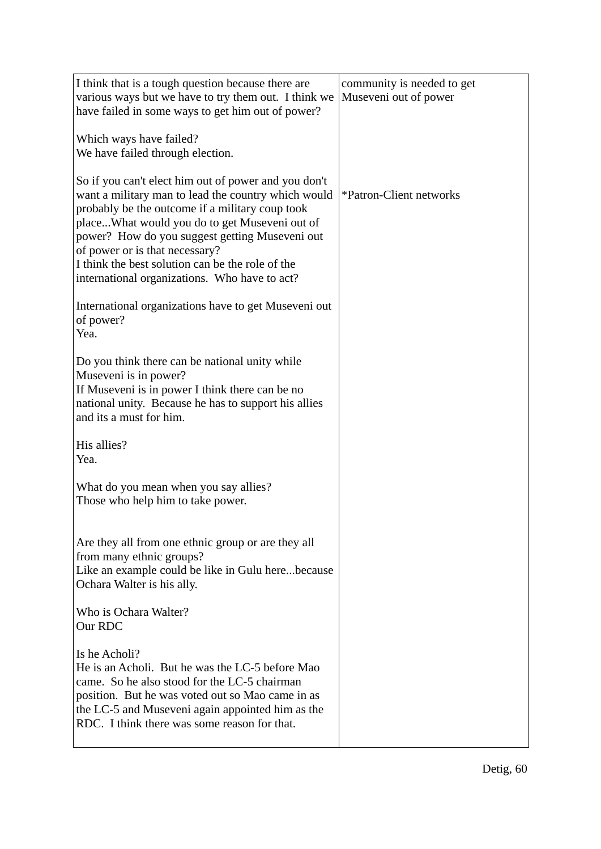| I think that is a tough question because there are<br>various ways but we have to try them out. I think we<br>have failed in some ways to get him out of power?                                                                                                                                                                                                                                          | community is needed to get<br>Museveni out of power |
|----------------------------------------------------------------------------------------------------------------------------------------------------------------------------------------------------------------------------------------------------------------------------------------------------------------------------------------------------------------------------------------------------------|-----------------------------------------------------|
| Which ways have failed?<br>We have failed through election.                                                                                                                                                                                                                                                                                                                                              |                                                     |
| So if you can't elect him out of power and you don't<br>want a military man to lead the country which would<br>probably be the outcome if a military coup took<br>placeWhat would you do to get Museveni out of<br>power? How do you suggest getting Museveni out<br>of power or is that necessary?<br>I think the best solution can be the role of the<br>international organizations. Who have to act? | *Patron-Client networks                             |
| International organizations have to get Museveni out<br>of power?<br>Yea.                                                                                                                                                                                                                                                                                                                                |                                                     |
| Do you think there can be national unity while<br>Museveni is in power?<br>If Museveni is in power I think there can be no<br>national unity. Because he has to support his allies<br>and its a must for him.                                                                                                                                                                                            |                                                     |
| His allies?<br>Yea.                                                                                                                                                                                                                                                                                                                                                                                      |                                                     |
| What do you mean when you say allies?<br>Those who help him to take power.                                                                                                                                                                                                                                                                                                                               |                                                     |
| Are they all from one ethnic group or are they all<br>from many ethnic groups?<br>Like an example could be like in Gulu herebecause<br>Ochara Walter is his ally.                                                                                                                                                                                                                                        |                                                     |
| Who is Ochara Walter?<br>Our RDC                                                                                                                                                                                                                                                                                                                                                                         |                                                     |
| Is he Acholi?<br>He is an Acholi. But he was the LC-5 before Mao<br>came. So he also stood for the LC-5 chairman<br>position. But he was voted out so Mao came in as<br>the LC-5 and Museveni again appointed him as the<br>RDC. I think there was some reason for that.                                                                                                                                 |                                                     |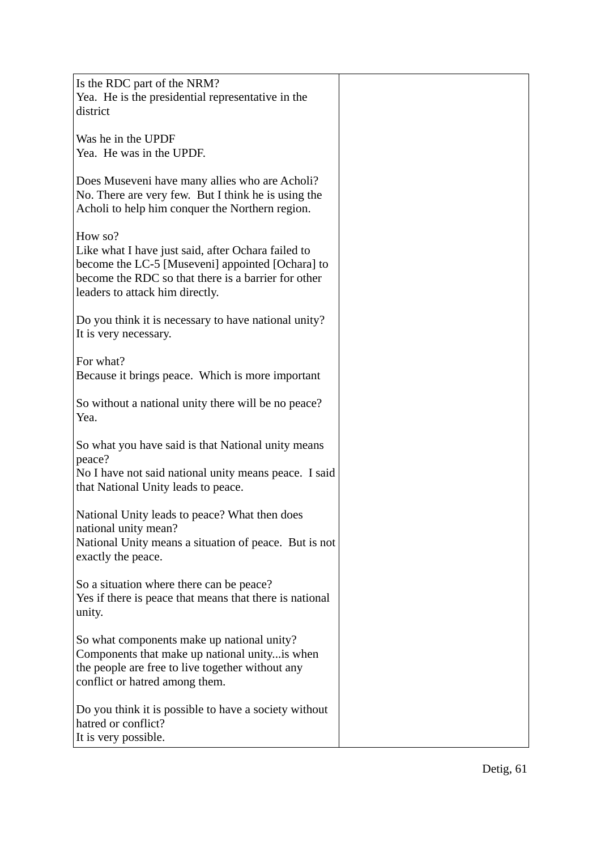| Is the RDC part of the NRM?<br>Yea. He is the presidential representative in the<br>district                                                                                                                |  |
|-------------------------------------------------------------------------------------------------------------------------------------------------------------------------------------------------------------|--|
| Was he in the UPDF<br>Yea. He was in the UPDF.                                                                                                                                                              |  |
| Does Museveni have many allies who are Acholi?<br>No. There are very few. But I think he is using the<br>Acholi to help him conquer the Northern region.                                                    |  |
| How so?<br>Like what I have just said, after Ochara failed to<br>become the LC-5 [Museveni] appointed [Ochara] to<br>become the RDC so that there is a barrier for other<br>leaders to attack him directly. |  |
| Do you think it is necessary to have national unity?<br>It is very necessary.                                                                                                                               |  |
| For what?<br>Because it brings peace. Which is more important                                                                                                                                               |  |
| So without a national unity there will be no peace?<br>Yea.                                                                                                                                                 |  |
| So what you have said is that National unity means<br>peace?<br>No I have not said national unity means peace. I said<br>that National Unity leads to peace.                                                |  |
| National Unity leads to peace? What then does<br>national unity mean?<br>National Unity means a situation of peace. But is not<br>exactly the peace.                                                        |  |
| So a situation where there can be peace?<br>Yes if there is peace that means that there is national<br>unity.                                                                                               |  |
| So what components make up national unity?<br>Components that make up national unity is when<br>the people are free to live together without any<br>conflict or hatred among them.                          |  |
| Do you think it is possible to have a society without<br>hatred or conflict?<br>It is very possible.                                                                                                        |  |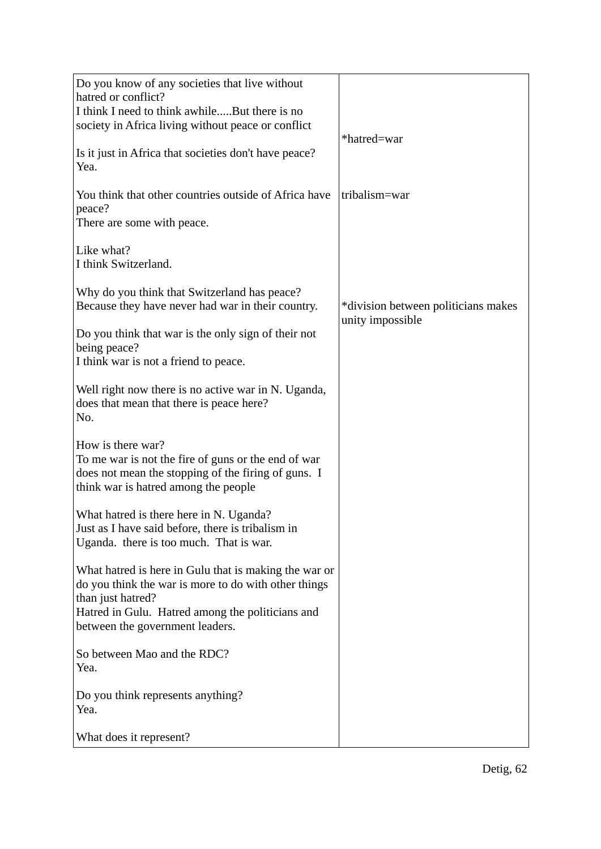| Do you know of any societies that live without<br>hatred or conflict?<br>I think I need to think awhileBut there is no<br>society in Africa living without peace or conflict                                              | *hatred=war                                             |
|---------------------------------------------------------------------------------------------------------------------------------------------------------------------------------------------------------------------------|---------------------------------------------------------|
| Is it just in Africa that societies don't have peace?<br>Yea.                                                                                                                                                             |                                                         |
| You think that other countries outside of Africa have<br>peace?<br>There are some with peace.                                                                                                                             | tribalism=war                                           |
| Like what?<br>I think Switzerland.                                                                                                                                                                                        |                                                         |
| Why do you think that Switzerland has peace?<br>Because they have never had war in their country.                                                                                                                         | *division between politicians makes<br>unity impossible |
| Do you think that war is the only sign of their not<br>being peace?<br>I think war is not a friend to peace.                                                                                                              |                                                         |
| Well right now there is no active war in N. Uganda,<br>does that mean that there is peace here?<br>No.                                                                                                                    |                                                         |
| How is there war?<br>To me war is not the fire of guns or the end of war<br>does not mean the stopping of the firing of guns. I<br>think war is hatred among the people                                                   |                                                         |
| What hatred is there here in N. Uganda?<br>Just as I have said before, there is tribalism in<br>Uganda. there is too much. That is war.                                                                                   |                                                         |
| What hatred is here in Gulu that is making the war or<br>do you think the war is more to do with other things<br>than just hatred?<br>Hatred in Gulu. Hatred among the politicians and<br>between the government leaders. |                                                         |
| So between Mao and the RDC?<br>Yea.                                                                                                                                                                                       |                                                         |
| Do you think represents anything?<br>Yea.                                                                                                                                                                                 |                                                         |
| What does it represent?                                                                                                                                                                                                   |                                                         |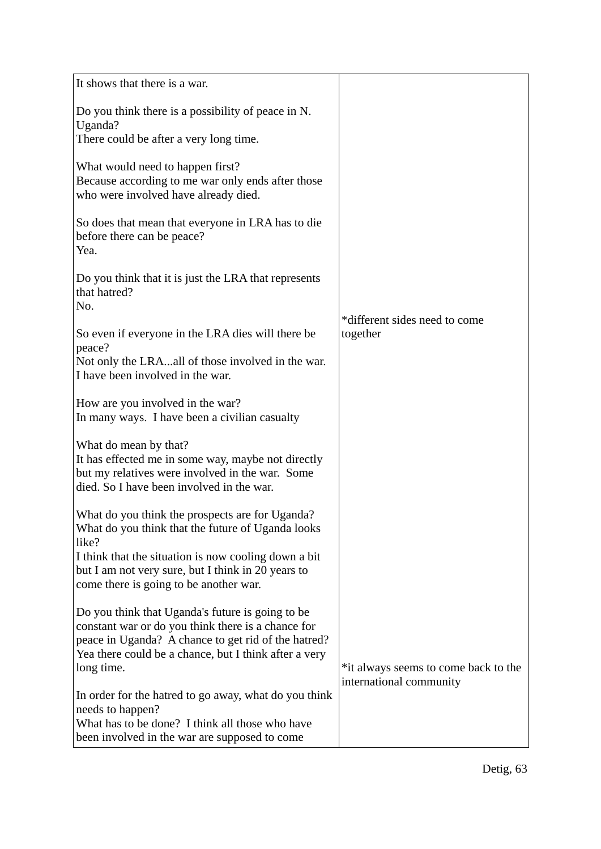| It shows that there is a war.                                                                                                                                                                                                        |                                           |
|--------------------------------------------------------------------------------------------------------------------------------------------------------------------------------------------------------------------------------------|-------------------------------------------|
| Do you think there is a possibility of peace in N.<br>Uganda?                                                                                                                                                                        |                                           |
| There could be after a very long time.                                                                                                                                                                                               |                                           |
| What would need to happen first?<br>Because according to me war only ends after those<br>who were involved have already died.                                                                                                        |                                           |
| So does that mean that everyone in LRA has to die<br>before there can be peace?<br>Yea.                                                                                                                                              |                                           |
| Do you think that it is just the LRA that represents<br>that hatred?<br>No.                                                                                                                                                          |                                           |
| So even if everyone in the LRA dies will there be                                                                                                                                                                                    | *different sides need to come<br>together |
| peace?                                                                                                                                                                                                                               |                                           |
| Not only the LRAall of those involved in the war.<br>I have been involved in the war.                                                                                                                                                |                                           |
| How are you involved in the war?<br>In many ways. I have been a civilian casualty                                                                                                                                                    |                                           |
| What do mean by that?<br>It has effected me in some way, maybe not directly<br>but my relatives were involved in the war. Some<br>died. So I have been involved in the war.                                                          |                                           |
| What do you think the prospects are for Uganda?<br>What do you think that the future of Uganda looks<br>like?                                                                                                                        |                                           |
| I think that the situation is now cooling down a bit<br>but I am not very sure, but I think in 20 years to<br>come there is going to be another war.                                                                                 |                                           |
| Do you think that Uganda's future is going to be<br>constant war or do you think there is a chance for<br>peace in Uganda? A chance to get rid of the hatred?<br>Yea there could be a chance, but I think after a very<br>long time. | *it always seems to come back to the      |
| In order for the hatred to go away, what do you think<br>needs to happen?<br>What has to be done? I think all those who have                                                                                                         | international community                   |
| been involved in the war are supposed to come                                                                                                                                                                                        |                                           |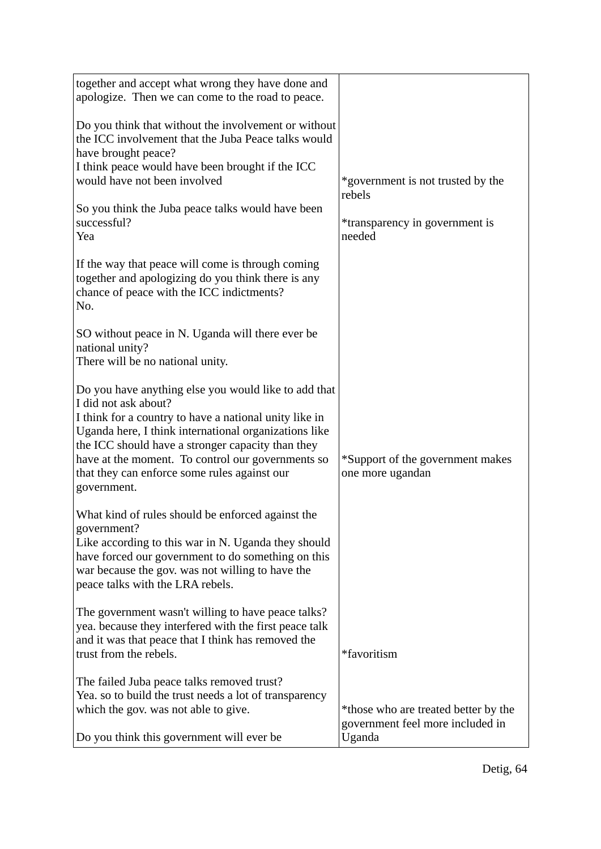| together and accept what wrong they have done and<br>apologize. Then we can come to the road to peace.                                                                                                                                                                                                                                                                   |                                                                          |
|--------------------------------------------------------------------------------------------------------------------------------------------------------------------------------------------------------------------------------------------------------------------------------------------------------------------------------------------------------------------------|--------------------------------------------------------------------------|
| Do you think that without the involvement or without<br>the ICC involvement that the Juba Peace talks would<br>have brought peace?<br>I think peace would have been brought if the ICC<br>would have not been involved                                                                                                                                                   | *government is not trusted by the                                        |
| So you think the Juba peace talks would have been<br>successful?<br>Yea                                                                                                                                                                                                                                                                                                  | rebels<br>*transparency in government is<br>needed                       |
| If the way that peace will come is through coming<br>together and apologizing do you think there is any<br>chance of peace with the ICC indictments?<br>No.                                                                                                                                                                                                              |                                                                          |
| SO without peace in N. Uganda will there ever be<br>national unity?<br>There will be no national unity.                                                                                                                                                                                                                                                                  |                                                                          |
| Do you have anything else you would like to add that<br>I did not ask about?<br>I think for a country to have a national unity like in<br>Uganda here, I think international organizations like<br>the ICC should have a stronger capacity than they<br>have at the moment. To control our governments so<br>that they can enforce some rules against our<br>government. | *Support of the government makes<br>one more ugandan                     |
| What kind of rules should be enforced against the<br>government?<br>Like according to this war in N. Uganda they should<br>have forced our government to do something on this<br>war because the gov. was not willing to have the<br>peace talks with the LRA rebels.                                                                                                    |                                                                          |
| The government wasn't willing to have peace talks?<br>yea. because they interfered with the first peace talk<br>and it was that peace that I think has removed the<br>trust from the rebels.                                                                                                                                                                             | *favoritism                                                              |
| The failed Juba peace talks removed trust?<br>Yea. so to build the trust needs a lot of transparency<br>which the gov. was not able to give.                                                                                                                                                                                                                             | *those who are treated better by the<br>government feel more included in |
| Do you think this government will ever be.                                                                                                                                                                                                                                                                                                                               | Uganda                                                                   |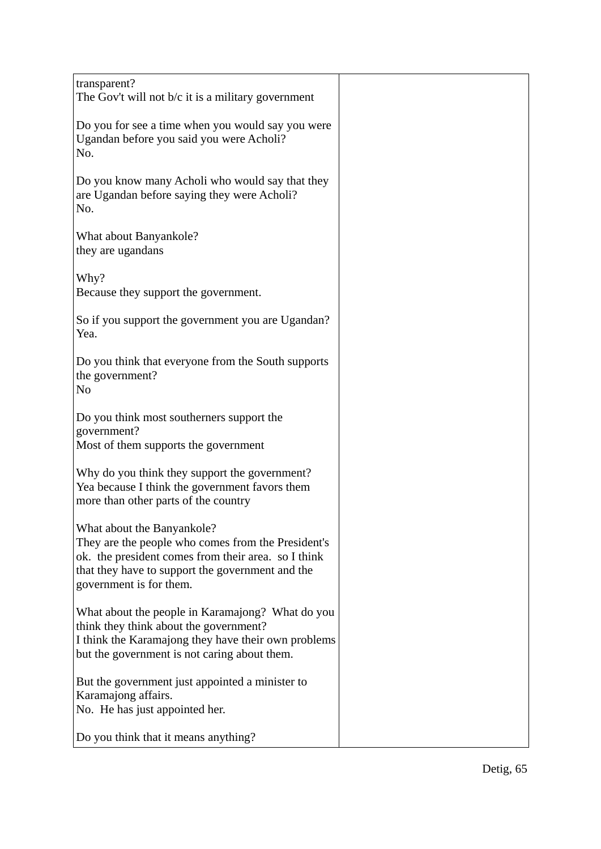| transparent?<br>The Gov't will not $b/c$ it is a military government                                                                                                                                                   |  |
|------------------------------------------------------------------------------------------------------------------------------------------------------------------------------------------------------------------------|--|
| Do you for see a time when you would say you were<br>Ugandan before you said you were Acholi?<br>No.                                                                                                                   |  |
| Do you know many Acholi who would say that they<br>are Ugandan before saying they were Acholi?<br>No.                                                                                                                  |  |
| What about Banyankole?<br>they are ugandans                                                                                                                                                                            |  |
| Why?<br>Because they support the government.                                                                                                                                                                           |  |
| So if you support the government you are Ugandan?<br>Yea.                                                                                                                                                              |  |
| Do you think that everyone from the South supports<br>the government?<br>N <sub>o</sub>                                                                                                                                |  |
| Do you think most southerners support the<br>government?                                                                                                                                                               |  |
| Most of them supports the government                                                                                                                                                                                   |  |
| Why do you think they support the government?<br>Yea because I think the government favors them<br>more than other parts of the country                                                                                |  |
| What about the Banyankole?<br>They are the people who comes from the President's<br>ok. the president comes from their area. so I think<br>that they have to support the government and the<br>government is for them. |  |
| What about the people in Karamajong? What do you<br>think they think about the government?<br>I think the Karamajong they have their own problems<br>but the government is not caring about them.                      |  |
| But the government just appointed a minister to<br>Karamajong affairs.<br>No. He has just appointed her.                                                                                                               |  |
| Do you think that it means anything?                                                                                                                                                                                   |  |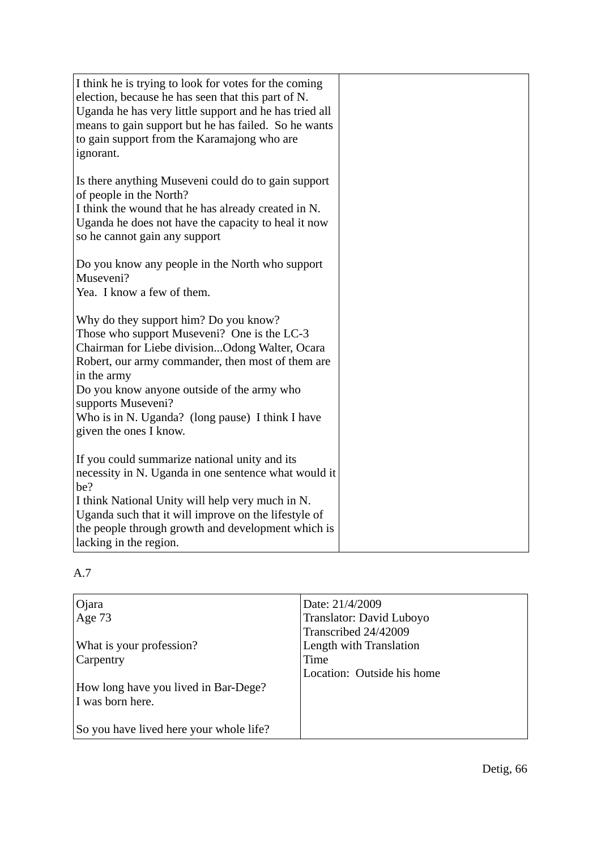| I think he is trying to look for votes for the coming<br>election, because he has seen that this part of N.<br>Uganda he has very little support and he has tried all<br>means to gain support but he has failed. So he wants<br>to gain support from the Karamajong who are<br>ignorant.                                                                    |  |
|--------------------------------------------------------------------------------------------------------------------------------------------------------------------------------------------------------------------------------------------------------------------------------------------------------------------------------------------------------------|--|
| Is there anything Museveni could do to gain support<br>of people in the North?<br>I think the wound that he has already created in N.<br>Uganda he does not have the capacity to heal it now<br>so he cannot gain any support                                                                                                                                |  |
| Do you know any people in the North who support<br>Museveni?<br>Yea. I know a few of them.                                                                                                                                                                                                                                                                   |  |
| Why do they support him? Do you know?<br>Those who support Museveni? One is the LC-3<br>Chairman for Liebe divisionOdong Walter, Ocara<br>Robert, our army commander, then most of them are<br>in the army<br>Do you know anyone outside of the army who<br>supports Museveni?<br>Who is in N. Uganda? (long pause) I think I have<br>given the ones I know. |  |
| If you could summarize national unity and its<br>necessity in N. Uganda in one sentence what would it<br>be?<br>I think National Unity will help very much in N.<br>Uganda such that it will improve on the lifestyle of<br>the people through growth and development which is<br>lacking in the region.                                                     |  |

| Ojara                                   | Date: 21/4/2009            |
|-----------------------------------------|----------------------------|
| Age 73                                  | Translator: David Luboyo   |
|                                         | Transcribed 24/42009       |
| What is your profession?                | Length with Translation    |
| Carpentry                               | Time                       |
|                                         | Location: Outside his home |
| How long have you lived in Bar-Dege?    |                            |
| I was born here.                        |                            |
|                                         |                            |
| So you have lived here your whole life? |                            |
|                                         |                            |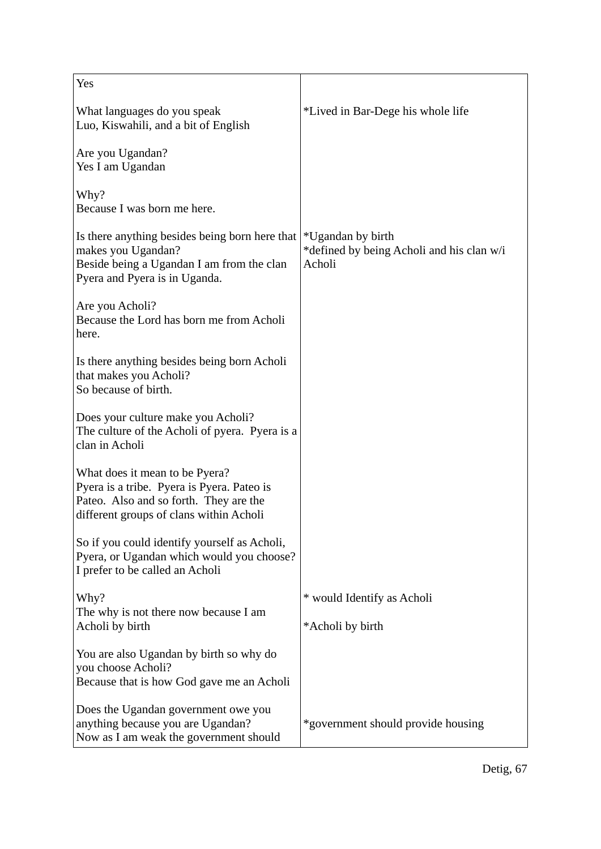| Yes                                                                                                                                                               |                                                                          |
|-------------------------------------------------------------------------------------------------------------------------------------------------------------------|--------------------------------------------------------------------------|
| What languages do you speak<br>Luo, Kiswahili, and a bit of English                                                                                               | *Lived in Bar-Dege his whole life                                        |
| Are you Ugandan?<br>Yes I am Ugandan                                                                                                                              |                                                                          |
| Why?<br>Because I was born me here.                                                                                                                               |                                                                          |
| Is there anything besides being born here that<br>makes you Ugandan?<br>Beside being a Ugandan I am from the clan<br>Pyera and Pyera is in Uganda.                | *Ugandan by birth<br>*defined by being Acholi and his clan w/i<br>Acholi |
| Are you Acholi?<br>Because the Lord has born me from Acholi<br>here.                                                                                              |                                                                          |
| Is there anything besides being born Acholi<br>that makes you Acholi?<br>So because of birth.                                                                     |                                                                          |
| Does your culture make you Acholi?<br>The culture of the Acholi of pyera. Pyera is a<br>clan in Acholi                                                            |                                                                          |
| What does it mean to be Pyera?<br>Pyera is a tribe. Pyera is Pyera. Pateo is<br>Pateo. Also and so forth. They are the<br>different groups of clans within Acholi |                                                                          |
| So if you could identify yourself as Acholi,<br>Pyera, or Ugandan which would you choose?<br>I prefer to be called an Acholi                                      |                                                                          |
| Why?                                                                                                                                                              | * would Identify as Acholi                                               |
| The why is not there now because I am<br>Acholi by birth                                                                                                          | *Acholi by birth                                                         |
| You are also Ugandan by birth so why do<br>you choose Acholi?<br>Because that is how God gave me an Acholi                                                        |                                                                          |
| Does the Ugandan government owe you<br>anything because you are Ugandan?<br>Now as I am weak the government should                                                | *government should provide housing                                       |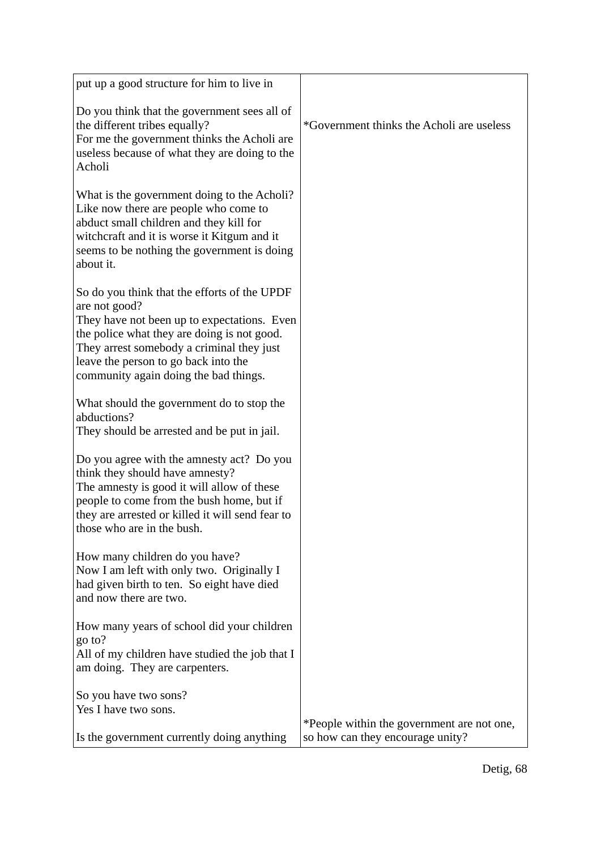| put up a good structure for him to live in                                                                                                                                                                                                                                                |                                                                                |
|-------------------------------------------------------------------------------------------------------------------------------------------------------------------------------------------------------------------------------------------------------------------------------------------|--------------------------------------------------------------------------------|
| Do you think that the government sees all of<br>the different tribes equally?<br>For me the government thinks the Acholi are<br>useless because of what they are doing to the<br>Acholi                                                                                                   | *Government thinks the Acholi are useless                                      |
| What is the government doing to the Acholi?<br>Like now there are people who come to<br>abduct small children and they kill for<br>witchcraft and it is worse it Kitgum and it<br>seems to be nothing the government is doing<br>about it.                                                |                                                                                |
| So do you think that the efforts of the UPDF<br>are not good?<br>They have not been up to expectations. Even<br>the police what they are doing is not good.<br>They arrest somebody a criminal they just<br>leave the person to go back into the<br>community again doing the bad things. |                                                                                |
| What should the government do to stop the<br>abductions?<br>They should be arrested and be put in jail.                                                                                                                                                                                   |                                                                                |
| Do you agree with the amnesty act? Do you<br>think they should have amnesty?<br>The amnesty is good it will allow of these<br>people to come from the bush home, but if<br>they are arrested or killed it will send fear to<br>those who are in the bush.                                 |                                                                                |
| How many children do you have?<br>Now I am left with only two. Originally I<br>had given birth to ten. So eight have died<br>and now there are two.                                                                                                                                       |                                                                                |
| How many years of school did your children<br>go to?<br>All of my children have studied the job that I<br>am doing. They are carpenters.                                                                                                                                                  |                                                                                |
| So you have two sons?<br>Yes I have two sons.                                                                                                                                                                                                                                             |                                                                                |
| Is the government currently doing anything                                                                                                                                                                                                                                                | *People within the government are not one,<br>so how can they encourage unity? |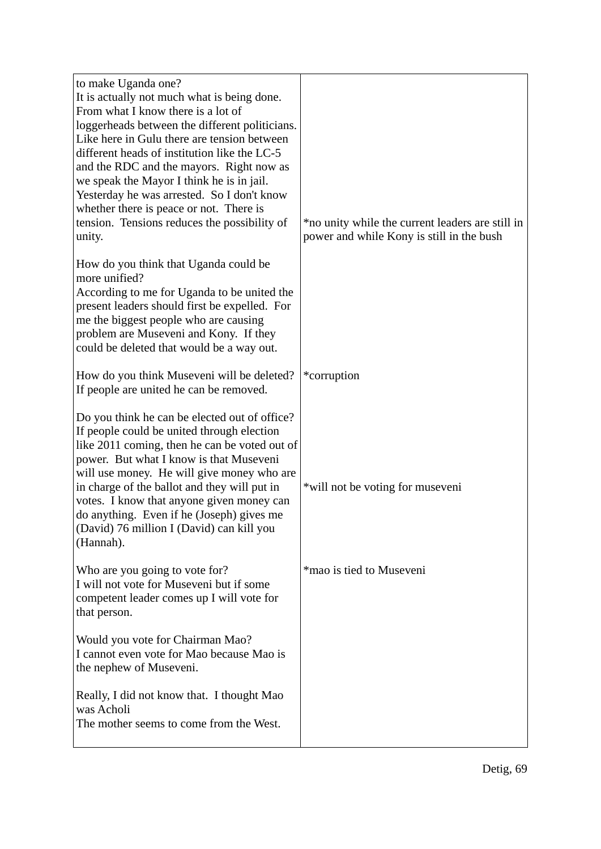| to make Uganda one?<br>It is actually not much what is being done.<br>From what I know there is a lot of<br>loggerheads between the different politicians.<br>Like here in Gulu there are tension between<br>different heads of institution like the LC-5<br>and the RDC and the mayors. Right now as<br>we speak the Mayor I think he is in jail.<br>Yesterday he was arrested. So I don't know<br>whether there is peace or not. There is<br>tension. Tensions reduces the possibility of<br>unity. | *no unity while the current leaders are still in<br>power and while Kony is still in the bush |
|-------------------------------------------------------------------------------------------------------------------------------------------------------------------------------------------------------------------------------------------------------------------------------------------------------------------------------------------------------------------------------------------------------------------------------------------------------------------------------------------------------|-----------------------------------------------------------------------------------------------|
| How do you think that Uganda could be<br>more unified?<br>According to me for Uganda to be united the<br>present leaders should first be expelled. For<br>me the biggest people who are causing<br>problem are Museveni and Kony. If they<br>could be deleted that would be a way out.                                                                                                                                                                                                                |                                                                                               |
| How do you think Museveni will be deleted?<br>If people are united he can be removed.                                                                                                                                                                                                                                                                                                                                                                                                                 | *corruption                                                                                   |
| Do you think he can be elected out of office?<br>If people could be united through election<br>like 2011 coming, then he can be voted out of<br>power. But what I know is that Museveni<br>will use money. He will give money who are<br>in charge of the ballot and they will put in<br>votes. I know that anyone given money can<br>do anything. Even if he (Joseph) gives me<br>(David) 76 million I (David) can kill you<br>(Hannah).                                                             | *will not be voting for museveni                                                              |
| Who are you going to vote for?<br>I will not vote for Museveni but if some<br>competent leader comes up I will vote for<br>that person.                                                                                                                                                                                                                                                                                                                                                               | *mao is tied to Museveni                                                                      |
| Would you vote for Chairman Mao?<br>I cannot even vote for Mao because Mao is<br>the nephew of Museveni.                                                                                                                                                                                                                                                                                                                                                                                              |                                                                                               |
| Really, I did not know that. I thought Mao<br>was Acholi<br>The mother seems to come from the West.                                                                                                                                                                                                                                                                                                                                                                                                   |                                                                                               |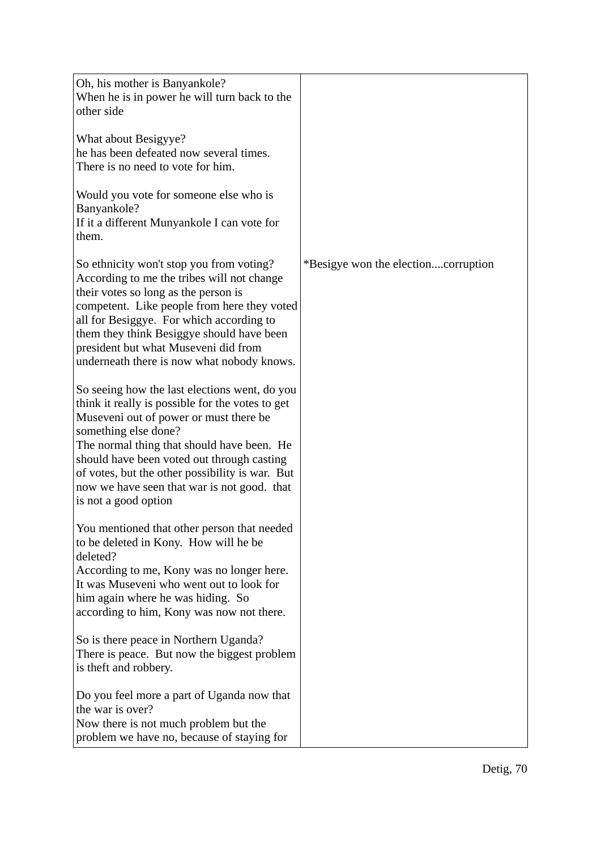| Oh, his mother is Banyankole?<br>When he is in power he will turn back to the<br>other side                                                                                                                                                                                                                                                                                               |                                     |
|-------------------------------------------------------------------------------------------------------------------------------------------------------------------------------------------------------------------------------------------------------------------------------------------------------------------------------------------------------------------------------------------|-------------------------------------|
| What about Besigyye?<br>he has been defeated now several times.<br>There is no need to vote for him.                                                                                                                                                                                                                                                                                      |                                     |
| Would you vote for someone else who is<br>Banyankole?<br>If it a different Munyankole I can vote for<br>them.                                                                                                                                                                                                                                                                             |                                     |
| So ethnicity won't stop you from voting?<br>According to me the tribes will not change<br>their votes so long as the person is<br>competent. Like people from here they voted<br>all for Besiggye. For which according to<br>them they think Besiggye should have been<br>president but what Museveni did from<br>underneath there is now what nobody knows.                              | *Besigye won the electioncorruption |
| So seeing how the last elections went, do you<br>think it really is possible for the votes to get<br>Museveni out of power or must there be<br>something else done?<br>The normal thing that should have been. He<br>should have been voted out through casting<br>of votes, but the other possibility is war. But<br>now we have seen that war is not good. that<br>is not a good option |                                     |
| You mentioned that other person that needed<br>to be deleted in Kony. How will he be<br>deleted?<br>According to me, Kony was no longer here.<br>It was Museveni who went out to look for<br>him again where he was hiding. So<br>according to him, Kony was now not there.                                                                                                               |                                     |
| So is there peace in Northern Uganda?<br>There is peace. But now the biggest problem<br>is theft and robbery.                                                                                                                                                                                                                                                                             |                                     |
| Do you feel more a part of Uganda now that<br>the war is over?<br>Now there is not much problem but the<br>problem we have no, because of staying for                                                                                                                                                                                                                                     |                                     |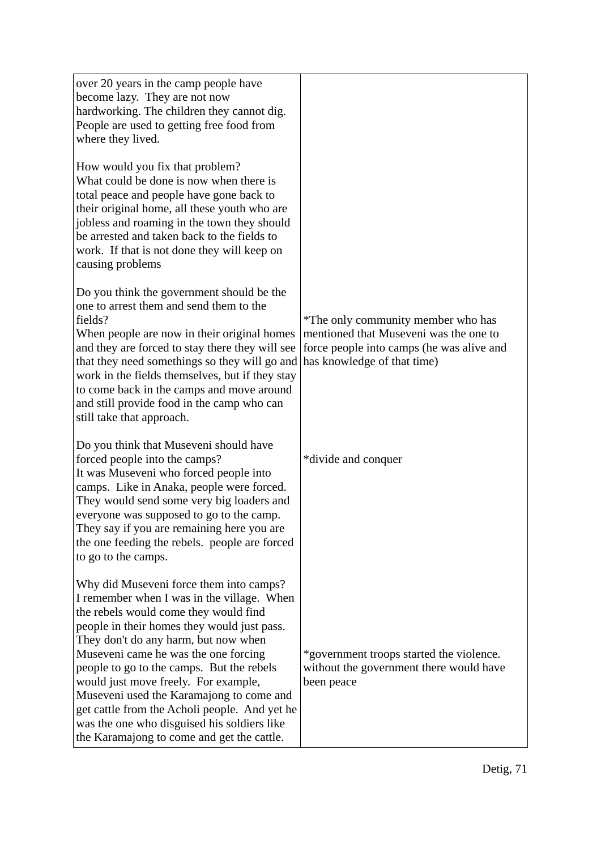| over 20 years in the camp people have<br>become lazy. They are not now<br>hardworking. The children they cannot dig.<br>People are used to getting free food from<br>where they lived.                                                                                                                                                                                                                                                                                                                                                       |                                                                                                                                                          |
|----------------------------------------------------------------------------------------------------------------------------------------------------------------------------------------------------------------------------------------------------------------------------------------------------------------------------------------------------------------------------------------------------------------------------------------------------------------------------------------------------------------------------------------------|----------------------------------------------------------------------------------------------------------------------------------------------------------|
| How would you fix that problem?<br>What could be done is now when there is<br>total peace and people have gone back to<br>their original home, all these youth who are<br>jobless and roaming in the town they should<br>be arrested and taken back to the fields to<br>work. If that is not done they will keep on<br>causing problems                                                                                                                                                                                                      |                                                                                                                                                          |
| Do you think the government should be the<br>one to arrest them and send them to the<br>fields?<br>When people are now in their original homes<br>and they are forced to stay there they will see<br>that they need somethings so they will go and<br>work in the fields themselves, but if they stay<br>to come back in the camps and move around<br>and still provide food in the camp who can<br>still take that approach.                                                                                                                | *The only community member who has<br>mentioned that Museveni was the one to<br>force people into camps (he was alive and<br>has knowledge of that time) |
| Do you think that Museveni should have<br>forced people into the camps?<br>It was Museveni who forced people into<br>camps. Like in Anaka, people were forced.<br>They would send some very big loaders and<br>everyone was supposed to go to the camp.<br>They say if you are remaining here you are<br>the one feeding the rebels. people are forced<br>to go to the camps.                                                                                                                                                                | *divide and conquer                                                                                                                                      |
| Why did Museveni force them into camps?<br>I remember when I was in the village. When<br>the rebels would come they would find<br>people in their homes they would just pass.<br>They don't do any harm, but now when<br>Museveni came he was the one forcing<br>people to go to the camps. But the rebels<br>would just move freely. For example,<br>Museveni used the Karamajong to come and<br>get cattle from the Acholi people. And yet he<br>was the one who disguised his soldiers like<br>the Karamajong to come and get the cattle. | *government troops started the violence.<br>without the government there would have<br>been peace                                                        |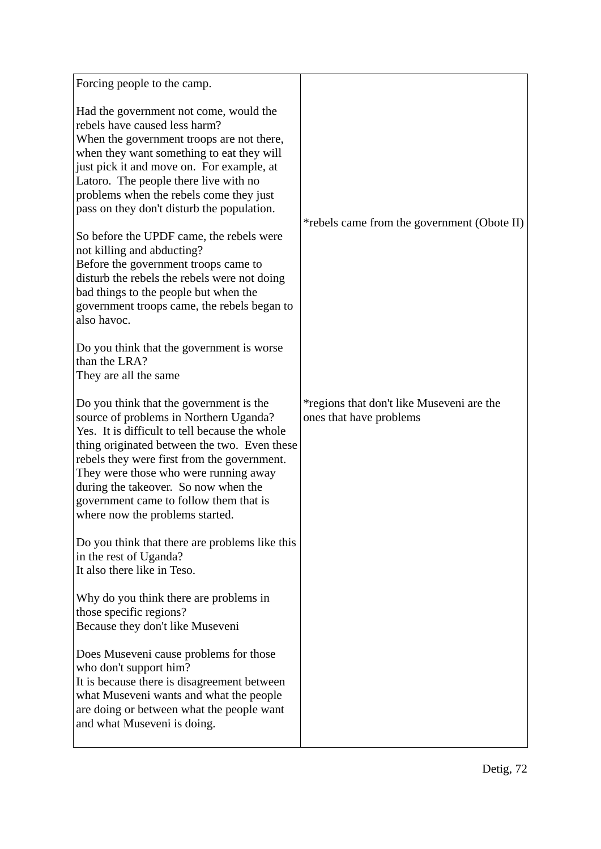| Forcing people to the camp.                                                                                                                                                                                                                                                                                                                                                                                                                                                                                                                                                                                                                                                                                      |                                                                      |
|------------------------------------------------------------------------------------------------------------------------------------------------------------------------------------------------------------------------------------------------------------------------------------------------------------------------------------------------------------------------------------------------------------------------------------------------------------------------------------------------------------------------------------------------------------------------------------------------------------------------------------------------------------------------------------------------------------------|----------------------------------------------------------------------|
| Had the government not come, would the<br>rebels have caused less harm?<br>When the government troops are not there,<br>when they want something to eat they will<br>just pick it and move on. For example, at<br>Latoro. The people there live with no<br>problems when the rebels come they just<br>pass on they don't disturb the population.<br>So before the UPDF came, the rebels were<br>not killing and abducting?<br>Before the government troops came to<br>disturb the rebels the rebels were not doing<br>bad things to the people but when the<br>government troops came, the rebels began to<br>also havoc.<br>Do you think that the government is worse<br>than the LRA?<br>They are all the same | *rebels came from the government (Obote II)                          |
| Do you think that the government is the<br>source of problems in Northern Uganda?<br>Yes. It is difficult to tell because the whole<br>thing originated between the two. Even these<br>rebels they were first from the government.<br>They were those who were running away<br>during the takeover. So now when the<br>government came to follow them that is<br>where now the problems started.                                                                                                                                                                                                                                                                                                                 | *regions that don't like Museveni are the<br>ones that have problems |
| Do you think that there are problems like this<br>in the rest of Uganda?<br>It also there like in Teso.                                                                                                                                                                                                                                                                                                                                                                                                                                                                                                                                                                                                          |                                                                      |
| Why do you think there are problems in<br>those specific regions?<br>Because they don't like Museveni                                                                                                                                                                                                                                                                                                                                                                                                                                                                                                                                                                                                            |                                                                      |
| Does Museveni cause problems for those<br>who don't support him?<br>It is because there is disagreement between<br>what Museveni wants and what the people<br>are doing or between what the people want<br>and what Museveni is doing.                                                                                                                                                                                                                                                                                                                                                                                                                                                                           |                                                                      |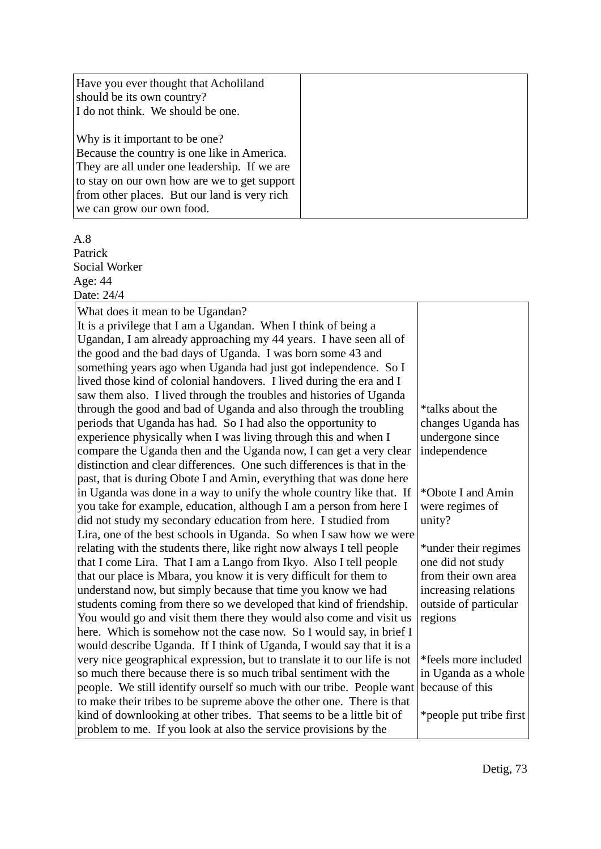| Have you ever thought that Acholiland<br>should be its own country?<br>I do not think. We should be one. |
|----------------------------------------------------------------------------------------------------------|
| Why is it important to be one?                                                                           |
| Because the country is one like in America.                                                              |
| They are all under one leadership. If we are                                                             |
| to stay on our own how are we to get support                                                             |
| from other places. But our land is very rich                                                             |
| we can grow our own food.                                                                                |

A.8 Patrick Social Worker

Age: 44 Date: 24/4

| What does it mean to be Ugandan?                                          |                         |
|---------------------------------------------------------------------------|-------------------------|
| It is a privilege that I am a Ugandan. When I think of being a            |                         |
| Ugandan, I am already approaching my 44 years. I have seen all of         |                         |
| the good and the bad days of Uganda. I was born some 43 and               |                         |
| something years ago when Uganda had just got independence. So I           |                         |
| lived those kind of colonial handovers. I lived during the era and I      |                         |
| saw them also. I lived through the troubles and histories of Uganda       |                         |
| through the good and bad of Uganda and also through the troubling         | *talks about the        |
| periods that Uganda has had. So I had also the opportunity to             | changes Uganda has      |
| experience physically when I was living through this and when I           | undergone since         |
| compare the Uganda then and the Uganda now, I can get a very clear        | independence            |
| distinction and clear differences. One such differences is that in the    |                         |
| past, that is during Obote I and Amin, everything that was done here      |                         |
| in Uganda was done in a way to unify the whole country like that. If      | *Obote I and Amin       |
| you take for example, education, although I am a person from here I       | were regimes of         |
| did not study my secondary education from here. I studied from            | unity?                  |
| Lira, one of the best schools in Uganda. So when I saw how we were        |                         |
| relating with the students there, like right now always I tell people     | *under their regimes    |
| that I come Lira. That I am a Lango from Ikyo. Also I tell people         | one did not study       |
| that our place is Mbara, you know it is very difficult for them to        | from their own area     |
| understand now, but simply because that time you know we had              | increasing relations    |
| students coming from there so we developed that kind of friendship.       | outside of particular   |
| You would go and visit them there they would also come and visit us       | regions                 |
| here. Which is somehow not the case now. So I would say, in brief I       |                         |
| would describe Uganda. If I think of Uganda, I would say that it is a     |                         |
| very nice geographical expression, but to translate it to our life is not | *feels more included    |
| so much there because there is so much tribal sentiment with the          | in Uganda as a whole    |
| people. We still identify ourself so much with our tribe. People want     | because of this         |
| to make their tribes to be supreme above the other one. There is that     |                         |
| kind of downlooking at other tribes. That seems to be a little bit of     | *people put tribe first |
| problem to me. If you look at also the service provisions by the          |                         |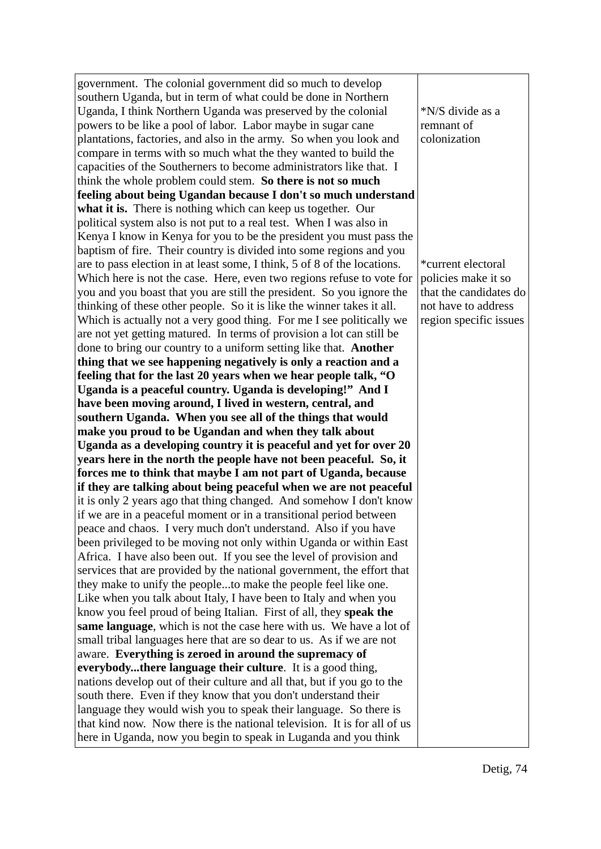government. The colonial government did so much to develop southern Uganda, but in term of what could be done in Northern Uganda, I think Northern Uganda was preserved by the colonial powers to be like a pool of labor. Labor maybe in sugar cane plantations, factories, and also in the army. So when you look and compare in terms with so much what the they wanted to build the capacities of the Southerners to become administrators like that. I think the whole problem could stem. **So there is not so much feeling about being Ugandan because I don't so much understand what it is.** There is nothing which can keep us together. Our political system also is not put to a real test. When I was also in Kenya I know in Kenya for you to be the president you must pass the baptism of fire. Their country is divided into some regions and you are to pass election in at least some, I think, 5 of 8 of the locations. Which here is not the case. Here, even two regions refuse to vote for you and you boast that you are still the president. So you ignore the thinking of these other people. So it is like the winner takes it all. Which is actually not a very good thing. For me I see politically we are not yet getting matured. In terms of provision a lot can still be done to bring our country to a uniform setting like that. **Another thing that we see happening negatively is only a reaction and a feeling that for the last 20 years when we hear people talk, "O Uganda is a peaceful country. Uganda is developing!" And I have been moving around, I lived in western, central, and southern Uganda. When you see all of the things that would make you proud to be Ugandan and when they talk about Uganda as a developing country it is peaceful and yet for over 20 years here in the north the people have not been peaceful. So, it forces me to think that maybe I am not part of Uganda, because if they are talking about being peaceful when we are not peaceful** it is only 2 years ago that thing changed. And somehow I don't know if we are in a peaceful moment or in a transitional period between peace and chaos. I very much don't understand. Also if you have been privileged to be moving not only within Uganda or within East Africa. I have also been out. If you see the level of provision and services that are provided by the national government, the effort that they make to unify the people...to make the people feel like one. Like when you talk about Italy, I have been to Italy and when you know you feel proud of being Italian. First of all, they **speak the same language**, which is not the case here with us. We have a lot of small tribal languages here that are so dear to us. As if we are not aware. **Everything is zeroed in around the supremacy of everybody...there language their culture**. It is a good thing, nations develop out of their culture and all that, but if you go to the south there. Even if they know that you don't understand their language they would wish you to speak their language. So there is that kind now. Now there is the national television. It is for all of us here in Uganda, now you begin to speak in Luganda and you think

\*N/S divide as a remnant of colonization

\*current electoral policies make it so that the candidates do not have to address region specific issues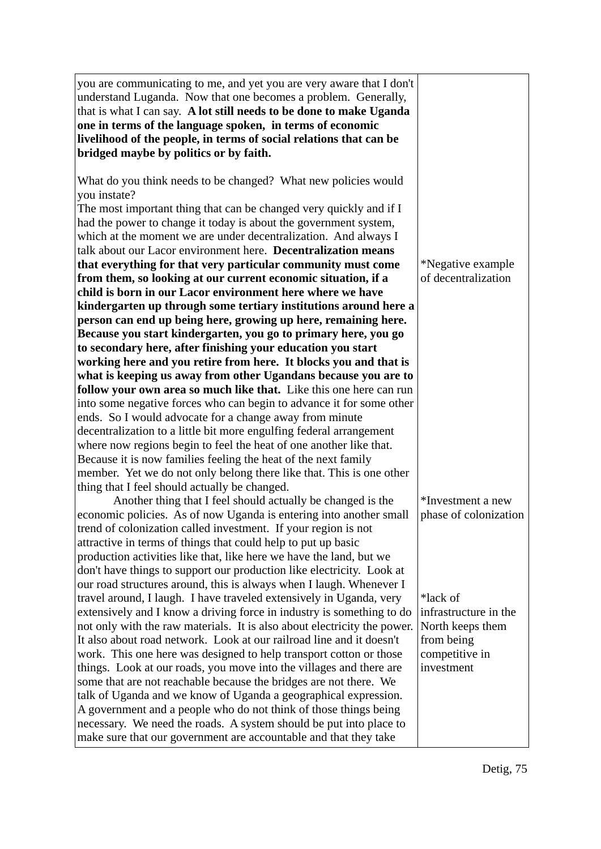| you are communicating to me, and yet you are very aware that I don't<br>understand Luganda. Now that one becomes a problem. Generally,<br>that is what I can say. A lot still needs to be done to make Uganda<br>one in terms of the language spoken, in terms of economic<br>livelihood of the people, in terms of social relations that can be<br>bridged maybe by politics or by faith. |                                |
|--------------------------------------------------------------------------------------------------------------------------------------------------------------------------------------------------------------------------------------------------------------------------------------------------------------------------------------------------------------------------------------------|--------------------------------|
| What do you think needs to be changed? What new policies would<br>you instate?<br>The most important thing that can be changed very quickly and if I                                                                                                                                                                                                                                       |                                |
| had the power to change it today is about the government system,                                                                                                                                                                                                                                                                                                                           |                                |
| which at the moment we are under decentralization. And always I                                                                                                                                                                                                                                                                                                                            |                                |
| talk about our Lacor environment here. Decentralization means                                                                                                                                                                                                                                                                                                                              |                                |
| that everything for that very particular community must come                                                                                                                                                                                                                                                                                                                               | *Negative example              |
| from them, so looking at our current economic situation, if a                                                                                                                                                                                                                                                                                                                              | of decentralization            |
| child is born in our Lacor environment here where we have                                                                                                                                                                                                                                                                                                                                  |                                |
| kindergarten up through some tertiary institutions around here a                                                                                                                                                                                                                                                                                                                           |                                |
| person can end up being here, growing up here, remaining here.                                                                                                                                                                                                                                                                                                                             |                                |
| Because you start kindergarten, you go to primary here, you go                                                                                                                                                                                                                                                                                                                             |                                |
| to secondary here, after finishing your education you start<br>working here and you retire from here. It blocks you and that is                                                                                                                                                                                                                                                            |                                |
| what is keeping us away from other Ugandans because you are to                                                                                                                                                                                                                                                                                                                             |                                |
| follow your own area so much like that. Like this one here can run                                                                                                                                                                                                                                                                                                                         |                                |
| into some negative forces who can begin to advance it for some other                                                                                                                                                                                                                                                                                                                       |                                |
| ends. So I would advocate for a change away from minute                                                                                                                                                                                                                                                                                                                                    |                                |
| decentralization to a little bit more engulfing federal arrangement                                                                                                                                                                                                                                                                                                                        |                                |
| where now regions begin to feel the heat of one another like that.                                                                                                                                                                                                                                                                                                                         |                                |
| Because it is now families feeling the heat of the next family                                                                                                                                                                                                                                                                                                                             |                                |
| member. Yet we do not only belong there like that. This is one other                                                                                                                                                                                                                                                                                                                       |                                |
| thing that I feel should actually be changed.<br>Another thing that I feel should actually be changed is the                                                                                                                                                                                                                                                                               | *Investment a new              |
| economic policies. As of now Uganda is entering into another small                                                                                                                                                                                                                                                                                                                         | phase of colonization          |
| trend of colonization called investment. If your region is not                                                                                                                                                                                                                                                                                                                             |                                |
| attractive in terms of things that could help to put up basic                                                                                                                                                                                                                                                                                                                              |                                |
| production activities like that, like here we have the land, but we                                                                                                                                                                                                                                                                                                                        |                                |
| don't have things to support our production like electricity. Look at                                                                                                                                                                                                                                                                                                                      |                                |
| our road structures around, this is always when I laugh. Whenever I                                                                                                                                                                                                                                                                                                                        |                                |
| travel around, I laugh. I have traveled extensively in Uganda, very                                                                                                                                                                                                                                                                                                                        | *lack of                       |
| extensively and I know a driving force in industry is something to do                                                                                                                                                                                                                                                                                                                      | infrastructure in the          |
| not only with the raw materials. It is also about electricity the power.<br>It also about road network. Look at our railroad line and it doesn't                                                                                                                                                                                                                                           | North keeps them<br>from being |
| work. This one here was designed to help transport cotton or those                                                                                                                                                                                                                                                                                                                         | competitive in                 |
| things. Look at our roads, you move into the villages and there are                                                                                                                                                                                                                                                                                                                        | investment                     |
| some that are not reachable because the bridges are not there. We                                                                                                                                                                                                                                                                                                                          |                                |
| talk of Uganda and we know of Uganda a geographical expression.                                                                                                                                                                                                                                                                                                                            |                                |
| A government and a people who do not think of those things being                                                                                                                                                                                                                                                                                                                           |                                |
| necessary. We need the roads. A system should be put into place to                                                                                                                                                                                                                                                                                                                         |                                |
| make sure that our government are accountable and that they take                                                                                                                                                                                                                                                                                                                           |                                |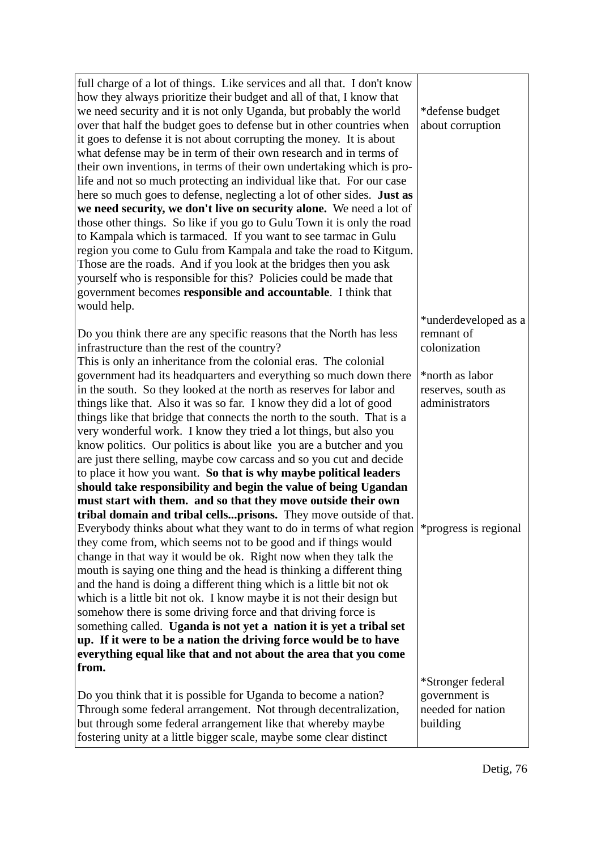| full charge of a lot of things. Like services and all that. I don't know |                       |
|--------------------------------------------------------------------------|-----------------------|
| how they always prioritize their budget and all of that, I know that     |                       |
| we need security and it is not only Uganda, but probably the world       | *defense budget       |
| over that half the budget goes to defense but in other countries when    | about corruption      |
| it goes to defense it is not about corrupting the money. It is about     |                       |
| what defense may be in term of their own research and in terms of        |                       |
| their own inventions, in terms of their own undertaking which is pro-    |                       |
| life and not so much protecting an individual like that. For our case    |                       |
| here so much goes to defense, neglecting a lot of other sides. Just as   |                       |
| we need security, we don't live on security alone. We need a lot of      |                       |
| those other things. So like if you go to Gulu Town it is only the road   |                       |
| to Kampala which is tarmaced. If you want to see tarmac in Gulu          |                       |
| region you come to Gulu from Kampala and take the road to Kitgum.        |                       |
| Those are the roads. And if you look at the bridges then you ask         |                       |
| yourself who is responsible for this? Policies could be made that        |                       |
| government becomes responsible and accountable. I think that             |                       |
| would help.                                                              |                       |
|                                                                          | *underdeveloped as a  |
| Do you think there are any specific reasons that the North has less      | remnant of            |
| infrastructure than the rest of the country?                             | colonization          |
| This is only an inheritance from the colonial eras. The colonial         |                       |
| government had its headquarters and everything so much down there        | *north as labor       |
| in the south. So they looked at the north as reserves for labor and      | reserves, south as    |
| things like that. Also it was so far. I know they did a lot of good      | administrators        |
| things like that bridge that connects the north to the south. That is a  |                       |
| very wonderful work. I know they tried a lot things, but also you        |                       |
| know politics. Our politics is about like you are a butcher and you      |                       |
| are just there selling, maybe cow carcass and so you cut and decide      |                       |
| to place it how you want. So that is why maybe political leaders         |                       |
| should take responsibility and begin the value of being Ugandan          |                       |
| must start with them. and so that they move outside their own            |                       |
| tribal domain and tribal cellsprisons. They move outside of that.        |                       |
| Everybody thinks about what they want to do in terms of what region      | *progress is regional |
| they come from, which seems not to be good and if things would           |                       |
| change in that way it would be ok. Right now when they talk the          |                       |
| mouth is saying one thing and the head is thinking a different thing     |                       |
| and the hand is doing a different thing which is a little bit not ok     |                       |
| which is a little bit not ok. I know maybe it is not their design but    |                       |
| somehow there is some driving force and that driving force is            |                       |
| something called. Uganda is not yet a nation it is yet a tribal set      |                       |
| up. If it were to be a nation the driving force would be to have         |                       |
| everything equal like that and not about the area that you come          |                       |
| from.                                                                    |                       |
|                                                                          | *Stronger federal     |
| Do you think that it is possible for Uganda to become a nation?          | government is         |
| Through some federal arrangement. Not through decentralization,          | needed for nation     |
| but through some federal arrangement like that whereby maybe             | building              |
| fostering unity at a little bigger scale, maybe some clear distinct      |                       |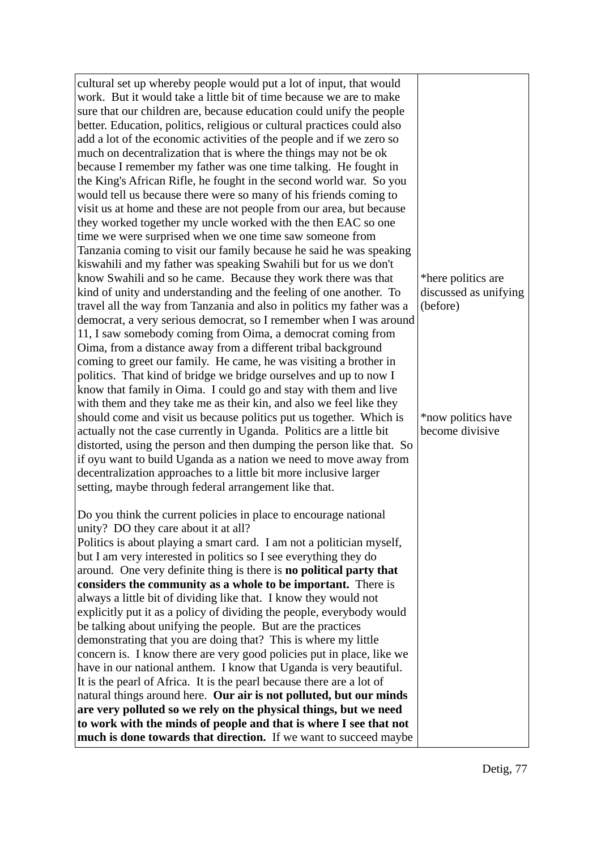| cultural set up whereby people would put a lot of input, that would<br>work. But it would take a little bit of time because we are to make<br>sure that our children are, because education could unify the people<br>better. Education, politics, religious or cultural practices could also<br>add a lot of the economic activities of the people and if we zero so<br>much on decentralization that is where the things may not be ok<br>because I remember my father was one time talking. He fought in<br>the King's African Rifle, he fought in the second world war. So you<br>would tell us because there were so many of his friends coming to<br>visit us at home and these are not people from our area, but because |                                             |
|---------------------------------------------------------------------------------------------------------------------------------------------------------------------------------------------------------------------------------------------------------------------------------------------------------------------------------------------------------------------------------------------------------------------------------------------------------------------------------------------------------------------------------------------------------------------------------------------------------------------------------------------------------------------------------------------------------------------------------|---------------------------------------------|
| they worked together my uncle worked with the then EAC so one<br>time we were surprised when we one time saw someone from<br>Tanzania coming to visit our family because he said he was speaking<br>kiswahili and my father was speaking Swahili but for us we don't<br>know Swahili and so he came. Because they work there was that<br>kind of unity and understanding and the feeling of one another. To                                                                                                                                                                                                                                                                                                                     | *here politics are<br>discussed as unifying |
| travel all the way from Tanzania and also in politics my father was a<br>democrat, a very serious democrat, so I remember when I was around<br>11, I saw somebody coming from Oima, a democrat coming from<br>Oima, from a distance away from a different tribal background<br>coming to greet our family. He came, he was visiting a brother in<br>politics. That kind of bridge we bridge ourselves and up to now I<br>know that family in Oima. I could go and stay with them and live<br>with them and they take me as their kin, and also we feel like they                                                                                                                                                                | (before)                                    |
| should come and visit us because politics put us together. Which is<br>actually not the case currently in Uganda. Politics are a little bit<br>distorted, using the person and then dumping the person like that. So<br>if oyu want to build Uganda as a nation we need to move away from<br>decentralization approaches to a little bit more inclusive larger<br>setting, maybe through federal arrangement like that.                                                                                                                                                                                                                                                                                                         | *now politics have<br>become divisive       |
| Do you think the current policies in place to encourage national<br>unity? DO they care about it at all?                                                                                                                                                                                                                                                                                                                                                                                                                                                                                                                                                                                                                        |                                             |
| Politics is about playing a smart card. I am not a politician myself,<br>but I am very interested in politics so I see everything they do<br>around. One very definite thing is there is no political party that                                                                                                                                                                                                                                                                                                                                                                                                                                                                                                                |                                             |
| considers the community as a whole to be important. There is                                                                                                                                                                                                                                                                                                                                                                                                                                                                                                                                                                                                                                                                    |                                             |
| always a little bit of dividing like that. I know they would not                                                                                                                                                                                                                                                                                                                                                                                                                                                                                                                                                                                                                                                                |                                             |
| explicitly put it as a policy of dividing the people, everybody would<br>be talking about unifying the people. But are the practices                                                                                                                                                                                                                                                                                                                                                                                                                                                                                                                                                                                            |                                             |
| demonstrating that you are doing that? This is where my little                                                                                                                                                                                                                                                                                                                                                                                                                                                                                                                                                                                                                                                                  |                                             |
| concern is. I know there are very good policies put in place, like we                                                                                                                                                                                                                                                                                                                                                                                                                                                                                                                                                                                                                                                           |                                             |
| have in our national anthem. I know that Uganda is very beautiful.                                                                                                                                                                                                                                                                                                                                                                                                                                                                                                                                                                                                                                                              |                                             |
| It is the pearl of Africa. It is the pearl because there are a lot of                                                                                                                                                                                                                                                                                                                                                                                                                                                                                                                                                                                                                                                           |                                             |
| natural things around here. Our air is not polluted, but our minds<br>are very polluted so we rely on the physical things, but we need                                                                                                                                                                                                                                                                                                                                                                                                                                                                                                                                                                                          |                                             |
| to work with the minds of people and that is where I see that not                                                                                                                                                                                                                                                                                                                                                                                                                                                                                                                                                                                                                                                               |                                             |
| much is done towards that direction. If we want to succeed maybe                                                                                                                                                                                                                                                                                                                                                                                                                                                                                                                                                                                                                                                                |                                             |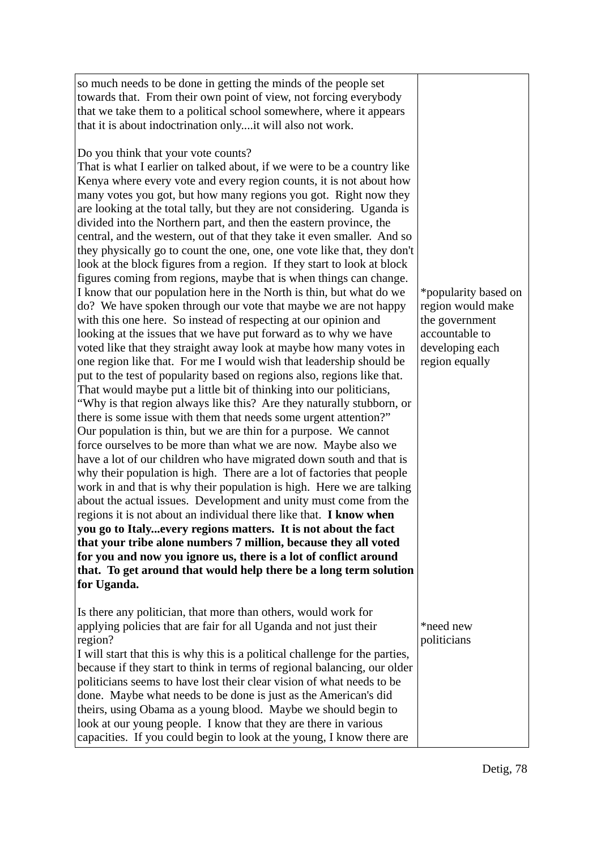| so much needs to be done in getting the minds of the people set<br>towards that. From their own point of view, not forcing everybody<br>that we take them to a political school somewhere, where it appears<br>that it is about indoctrination onlyit will also not work.                                                                                                                                                                                                                                                                                                                                                                                                                                                                                                                                                                                                                                                                                                                                                                                                                                                                                                                                                                                                                                                                                                                                                                                                                                                                                                                                                                                                                                                                                                                                                                                                                                                                                                                                                                                                                                                                                                                                                                                |                                                                                                                    |
|----------------------------------------------------------------------------------------------------------------------------------------------------------------------------------------------------------------------------------------------------------------------------------------------------------------------------------------------------------------------------------------------------------------------------------------------------------------------------------------------------------------------------------------------------------------------------------------------------------------------------------------------------------------------------------------------------------------------------------------------------------------------------------------------------------------------------------------------------------------------------------------------------------------------------------------------------------------------------------------------------------------------------------------------------------------------------------------------------------------------------------------------------------------------------------------------------------------------------------------------------------------------------------------------------------------------------------------------------------------------------------------------------------------------------------------------------------------------------------------------------------------------------------------------------------------------------------------------------------------------------------------------------------------------------------------------------------------------------------------------------------------------------------------------------------------------------------------------------------------------------------------------------------------------------------------------------------------------------------------------------------------------------------------------------------------------------------------------------------------------------------------------------------------------------------------------------------------------------------------------------------|--------------------------------------------------------------------------------------------------------------------|
| Do you think that your vote counts?<br>That is what I earlier on talked about, if we were to be a country like<br>Kenya where every vote and every region counts, it is not about how<br>many votes you got, but how many regions you got. Right now they<br>are looking at the total tally, but they are not considering. Uganda is<br>divided into the Northern part, and then the eastern province, the<br>central, and the western, out of that they take it even smaller. And so<br>they physically go to count the one, one, one vote like that, they don't<br>look at the block figures from a region. If they start to look at block<br>figures coming from regions, maybe that is when things can change.<br>I know that our population here in the North is thin, but what do we<br>do? We have spoken through our vote that maybe we are not happy<br>with this one here. So instead of respecting at our opinion and<br>looking at the issues that we have put forward as to why we have<br>voted like that they straight away look at maybe how many votes in<br>one region like that. For me I would wish that leadership should be<br>put to the test of popularity based on regions also, regions like that.<br>That would maybe put a little bit of thinking into our politicians,<br>"Why is that region always like this? Are they naturally stubborn, or<br>there is some issue with them that needs some urgent attention?"<br>Our population is thin, but we are thin for a purpose. We cannot<br>force ourselves to be more than what we are now. Maybe also we<br>have a lot of our children who have migrated down south and that is<br>why their population is high. There are a lot of factories that people<br>work in and that is why their population is high. Here we are talking<br>about the actual issues. Development and unity must come from the<br>regions it is not about an individual there like that. I know when<br>you go to Italyevery regions matters. It is not about the fact<br>that your tribe alone numbers 7 million, because they all voted<br>for you and now you ignore us, there is a lot of conflict around<br>that. To get around that would help there be a long term solution<br>for Uganda. | *popularity based on<br>region would make<br>the government<br>accountable to<br>developing each<br>region equally |
| Is there any politician, that more than others, would work for<br>applying policies that are fair for all Uganda and not just their<br>region?<br>I will start that this is why this is a political challenge for the parties,<br>because if they start to think in terms of regional balancing, our older<br>politicians seems to have lost their clear vision of what needs to be<br>done. Maybe what needs to be done is just as the American's did<br>theirs, using Obama as a young blood. Maybe we should begin to<br>look at our young people. I know that they are there in various<br>capacities. If you could begin to look at the young, I know there are                                                                                                                                                                                                                                                                                                                                                                                                                                                                                                                                                                                                                                                                                                                                                                                                                                                                                                                                                                                                                                                                                                                                                                                                                                                                                                                                                                                                                                                                                                                                                                                     | *need new<br>politicians                                                                                           |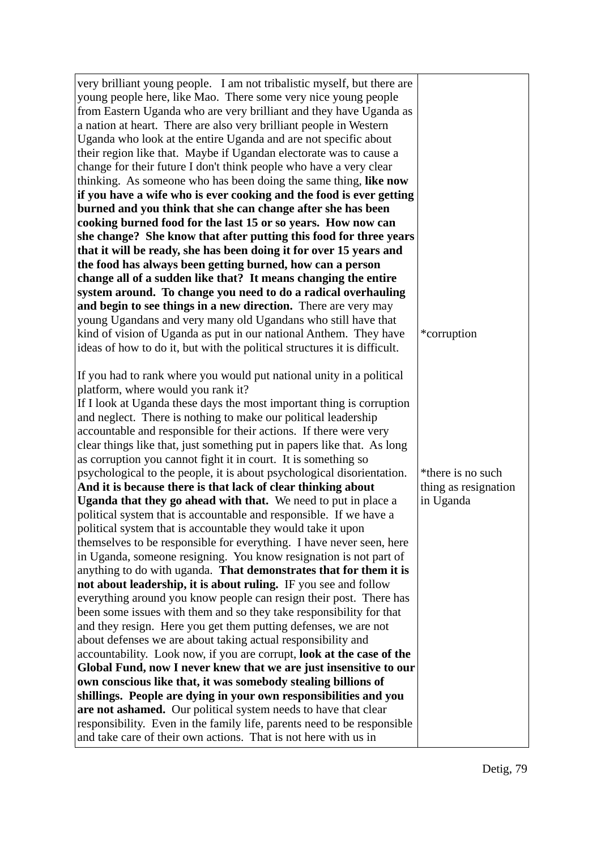| very brilliant young people. I am not tribalistic myself, but there are   |                      |
|---------------------------------------------------------------------------|----------------------|
| young people here, like Mao. There some very nice young people            |                      |
| from Eastern Uganda who are very brilliant and they have Uganda as        |                      |
| a nation at heart. There are also very brilliant people in Western        |                      |
| Uganda who look at the entire Uganda and are not specific about           |                      |
| their region like that. Maybe if Ugandan electorate was to cause a        |                      |
| change for their future I don't think people who have a very clear        |                      |
| thinking. As someone who has been doing the same thing, like now          |                      |
| if you have a wife who is ever cooking and the food is ever getting       |                      |
| burned and you think that she can change after she has been               |                      |
| cooking burned food for the last 15 or so years. How now can              |                      |
| she change? She know that after putting this food for three years         |                      |
| that it will be ready, she has been doing it for over 15 years and        |                      |
| the food has always been getting burned, how can a person                 |                      |
| change all of a sudden like that? It means changing the entire            |                      |
| system around. To change you need to do a radical overhauling             |                      |
| and begin to see things in a new direction. There are very may            |                      |
| young Ugandans and very many old Ugandans who still have that             |                      |
| kind of vision of Uganda as put in our national Anthem. They have         | *corruption          |
| ideas of how to do it, but with the political structures it is difficult. |                      |
|                                                                           |                      |
| If you had to rank where you would put national unity in a political      |                      |
| platform, where would you rank it?                                        |                      |
| If I look at Uganda these days the most important thing is corruption     |                      |
| and neglect. There is nothing to make our political leadership            |                      |
| accountable and responsible for their actions. If there were very         |                      |
| clear things like that, just something put in papers like that. As long   |                      |
| as corruption you cannot fight it in court. It is something so            |                      |
| psychological to the people, it is about psychological disorientation.    | *there is no such    |
| And it is because there is that lack of clear thinking about              | thing as resignation |
| <b>Uganda that they go ahead with that.</b> We need to put in place a     | in Uganda            |
| political system that is accountable and responsible. If we have a        |                      |
| political system that is accountable they would take it upon              |                      |
| themselves to be responsible for everything. I have never seen, here      |                      |
| in Uganda, someone resigning. You know resignation is not part of         |                      |
| anything to do with uganda. That demonstrates that for them it is         |                      |
| not about leadership, it is about ruling. IF you see and follow           |                      |
| everything around you know people can resign their post. There has        |                      |
| been some issues with them and so they take responsibility for that       |                      |
| and they resign. Here you get them putting defenses, we are not           |                      |
| about defenses we are about taking actual responsibility and              |                      |
| accountability. Look now, if you are corrupt, look at the case of the     |                      |
| Global Fund, now I never knew that we are just insensitive to our         |                      |
| own conscious like that, it was somebody stealing billions of             |                      |
| shillings. People are dying in your own responsibilities and you          |                      |
| are not ashamed. Our political system needs to have that clear            |                      |
| responsibility. Even in the family life, parents need to be responsible   |                      |
| and take care of their own actions. That is not here with us in           |                      |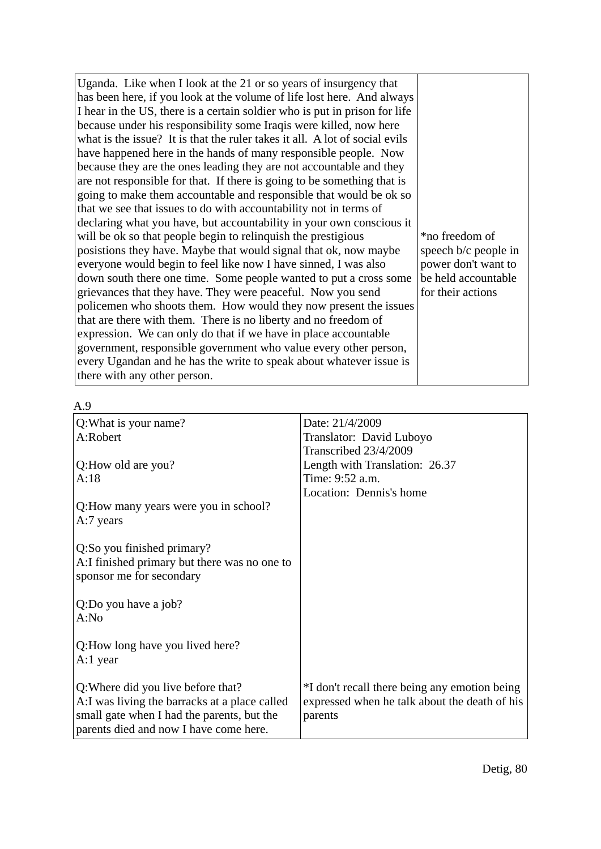| Uganda. Like when I look at the 21 or so years of insurgency that<br>has been here, if you look at the volume of life lost here. And always<br>I hear in the US, there is a certain soldier who is put in prison for life<br>because under his responsibility some Iraqis were killed, now here<br>what is the issue? It is that the ruler takes it all. A lot of social evils<br>have happened here in the hands of many responsible people. Now<br>because they are the ones leading they are not accountable and they<br>are not responsible for that. If there is going to be something that is<br>going to make them accountable and responsible that would be ok so<br>that we see that issues to do with accountability not in terms of<br>declaring what you have, but accountability in your own conscious it<br>will be ok so that people begin to relinquish the prestigious<br>posistions they have. Maybe that would signal that ok, now maybe<br>everyone would begin to feel like now I have sinned, I was also<br>down south there one time. Some people wanted to put a cross some<br>grievances that they have. They were peaceful. Now you send<br>policemen who shoots them. How would they now present the issues<br>that are there with them. There is no liberty and no freedom of<br>expression. We can only do that if we have in place accountable<br>government, responsible government who value every other person, | *no freedom of<br>speech b/c people in<br>power don't want to<br>be held accountable<br>for their actions |
|--------------------------------------------------------------------------------------------------------------------------------------------------------------------------------------------------------------------------------------------------------------------------------------------------------------------------------------------------------------------------------------------------------------------------------------------------------------------------------------------------------------------------------------------------------------------------------------------------------------------------------------------------------------------------------------------------------------------------------------------------------------------------------------------------------------------------------------------------------------------------------------------------------------------------------------------------------------------------------------------------------------------------------------------------------------------------------------------------------------------------------------------------------------------------------------------------------------------------------------------------------------------------------------------------------------------------------------------------------------------------------------------------------------------------------------------------|-----------------------------------------------------------------------------------------------------------|
| every Ugandan and he has the write to speak about whatever issue is<br>there with any other person.                                                                                                                                                                                                                                                                                                                                                                                                                                                                                                                                                                                                                                                                                                                                                                                                                                                                                                                                                                                                                                                                                                                                                                                                                                                                                                                                              |                                                                                                           |
|                                                                                                                                                                                                                                                                                                                                                                                                                                                                                                                                                                                                                                                                                                                                                                                                                                                                                                                                                                                                                                                                                                                                                                                                                                                                                                                                                                                                                                                  |                                                                                                           |

| ٦<br>۰.<br>$\sim$<br>٠ |  |
|------------------------|--|
|                        |  |

| ハ・フ                                                                                                                                                                         |                                                                                                           |
|-----------------------------------------------------------------------------------------------------------------------------------------------------------------------------|-----------------------------------------------------------------------------------------------------------|
| Q: What is your name?                                                                                                                                                       | Date: 21/4/2009                                                                                           |
| A:Robert                                                                                                                                                                    | Translator: David Luboyo                                                                                  |
|                                                                                                                                                                             | Transcribed 23/4/2009                                                                                     |
| Q:How old are you?                                                                                                                                                          | Length with Translation: 26.37                                                                            |
| A:18                                                                                                                                                                        | Time: 9:52 a.m.                                                                                           |
|                                                                                                                                                                             | Location: Dennis's home                                                                                   |
| Q: How many years were you in school?<br>A:7 years                                                                                                                          |                                                                                                           |
| Q:So you finished primary?<br>A:I finished primary but there was no one to<br>sponsor me for secondary                                                                      |                                                                                                           |
| Q:Do you have a job?<br>A:No                                                                                                                                                |                                                                                                           |
| Q:How long have you lived here?<br>A:1 year                                                                                                                                 |                                                                                                           |
| Q: Where did you live before that?<br>A:I was living the barracks at a place called<br>small gate when I had the parents, but the<br>parents died and now I have come here. | *I don't recall there being any emotion being<br>expressed when he talk about the death of his<br>parents |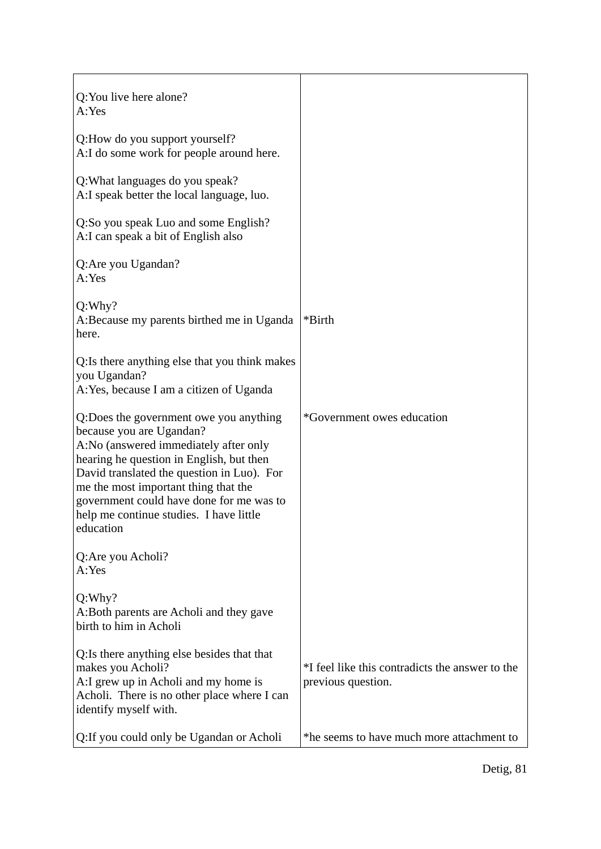| Q: You live here alone?<br>A:Yes                                                                                                                                                                                                                                                                                                                  |                                                                       |
|---------------------------------------------------------------------------------------------------------------------------------------------------------------------------------------------------------------------------------------------------------------------------------------------------------------------------------------------------|-----------------------------------------------------------------------|
| Q:How do you support yourself?<br>A:I do some work for people around here.                                                                                                                                                                                                                                                                        |                                                                       |
| Q: What languages do you speak?<br>A:I speak better the local language, luo.                                                                                                                                                                                                                                                                      |                                                                       |
| Q:So you speak Luo and some English?<br>A: I can speak a bit of English also                                                                                                                                                                                                                                                                      |                                                                       |
| Q:Are you Ugandan?<br>A:Yes                                                                                                                                                                                                                                                                                                                       |                                                                       |
| Q:Why?<br>A: Because my parents birthed me in Uganda<br>here.                                                                                                                                                                                                                                                                                     | *Birth                                                                |
| Q: Is there anything else that you think makes<br>you Ugandan?<br>A: Yes, because I am a citizen of Uganda                                                                                                                                                                                                                                        |                                                                       |
| Q:Does the government owe you anything<br>because you are Ugandan?<br>A:No (answered immediately after only<br>hearing he question in English, but then<br>David translated the question in Luo). For<br>me the most important thing that the<br>government could have done for me was to<br>help me continue studies. I have little<br>education | *Government owes education                                            |
| Q: Are you Acholi?<br>A:Yes                                                                                                                                                                                                                                                                                                                       |                                                                       |
| Q: Why?<br>A: Both parents are Acholi and they gave<br>birth to him in Acholi                                                                                                                                                                                                                                                                     |                                                                       |
| Q: Is there anything else besides that that<br>makes you Acholi?<br>A:I grew up in Acholi and my home is<br>Acholi. There is no other place where I can<br>identify myself with.                                                                                                                                                                  | *I feel like this contradicts the answer to the<br>previous question. |
| Q: If you could only be Ugandan or Acholi                                                                                                                                                                                                                                                                                                         | *he seems to have much more attachment to                             |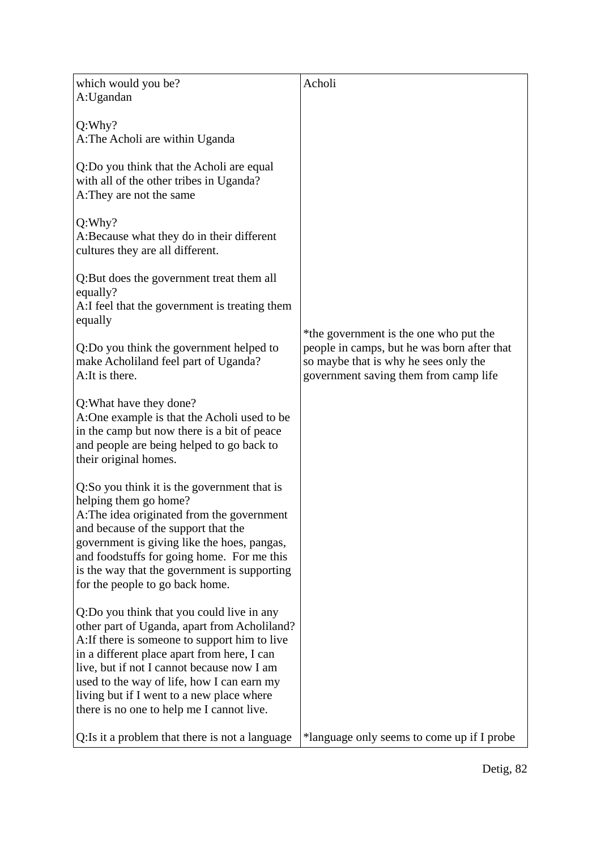| which would you be?<br>A:Ugandan                                                                                                                                                                                                                                                                                                                                                | Acholi                                                                                                                                                                  |
|---------------------------------------------------------------------------------------------------------------------------------------------------------------------------------------------------------------------------------------------------------------------------------------------------------------------------------------------------------------------------------|-------------------------------------------------------------------------------------------------------------------------------------------------------------------------|
| Q: Why?<br>A: The Acholi are within Uganda                                                                                                                                                                                                                                                                                                                                      |                                                                                                                                                                         |
| Q:Do you think that the Acholi are equal<br>with all of the other tribes in Uganda?<br>A: They are not the same                                                                                                                                                                                                                                                                 |                                                                                                                                                                         |
| Q: Why?<br>A: Because what they do in their different<br>cultures they are all different.                                                                                                                                                                                                                                                                                       |                                                                                                                                                                         |
| Q: But does the government treat them all<br>equally?<br>A:I feel that the government is treating them<br>equally                                                                                                                                                                                                                                                               |                                                                                                                                                                         |
| Q:Do you think the government helped to<br>make Acholiland feel part of Uganda?<br>A: It is there.                                                                                                                                                                                                                                                                              | *the government is the one who put the<br>people in camps, but he was born after that<br>so maybe that is why he sees only the<br>government saving them from camp life |
| Q: What have they done?<br>A:One example is that the Acholi used to be<br>in the camp but now there is a bit of peace<br>and people are being helped to go back to<br>their original homes.                                                                                                                                                                                     |                                                                                                                                                                         |
| Q:So you think it is the government that is<br>helping them go home?<br>A: The idea originated from the government<br>and because of the support that the<br>government is giving like the hoes, pangas,<br>and foodstuffs for going home. For me this<br>is the way that the government is supporting<br>for the people to go back home.                                       |                                                                                                                                                                         |
| Q:Do you think that you could live in any<br>other part of Uganda, apart from Acholiland?<br>A: If there is someone to support him to live<br>in a different place apart from here, I can<br>live, but if not I cannot because now I am<br>used to the way of life, how I can earn my<br>living but if I went to a new place where<br>there is no one to help me I cannot live. |                                                                                                                                                                         |
| Q: Is it a problem that there is not a language                                                                                                                                                                                                                                                                                                                                 | *language only seems to come up if I probe                                                                                                                              |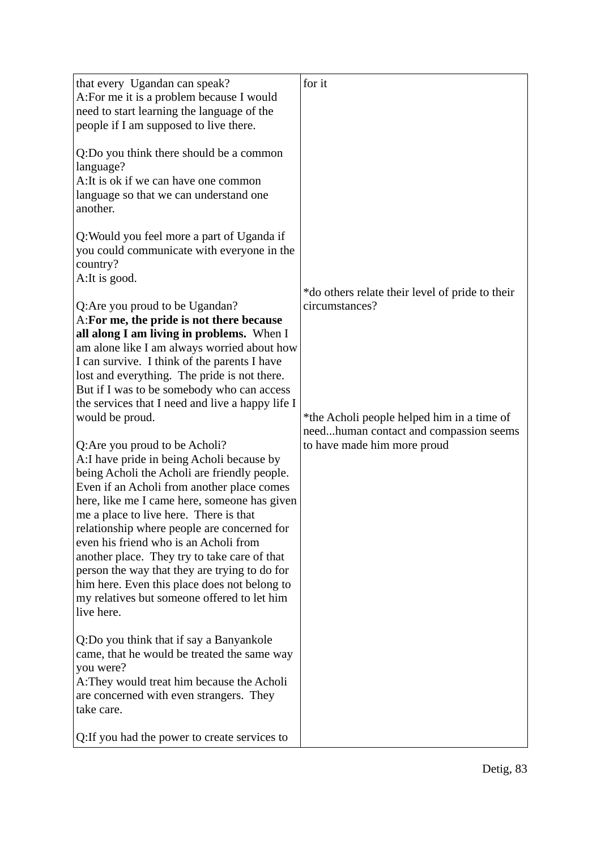| that every Ugandan can speak?<br>A: For me it is a problem because I would                    | for it                                                                               |
|-----------------------------------------------------------------------------------------------|--------------------------------------------------------------------------------------|
| need to start learning the language of the                                                    |                                                                                      |
| people if I am supposed to live there.                                                        |                                                                                      |
| Q:Do you think there should be a common                                                       |                                                                                      |
| language?<br>A: It is ok if we can have one common                                            |                                                                                      |
| language so that we can understand one                                                        |                                                                                      |
| another.                                                                                      |                                                                                      |
| Q: Would you feel more a part of Uganda if                                                    |                                                                                      |
| you could communicate with everyone in the<br>country?                                        |                                                                                      |
| A: It is good.                                                                                |                                                                                      |
| Q: Are you proud to be Ugandan?                                                               | *do others relate their level of pride to their<br>circumstances?                    |
| A: For me, the pride is not there because                                                     |                                                                                      |
| all along I am living in problems. When I<br>am alone like I am always worried about how      |                                                                                      |
| I can survive. I think of the parents I have                                                  |                                                                                      |
| lost and everything. The pride is not there.<br>But if I was to be somebody who can access    |                                                                                      |
| the services that I need and live a happy life I                                              |                                                                                      |
| would be proud.                                                                               | *the Acholi people helped him in a time of<br>needhuman contact and compassion seems |
| Q: Are you proud to be Acholi?                                                                | to have made him more proud                                                          |
| A:I have pride in being Acholi because by                                                     |                                                                                      |
| being Acholi the Acholi are friendly people.<br>Even if an Acholi from another place comes    |                                                                                      |
| here, like me I came here, someone has given                                                  |                                                                                      |
| me a place to live here. There is that<br>relationship where people are concerned for         |                                                                                      |
| even his friend who is an Acholi from                                                         |                                                                                      |
| another place. They try to take care of that<br>person the way that they are trying to do for |                                                                                      |
| him here. Even this place does not belong to                                                  |                                                                                      |
| my relatives but someone offered to let him<br>live here.                                     |                                                                                      |
|                                                                                               |                                                                                      |
| Q:Do you think that if say a Banyankole<br>came, that he would be treated the same way        |                                                                                      |
| you were?<br>A: They would treat him because the Acholi                                       |                                                                                      |
| are concerned with even strangers. They<br>take care.                                         |                                                                                      |
| Q: If you had the power to create services to                                                 |                                                                                      |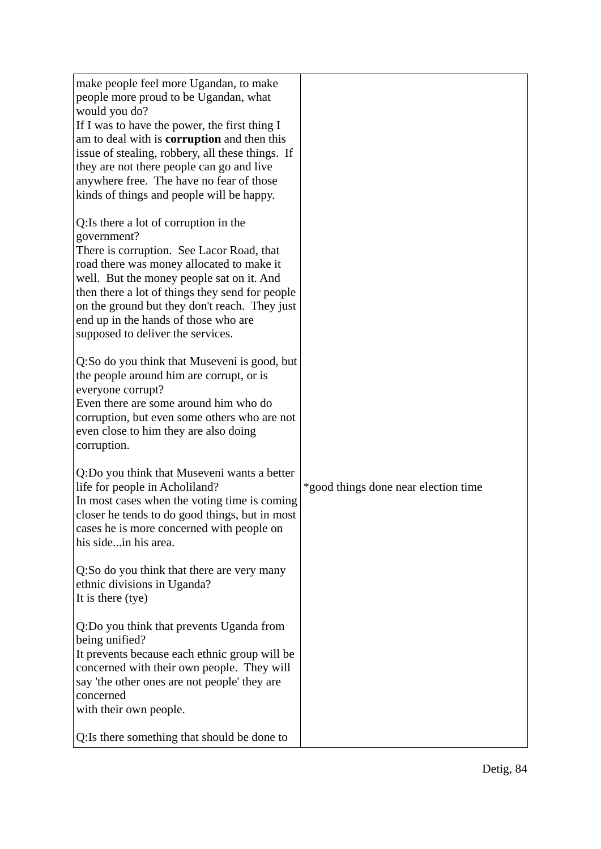| make people feel more Ugandan, to make<br>people more proud to be Ugandan, what<br>would you do?<br>If I was to have the power, the first thing I<br>am to deal with is <b>corruption</b> and then this<br>issue of stealing, robbery, all these things. If<br>they are not there people can go and live<br>anywhere free. The have no fear of those<br>kinds of things and people will be happy. |                                      |
|---------------------------------------------------------------------------------------------------------------------------------------------------------------------------------------------------------------------------------------------------------------------------------------------------------------------------------------------------------------------------------------------------|--------------------------------------|
| Q: Is there a lot of corruption in the<br>government?<br>There is corruption. See Lacor Road, that<br>road there was money allocated to make it<br>well. But the money people sat on it. And<br>then there a lot of things they send for people<br>on the ground but they don't reach. They just<br>end up in the hands of those who are<br>supposed to deliver the services.                     |                                      |
| Q:So do you think that Museveni is good, but<br>the people around him are corrupt, or is<br>everyone corrupt?<br>Even there are some around him who do<br>corruption, but even some others who are not<br>even close to him they are also doing<br>corruption.                                                                                                                                    |                                      |
| Q:Do you think that Museveni wants a better<br>life for people in Acholiland?<br>In most cases when the voting time is coming<br>closer he tends to do good things, but in most<br>cases he is more concerned with people on<br>his sidein his area.                                                                                                                                              | *good things done near election time |
| Q:So do you think that there are very many<br>ethnic divisions in Uganda?<br>It is there (tye)                                                                                                                                                                                                                                                                                                    |                                      |
| Q:Do you think that prevents Uganda from<br>being unified?<br>It prevents because each ethnic group will be<br>concerned with their own people. They will<br>say 'the other ones are not people' they are<br>concerned<br>with their own people.                                                                                                                                                  |                                      |
| Q: Is there something that should be done to                                                                                                                                                                                                                                                                                                                                                      |                                      |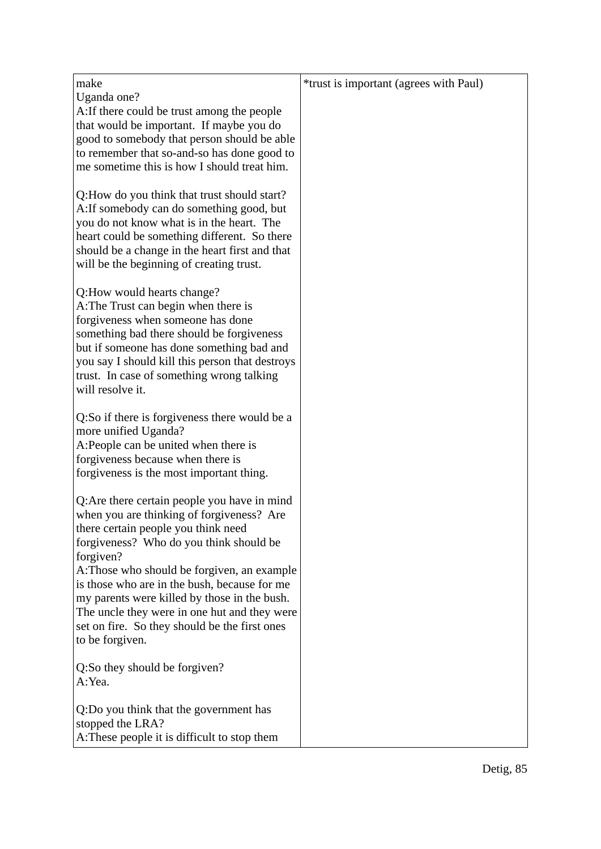| make                                                                                                                                                                                                                                                                                                                                                                                                                                                        | *trust is important (agrees with Paul) |
|-------------------------------------------------------------------------------------------------------------------------------------------------------------------------------------------------------------------------------------------------------------------------------------------------------------------------------------------------------------------------------------------------------------------------------------------------------------|----------------------------------------|
| Uganda one?<br>A: If there could be trust among the people<br>that would be important. If maybe you do<br>good to somebody that person should be able<br>to remember that so-and-so has done good to<br>me sometime this is how I should treat him.                                                                                                                                                                                                         |                                        |
| Q: How do you think that trust should start?<br>A: If somebody can do something good, but<br>you do not know what is in the heart. The<br>heart could be something different. So there<br>should be a change in the heart first and that<br>will be the beginning of creating trust.                                                                                                                                                                        |                                        |
| Q:How would hearts change?<br>A: The Trust can begin when there is<br>forgiveness when someone has done<br>something bad there should be forgiveness<br>but if someone has done something bad and<br>you say I should kill this person that destroys<br>trust. In case of something wrong talking<br>will resolve it.                                                                                                                                       |                                        |
| Q:So if there is forgiveness there would be a<br>more unified Uganda?<br>A:People can be united when there is<br>forgiveness because when there is<br>forgiveness is the most important thing.                                                                                                                                                                                                                                                              |                                        |
| Q: Are there certain people you have in mind<br>when you are thinking of forgiveness? Are<br>there certain people you think need<br>forgiveness? Who do you think should be<br>forgiven?<br>A: Those who should be forgiven, an example<br>is those who are in the bush, because for me<br>my parents were killed by those in the bush.<br>The uncle they were in one hut and they were<br>set on fire. So they should be the first ones<br>to be forgiven. |                                        |
| Q:So they should be forgiven?<br>A:Yea.                                                                                                                                                                                                                                                                                                                                                                                                                     |                                        |
| Q:Do you think that the government has<br>stopped the LRA?<br>A: These people it is difficult to stop them                                                                                                                                                                                                                                                                                                                                                  |                                        |